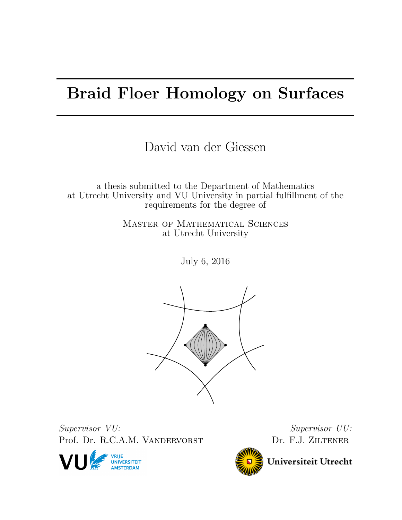# Braid Floer Homology on Surfaces

David van der Giessen

a thesis submitted to the Department of Mathematics at Utrecht University and VU University in partial fulfillment of the requirements for the degree of

> Master of Mathematical Sciences at Utrecht University

> > July 6, 2016



Supervisor VU: Prof. Dr. R.C.A.M. VANDERVORST





Supervisor UU: Dr. F.J. ZILTENER

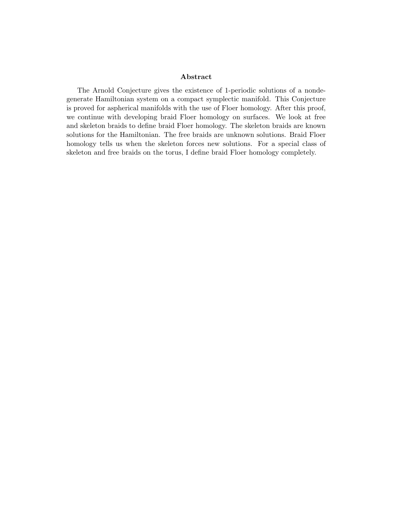#### Abstract

The Arnold Conjecture gives the existence of 1-periodic solutions of a nondegenerate Hamiltonian system on a compact symplectic manifold. This Conjecture is proved for aspherical manifolds with the use of Floer homology. After this proof, we continue with developing braid Floer homology on surfaces. We look at free and skeleton braids to define braid Floer homology. The skeleton braids are known solutions for the Hamiltonian. The free braids are unknown solutions. Braid Floer homology tells us when the skeleton forces new solutions. For a special class of skeleton and free braids on the torus, I define braid Floer homology completely.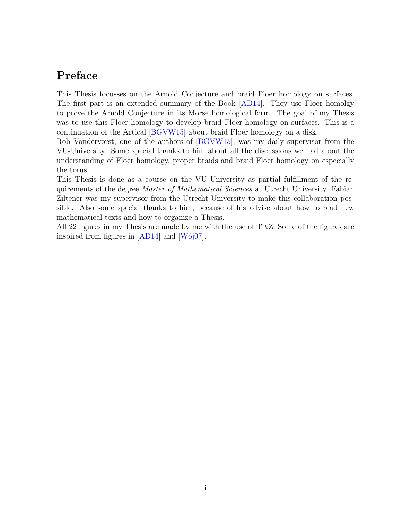### Preface

This Thesis focusses on the Arnold Conjecture and braid Floer homology on surfaces. The first part is an extended summary of the Book [\[AD14\]](#page-72-0). They use Floer homolgy to prove the Arnold Conjecture in its Morse homological form. The goal of my Thesis was to use this Floer homology to develop braid Floer homology on surfaces. This is a continuation of the Artical [\[BGVW15\]](#page-72-1) about braid Floer homology on a disk.

Rob Vandervorst, one of the authors of [\[BGVW15\]](#page-72-1), was my daily supervisor from the VU-University. Some special thanks to him about all the discussions we had about the understanding of Floer homology, proper braids and braid Floer homology on especially the torus.

This Thesis is done as a course on the VU University as partial fulfillment of the requirements of the degree *Master of Mathematical Sciences* at Utrecht University. Fabian Ziltener was my supervisor from the Utrecht University to make this collaboration possible. Also some special thanks to him, because of his advise about how to read new mathematical texts and how to organize a Thesis.

All 22 figures in my Thesis are made by me with the use of TikZ. Some of the figures are inspired from figures in  $[AD14]$  and  $[W6j07]$ .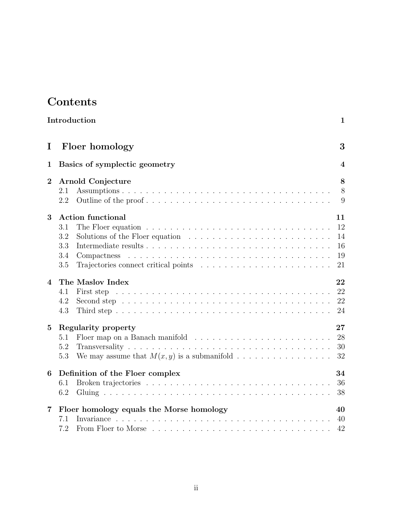## Contents

|                | Introduction                                                                                                                                                                                                                                                                                                 | $\mathbf 1$                      |
|----------------|--------------------------------------------------------------------------------------------------------------------------------------------------------------------------------------------------------------------------------------------------------------------------------------------------------------|----------------------------------|
| Ι              | Floer homology                                                                                                                                                                                                                                                                                               | 3                                |
| $\mathbf{1}$   | Basics of symplectic geometry                                                                                                                                                                                                                                                                                | 4                                |
| $\overline{2}$ | <b>Arnold Conjecture</b><br>2.1<br>2.2<br>Outline of the proof                                                                                                                                                                                                                                               | 8<br>8<br>9                      |
| 3              | <b>Action functional</b><br>3.1<br>3.2<br>Solutions of the Floer equation entering in the set of the set of the set of the set of the set of the set of the set of the set of the set of the set of the set of the set of the set of the set of the set of the set of th<br>3.3<br>3.4<br>Compactness<br>3.5 | 11<br>12<br>14<br>16<br>19<br>21 |
| 4              | The Maslov Index<br>4.1<br>First step<br>Second step $\ldots \ldots \ldots \ldots \ldots \ldots \ldots \ldots \ldots \ldots \ldots \ldots$<br>4.2<br>4.3                                                                                                                                                     | 22<br>22<br>22<br>24             |
| $\bf{5}$       | <b>Regularity property</b><br>5.1<br>5.2<br>5.3                                                                                                                                                                                                                                                              | 27<br>28<br>30<br>32             |
| 6              | Definition of the Floer complex<br>6.1<br>6.2                                                                                                                                                                                                                                                                | 34<br>36<br>38                   |
| 7              | Floer homology equals the Morse homology<br>7.1<br>7.2                                                                                                                                                                                                                                                       | 40<br>40<br>42                   |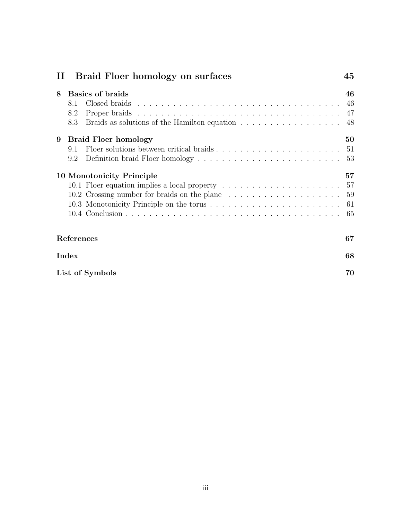| $\rm II$        | Braid Floer homology on surfaces                                                                                                         | 45                   |
|-----------------|------------------------------------------------------------------------------------------------------------------------------------------|----------------------|
| 8               | <b>Basics of braids</b><br>8.1<br>8.2<br>Braids as solutions of the Hamilton equation $\ldots \ldots \ldots \ldots \ldots \ldots$<br>8.3 | 46<br>46<br>47<br>48 |
| 9               | <b>Braid Floer homology</b>                                                                                                              | 50                   |
|                 | 9.1<br>9.2                                                                                                                               | 53                   |
|                 | 10 Monotonicity Principle                                                                                                                | 57                   |
|                 |                                                                                                                                          | 57                   |
| References      |                                                                                                                                          |                      |
| Index           |                                                                                                                                          |                      |
| List of Symbols |                                                                                                                                          |                      |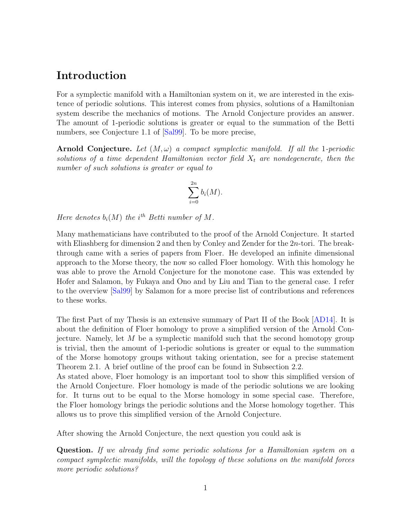### <span id="page-6-0"></span>Introduction

For a symplectic manifold with a Hamiltonian system on it, we are interested in the existence of periodic solutions. This interest comes from physics, solutions of a Hamiltonian system describe the mechanics of motions. The Arnold Conjecture provides an answer. The amount of 1-periodic solutions is greater or equal to the summation of the Betti numbers, see Conjecture 1.1 of [\[Sal99\]](#page-72-3). To be more precise,

**Arnold Conjecture.** Let  $(M, \omega)$  a compact symplectic manifold. If all the 1-periodic solutions of a time dependent Hamiltonian vector field  $X_t$  are nondegenerate, then the number of such solutions is greater or equal to

$$
\sum_{i=0}^{2n} b_i(M).
$$

Here denotes  $b_i(M)$  the i<sup>th</sup> Betti number of M.

Many mathematicians have contributed to the proof of the Arnold Conjecture. It started with Eliashberg for dimension 2 and then by Conley and Zender for the  $2n$ -tori. The breakthrough came with a series of papers from Floer. He developed an infinite dimensional approach to the Morse theory, the now so called Floer homology. With this homology he was able to prove the Arnold Conjecture for the monotone case. This was extended by Hofer and Salamon, by Fukaya and Ono and by Liu and Tian to the general case. I refer to the overview [\[Sal99\]](#page-72-3) by Salamon for a more precise list of contributions and references to these works.

The first Part of my Thesis is an extensive summary of Part II of the Book [\[AD14\]](#page-72-0). It is about the definition of Floer homology to prove a simplified version of the Arnold Conjecture. Namely, let M be a symplectic manifold such that the second homotopy group is trivial, then the amount of 1-periodic solutions is greater or equal to the summation of the Morse homotopy groups without taking orientation, see for a precise statement Theorem [2.1.](#page-13-2) A brief outline of the proof can be found in Subsection [2.2.](#page-14-0)

As stated above, Floer homology is an important tool to show this simplified version of the Arnold Conjecture. Floer homology is made of the periodic solutions we are looking for. It turns out to be equal to the Morse homology in some special case. Therefore, the Floer homology brings the periodic solutions and the Morse homology together. This allows us to prove this simplified version of the Arnold Conjecture.

After showing the Arnold Conjecture, the next question you could ask is

Question. If we already find some periodic solutions for a Hamiltonian system on a compact symplectic manifolds, will the topology of these solutions on the manifold forces more periodic solutions?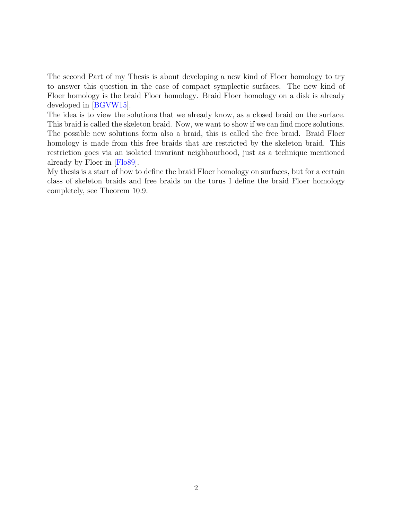The second Part of my Thesis is about developing a new kind of Floer homology to try to answer this question in the case of compact symplectic surfaces. The new kind of Floer homology is the braid Floer homology. Braid Floer homology on a disk is already developed in [\[BGVW15\]](#page-72-1).

The idea is to view the solutions that we already know, as a closed braid on the surface. This braid is called the skeleton braid. Now, we want to show if we can find more solutions. The possible new solutions form also a braid, this is called the free braid. Braid Floer homology is made from this free braids that are restricted by the skeleton braid. This restriction goes via an isolated invariant neighbourhood, just as a technique mentioned already by Floer in [\[Flo89\]](#page-72-4).

My thesis is a start of how to define the braid Floer homology on surfaces, but for a certain class of skeleton braids and free braids on the torus I define the braid Floer homology completely, see Theorem [10.9.](#page-70-1)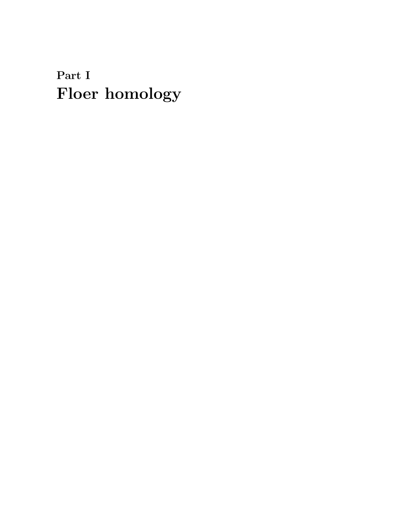<span id="page-8-0"></span>Part I Floer homology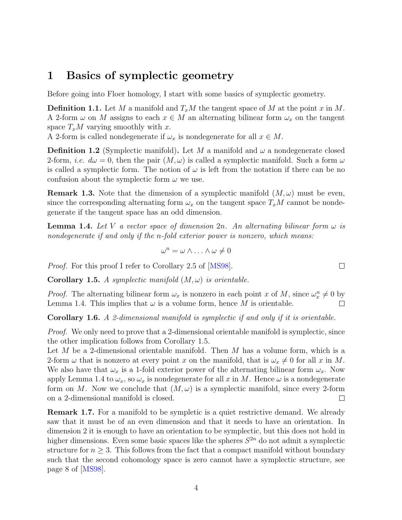### <span id="page-9-0"></span>1 Basics of symplectic geometry

Before going into Floer homology, I start with some basics of symplectic geometry.

**Definition 1.1.** Let M a manifold and  $T_xM$  the tangent space of M at the point x in M. A 2-form  $\omega$  on M assigns to each  $x \in M$  an alternating bilinear form  $\omega_x$  on the tangent space  $T_xM$  varying smoothly with x.

A 2-form is called nondegenerate if  $\omega_x$  is nondegenerate for all  $x \in M$ .

**Definition 1.2** (Symplectic manifold). Let M a manifold and  $\omega$  a nondegenerate closed 2-form, *i.e.*  $d\omega = 0$ , then the pair  $(M, \omega)$  is called a symplectic manifold. Such a form  $\omega$ is called a symplectic form. The notion of  $\omega$  is left from the notation if there can be no confusion about the symplectic form  $\omega$  we use.

**Remark 1.3.** Note that the dimension of a symplectic manifold  $(M,\omega)$  must be even, since the corresponding alternating form  $\omega_x$  on the tangent space  $T_xM$  cannot be nondegenerate if the tangent space has an odd dimension.

<span id="page-9-1"></span>**Lemma 1.4.** Let V a vector space of dimension 2n. An alternating bilinear form  $\omega$  is nondegenerate if and only if the n-fold exterior power is nonzero, which means:

$$
\omega^n = \omega \wedge \ldots \wedge \omega \neq 0
$$

Proof. For this proof I refer to Corollary 2.5 of [\[MS98\]](#page-72-5).

<span id="page-9-2"></span>**Corollary 1.5.** A symplectic manifold  $(M, \omega)$  is orientable.

*Proof.* The alternating bilinear form  $\omega_x$  is nonzero in each point x of M, since  $\omega_x^n \neq 0$  by Lemma [1.4.](#page-9-1) This implies that  $\omega$  is a volume form, hence M is orientable. П

Corollary 1.6. A 2-dimensional manifold is symplectic if and only if it is orientable.

Proof. We only need to prove that a 2-dimensional orientable manifold is symplectic, since the other implication follows from Corollary [1.5.](#page-9-2)

Let M be a 2-dimensional orientable manifold. Then M has a volume form, which is a 2-form  $\omega$  that is nonzero at every point x on the manifold, that is  $\omega_x \neq 0$  for all x in M. We also have that  $\omega_x$  is a 1-fold exterior power of the alternating bilinear form  $\omega_x$ . Now apply Lemma [1.4](#page-9-1) to  $\omega_x$ , so  $\omega_x$  is nondegenerate for all x in M. Hence  $\omega$  is a nondegenerate form on M. Now we conclude that  $(M, \omega)$  is a symplectic manifold, since every 2-form on a 2-dimensional manifold is closed.  $\Box$ 

Remark 1.7. For a manifold to be sympletic is a quiet restrictive demand. We already saw that it must be of an even dimension and that it needs to have an orientation. In dimension 2 it is enough to have an orientation to be symplectic, but this does not hold in higher dimensions. Even some basic spaces like the spheres  $S^{2n}$  do not admit a symplectic structure for  $n \geq 3$ . This follows from the fact that a compact manifold without boundary such that the second cohomology space is zero cannot have a symplectic structure, see page 8 of [\[MS98\]](#page-72-5).

 $\Box$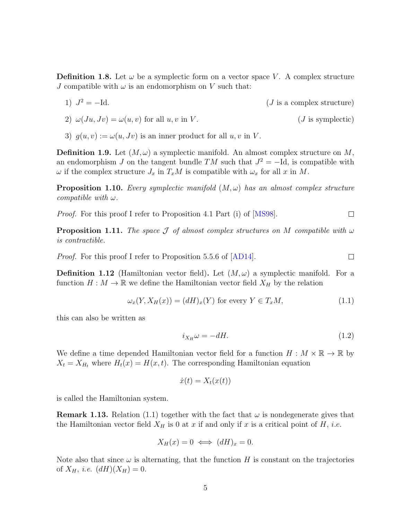**Definition 1.8.** Let  $\omega$  be a symplectic form on a vector space V. A complex structure J compatible with  $\omega$  is an endomorphism on V such that:

1) 
$$
J^2 = -\text{Id}
$$
.  
(J is a complex structure)

2) 
$$
\omega(Ju, Jv) = \omega(u, v)
$$
 for all  $u, v$  in  $V$ .  
( $J$  is symplectic)

3)  $q(u, v) := \omega(u, Jv)$  is an inner product for all  $u, v$  in V.

**Definition 1.9.** Let  $(M, \omega)$  a symplectic manifold. An almost complex structure on M, an endomorphism J on the tangent bundle TM such that  $J^2 = -Id$ , is compatible with  $\omega$  if the complex structure  $J_x$  in  $T_xM$  is compatible with  $\omega_x$  for all x in M.

**Proposition 1.10.** Every symplectic manifold  $(M, \omega)$  has an almost complex structure compatible with  $\omega$ .

 $\Box$ *Proof.* For this proof I refer to Proposition 4.1 Part (i) of [\[MS98\]](#page-72-5).

**Proposition 1.11.** The space  $\mathcal J$  of almost complex structures on M compatible with  $\omega$ is contractible.

 $\Box$ *Proof.* For this proof I refer to Proposition 5.5.6 of [\[AD14\]](#page-72-0).

**Definition 1.12** (Hamiltonian vector field). Let  $(M, \omega)$  a symplectic manifold. For a function  $H : M \to \mathbb{R}$  we define the Hamiltonian vector field  $X_H$  by the relation

$$
\omega_x(Y, X_H(x)) = (dH)_x(Y) \text{ for every } Y \in T_xM,
$$
\n(1.1)

this can also be written as

<span id="page-10-0"></span>
$$
i_{X_H}\omega = -dH.\tag{1.2}
$$

We define a time depended Hamiltonian vector field for a function  $H : M \times \mathbb{R} \to \mathbb{R}$  by  $X_t = X_{H_t}$  where  $H_t(x) = H(x, t)$ . The corresponding Hamiltonian equation

$$
\dot{x}(t) = X_t(x(t))
$$

is called the Hamiltonian system.

**Remark 1.13.** Relation [\(1.1\)](#page-10-0) together with the fact that  $\omega$  is nondegenerate gives that the Hamiltonian vector field  $X_H$  is 0 at x if and only if x is a critical point of H, *i.e.* 

$$
X_H(x) = 0 \iff (dH)_x = 0.
$$

Note also that since  $\omega$  is alternating, that the function H is constant on the trajectories of  $X_H$ , *i.e.*  $(dH)(X_H) = 0$ .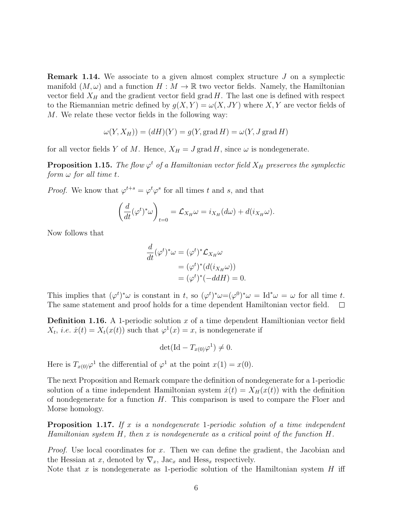**Remark 1.14.** We associate to a given almost complex structure  $J$  on a symplectic manifold  $(M, \omega)$  and a function  $H : M \to \mathbb{R}$  two vector fields. Namely, the Hamiltonian vector field  $X_H$  and the gradient vector field grad H. The last one is defined with respect to the Riemannian metric defined by  $g(X, Y) = \omega(X, JY)$  where X, Y are vector fields of M. We relate these vector fields in the following way:

$$
\omega(Y, X_H)) = (dH)(Y) = g(Y, \text{grad } H) = \omega(Y, J \text{ grad } H)
$$

for all vector fields Y of M. Hence,  $X_H = J \text{ grad } H$ , since  $\omega$  is nondegenerate.

<span id="page-11-2"></span>**Proposition 1.15.** The flow  $\varphi^t$  of a Hamiltonian vector field  $X_H$  preserves the symplectic form  $\omega$  for all time t.

*Proof.* We know that  $\varphi^{t+s} = \varphi^t \varphi^s$  for all times t and s, and that

$$
\left(\frac{d}{dt}(\varphi^t)^*\omega\right)_{t=0} = \mathcal{L}_{X_H}\omega = i_{X_H}(d\omega) + d(i_{X_H}\omega).
$$

Now follows that

$$
\frac{d}{dt}(\varphi^t)^*\omega = (\varphi^t)^*\mathcal{L}_{X_H}\omega
$$
  
=  $(\varphi^t)^*(d(i_{X_H}\omega))$   
=  $(\varphi^t)^*(-ddH) = 0.$ 

This implies that  $(\varphi^t)^*\omega$  is constant in t, so  $(\varphi^t)^*\omega = (\varphi^0)^*\omega = \mathrm{Id}^*\omega = \omega$  for all time t. The same statement and proof holds for a time dependent Hamiltonian vector field.  $\Box$ 

<span id="page-11-1"></span>**Definition 1.16.** A 1-periodic solution  $x$  of a time dependent Hamiltionian vector field  $X_t$ , *i.e.*  $\dot{x}(t) = X_t(x(t))$  such that  $\varphi^1(x) = x$ , is nondegenerate if

$$
\det(\mathrm{Id}-T_{x(0)}\varphi^1)\neq 0.
$$

Here is  $T_{x(0)}\varphi^1$  the differential of  $\varphi^1$  at the point  $x(1) = x(0)$ .

The next Proposition and Remark compare the definition of nondegenerate for a 1-periodic solution of a time independent Hamiltonian system  $\dot{x}(t) = X_H(x(t))$  with the definition of nondegenerate for a function  $H$ . This comparison is used to compare the Floer and Morse homology.

<span id="page-11-0"></span>**Proposition 1.17.** If x is a nondegenerate 1-periodic solution of a time independent Hamiltonian system  $H$ , then x is nondegenerate as a critical point of the function  $H$ .

*Proof.* Use local coordinates for x. Then we can define the gradient, the Jacobian and the Hessian at x, denoted by  $\nabla_x$ , Jac<sub>x</sub> and Hess<sub>x</sub> respectively.

Note that x is nondegenerate as 1-periodic solution of the Hamiltonian system  $H$  iff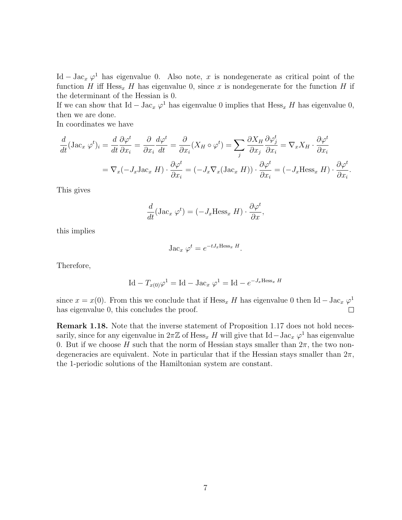Id – Jac<sub>x</sub>  $\varphi^1$  has eigenvalue 0. Also note, x is nondegenerate as critical point of the function H iff  $Hess_x H$  has eigenvalue 0, since x is nondegenerate for the function H if the determinant of the Hessian is 0.

If we can show that Id – Jac<sub>x</sub>  $\varphi^1$  has eigenvalue 0 implies that Hess<sub>x</sub> H has eigenvalue 0, then we are done.

In coordinates we have

$$
\frac{d}{dt}(\text{Jac}_x \varphi^t)_i = \frac{d}{dt} \frac{\partial \varphi^t}{\partial x_i} = \frac{\partial}{\partial x_i} \frac{d\varphi^t}{dt} = \frac{\partial}{\partial x_i} (X_H \circ \varphi^t) = \sum_j \frac{\partial X_H}{\partial x_j} \frac{\partial \varphi^t_j}{\partial x_i} = \nabla_x X_H \cdot \frac{\partial \varphi^t}{\partial x_i}
$$
\n
$$
= \nabla_x (-J_x \text{Jac}_x H) \cdot \frac{\partial \varphi^t}{\partial x_i} = (-J_x \nabla_x (\text{Jac}_x H)) \cdot \frac{\partial \varphi^t}{\partial x_i} = (-J_x \text{Hess}_x H) \cdot \frac{\partial \varphi^t}{\partial x_i}.
$$

This gives

$$
\frac{d}{dt}(\text{Jac}_x \varphi^t) = (-J_x \text{Hess}_x H) \cdot \frac{\partial \varphi^t}{\partial x},
$$

this implies

$$
Jac_x \varphi^t = e^{-tJ_x \text{Hess}_x H}.
$$

Therefore,

$$
\text{Id} - T_{x(0)}\varphi^1 = \text{Id} - \text{Jac}_x \varphi^1 = \text{Id} - e^{-J_x \text{Hess}_x H}
$$

since  $x = x(0)$ . From this we conclude that if  $Hess_x H$  has eigenvalue 0 then Id – Jac<sub>x</sub>  $\varphi^1$ has eigenvalue 0, this concludes the proof.  $\Box$ 

<span id="page-12-0"></span>Remark 1.18. Note that the inverse statement of Proposition [1.17](#page-11-0) does not hold necessarily, since for any eigenvalue in  $2\pi\mathbb{Z}$  of  $\text{Hess}_x H$  will give that Id – Jac<sub>x</sub>  $\varphi^1$  has eigenvalue 0. But if we choose H such that the norm of Hessian stays smaller than  $2\pi$ , the two nondegeneracies are equivalent. Note in particular that if the Hessian stays smaller than  $2\pi$ , the 1-periodic solutions of the Hamiltonian system are constant.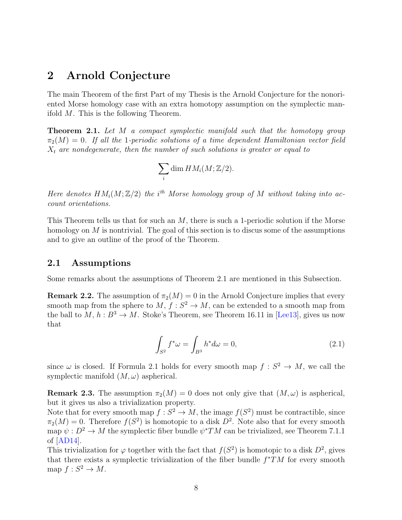### <span id="page-13-0"></span>2 Arnold Conjecture

The main Theorem of the first Part of my Thesis is the Arnold Conjecture for the nonoriented Morse homology case with an extra homotopy assumption on the symplectic manifold M. This is the following Theorem.

<span id="page-13-2"></span>**Theorem 2.1.** Let M a compact symplectic manifold such that the homotopy group  $\pi_2(M) = 0$ . If all the 1-periodic solutions of a time dependent Hamiltonian vector field  $X_t$  are nondegenerate, then the number of such solutions is greater or equal to

$$
\sum_i \dim HM_i(M;\mathbb{Z}/2).
$$

Here denotes  $HM_i(M;\mathbb{Z}/2)$  the i<sup>th</sup> Morse homology group of M without taking into account orientations.

This Theorem tells us that for such an  $M$ , there is such a 1-periodic solution if the Morse homology on  $M$  is nontrivial. The goal of this section is to discus some of the assumptions and to give an outline of the proof of the Theorem.

#### <span id="page-13-1"></span>2.1 Assumptions

Some remarks about the assumptions of Theorem [2.1](#page-13-2) are mentioned in this Subsection.

<span id="page-13-4"></span>**Remark 2.2.** The assumption of  $\pi_2(M) = 0$  in the Arnold Conjecture implies that every smooth map from the sphere to  $M, f: S^2 \to M$ , can be extended to a smooth map from the ball to M,  $h : B^3 \to M$ . Stoke's Theorem, see Theorem 16.11 in [\[Lee13\]](#page-72-6), gives us now that

<span id="page-13-3"></span>
$$
\int_{S^2} f^* \omega = \int_{B^3} h^* d\omega = 0,
$$
\n(2.1)

since  $\omega$  is closed. If Formula [2.1](#page-13-3) holds for every smooth map  $f: S^2 \to M$ , we call the symplectic manifold  $(M, \omega)$  aspherical.

<span id="page-13-5"></span>**Remark 2.3.** The assumption  $\pi_2(M) = 0$  does not only give that  $(M, \omega)$  is aspherical, but it gives us also a trivialization property.

Note that for every smooth map  $f: S^2 \to M$ , the image  $f(S^2)$  must be contractible, since  $\pi_2(M) = 0$ . Therefore  $f(S^2)$  is homotopic to a disk  $D^2$ . Note also that for every smooth map  $\psi : D^2 \to M$  the symplectic fiber bundle  $\psi^*TM$  can be trivialized, see Theorem 7.1.1 of [\[AD14\]](#page-72-0).

This trivialization for  $\varphi$  together with the fact that  $f(S^2)$  is homotopic to a disk  $D^2$ , gives that there exists a symplectic trivialization of the fiber bundle  $f^*TM$  for every smooth map  $f: S^2 \to M$ .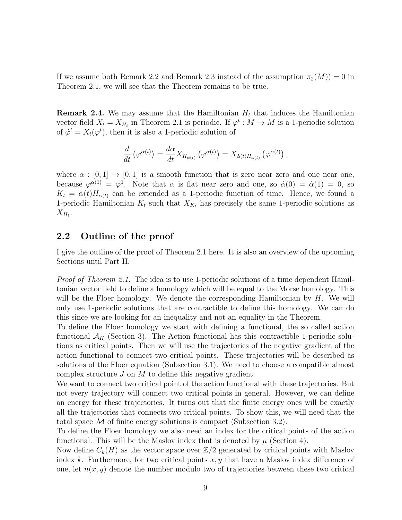If we assume both Remark [2.2](#page-13-4) and Remark [2.3](#page-13-5) instead of the assumption  $\pi_2(M) = 0$  in Theorem [2.1,](#page-13-2) we will see that the Theorem remains to be true.

**Remark 2.4.** We may assume that the Hamiltonian  $H_t$  that induces the Hamiltonian vector field  $X_t = X_{H_t}$  in Theorem [2.1](#page-13-2) is periodic. If  $\varphi^t : M \to M$  is a 1-periodic solution of  $\dot{\varphi}^t = X_t(\varphi^t)$ , then it is also a 1-periodic solution of

$$
\frac{d}{dt} \left( \varphi^{\alpha(t)} \right) = \frac{d\alpha}{dt} X_{H_{\alpha(t)}} \left( \varphi^{\alpha(t)} \right) = X_{\dot{\alpha}(t) H_{\alpha(t)}} \left( \varphi^{\alpha(t)} \right),
$$

where  $\alpha : [0,1] \to [0,1]$  is a smooth function that is zero near zero and one near one, because  $\varphi^{\alpha(1)} = \varphi^1$ . Note that  $\alpha$  is flat near zero and one, so  $\dot{\alpha}(0) = \dot{\alpha}(1) = 0$ , so  $K_t = \dot{\alpha}(t)H_{\alpha(t)}$  can be extended as a 1-periodic function of time. Hence, we found a 1-periodic Hamiltonian  $K_t$  such that  $X_{K_t}$  has precisely the same 1-periodic solutions as  $X_{H_t}$ .

#### <span id="page-14-0"></span>2.2 Outline of the proof

I give the outline of the proof of Theorem [2.1](#page-13-2) here. It is also an overview of the upcoming Sections until Part [II.](#page-50-0)

Proof of Theorem [2.1.](#page-13-2) The idea is to use 1-periodic solutions of a time dependent Hamiltonian vector field to define a homology which will be equal to the Morse homology. This will be the Floer homology. We denote the corresponding Hamiltonian by  $H$ . We will only use 1-periodic solutions that are contractible to define this homology. We can do this since we are looking for an inequality and not an equality in the Theorem.

To define the Floer homology we start with defining a functional, the so called action functional  $\mathcal{A}_H$  (Section [3\)](#page-16-0). The Action functional has this contractible 1-periodic solutions as critical points. Then we will use the trajectories of the negative gradient of the action functional to connect two critical points. These trajectories will be described as solutions of the Floer equation (Subsection [3.1\)](#page-17-0). We need to choose a compatible almost complex structure J on M to define this negative gradient.

We want to connect two critical point of the action functional with these trajectories. But not every trajectory will connect two critical points in general. However, we can define an energy for these trajectories. It turns out that the finite energy ones will be exactly all the trajectories that connects two critical points. To show this, we will need that the total space  $\mathcal M$  of finite energy solutions is compact (Subsection [3.2\)](#page-19-0).

To define the Floer homology we also need an index for the critical points of the action functional. This will be the Maslov index that is denoted by  $\mu$  (Section [4\)](#page-27-0).

Now define  $C_k(H)$  as the vector space over  $\mathbb{Z}/2$  generated by critical points with Maslov index k. Furthermore, for two critical points  $x, y$  that have a Maslov index difference of one, let  $n(x, y)$  denote the number modulo two of trajectories between these two critical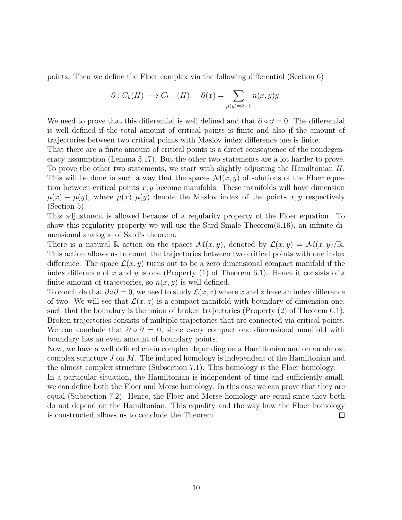points. Then we define the Floer complex via the following differential (Section [6\)](#page-39-0)

$$
\partial: C_k(H) \longrightarrow C_{k-1}(H), \quad \partial(x) = \sum_{\mu(y)=k-1} n(x, y)y.
$$

We need to prove that this differential is well defined and that  $\partial \circ \partial = 0$ . The differential is well defined if the total amount of critical points is finite and also if the amount of trajectories between two critical points with Maslov index difference one is finite.

That there are a finite amount of critical points is a direct consequence of the nondegeneracy assumption (Lemma [3.17\)](#page-23-0). But the other two statements are a lot harder to prove. To prove the other two statements, we start with slightly adjusting the Hamiltonian  $H$ . This will be done in such a way that the spaces  $\mathcal{M}(x, y)$  of solutions of the Floer equation between critical points  $x, y$  become manifolds. These manifolds will have dimension  $\mu(x) - \mu(y)$ , where  $\mu(x), \mu(y)$  denote the Maslov index of the points x, y respectively (Section [5\)](#page-32-0).

This adjustment is allowed because of a regularity property of the Floer equation. To show this regularity property we will use the Sard-Smale Theorem[\(5.16\)](#page-37-1), an infinite dimensional analogue of Sard's theorem.

There is a natural R action on the spaces  $\mathcal{M}(x, y)$ , denoted by  $\mathcal{L}(x, y) = \mathcal{M}(x, y)/\mathbb{R}$ . This action allows us to count the trajectories between two critical points with one index difference. The space  $\mathcal{L}(x, y)$  turns out to be a zero dimensional compact manifold if the index difference of x and y is one (Property  $(1)$  of Theorem [6.1\)](#page-39-2). Hence it consists of a finite amount of trajectories, so  $n(x, y)$  is well defined.

To conclude that  $\partial \circ \partial = 0$ , we need to study  $\mathcal{L}(x, z)$  where x and z have an index difference of two. We will see that  $\mathcal{L}(x, z)$  is a compact manifold with boundary of dimension one, such that the boundary is the union of broken trajectories (Property [\(2\)](#page-39-3) of Theorem [6.1\)](#page-39-2). Broken trajectories consists of multiple trajectories that are connected via critical points. We can conclude that  $\partial \circ \partial = 0$ , since every compact one dimensional manifold with boundary has an even amount of boundary points.

Now, we have a well defined chain complex depending on a Hamiltonian and on an almost complex structure  $J$  on  $M$ . The induced homology is independent of the Hamiltonian and the almost complex structure (Subsection [7.1\)](#page-45-1). This homology is the Floer homology.

In a particular situation, the Hamiltonian is independent of time and sufficiently small, we can define both the Floer and Morse homology. In this case we can prove that they are equal (Subsection [7.2\)](#page-47-0). Hence, the Floer and Morse homology are equal since they both do not depend on the Hamiltonian. This equality and the way how the Floer homology is constructed allows us to conclude the Theorem.  $\Box$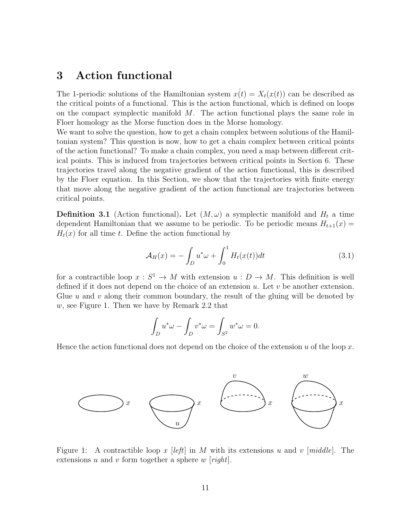### <span id="page-16-0"></span>3 Action functional

The 1-periodic solutions of the Hamiltonian system  $x(t) = X_t(x(t))$  can be described as the critical points of a functional. This is the action functional, which is defined on loops on the compact symplectic manifold  $M$ . The action functional plays the same role in Floer homology as the Morse function does in the Morse homology.

We want to solve the question, how to get a chain complex between solutions of the Hamiltonian system? This question is now, how to get a chain complex between critical points of the action functional? To make a chain complex, you need a map between different critical points. This is induced from trajectories between critical points in Section [6.](#page-39-0) These trajectories travel along the negative gradient of the action functional, this is described by the Floer equation. In this Section, we show that the trajectories with finite energy that move along the negative gradient of the action functional are trajectories between critical points.

**Definition 3.1** (Action functional). Let  $(M, \omega)$  a symplectic manifold and  $H_t$  a time dependent Hamiltonian that we assume to be periodic. To be periodic means  $H_{t+1}(x) =$  $H_t(x)$  for all time t. Define the action functional by

<span id="page-16-2"></span>
$$
\mathcal{A}_H(x) = -\int_D u^*\omega + \int_0^1 H_t(x(t))dt \qquad (3.1)
$$

for a contractible loop  $x : S^1 \to M$  with extension  $u : D \to M$ . This definition is well defined if it does not depend on the choice of an extension  $u$ . Let  $v$  be another extension. Glue u and v along their common boundary, the result of the gluing will be denoted by w, see Figure [1.](#page-16-1) Then we have by Remark [2.2](#page-13-4) that

$$
\int_D u^*\omega - \int_D v^*\omega = \int_{S^2} w^*\omega = 0.
$$

Hence the action functional does not depend on the choice of the extension u of the loop x.

<span id="page-16-1"></span>

Figure 1: A contractible loop x [left] in M with its extensions u and v  $[middle]$ . The extensions u and v form together a sphere w  $[right].$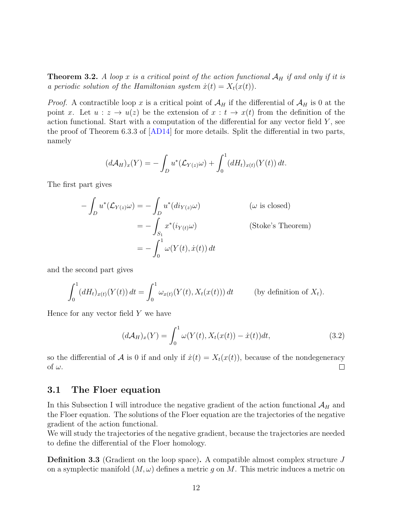<span id="page-17-2"></span>**Theorem 3.2.** A loop x is a critical point of the action functional  $A_H$  if and only if it is a periodic solution of the Hamiltonian system  $\dot{x}(t) = X_t(x(t)).$ 

*Proof.* A contractible loop x is a critical point of  $\mathcal{A}_H$  if the differential of  $\mathcal{A}_H$  is 0 at the point x. Let  $u : z \to u(z)$  be the extension of  $x : t \to x(t)$  from the definition of the action functional. Start with a computation of the differential for any vector field  $Y$ , see the proof of Theorem 6.3.3 of [\[AD14\]](#page-72-0) for more details. Split the differential in two parts, namely

$$
(d\mathcal{A}_H)_x(Y) = -\int_D u^*(\mathcal{L}_{Y(z)}\omega) + \int_0^1 (dH_t)_{x(t)}(Y(t)) dt.
$$

The first part gives

$$
-\int_{D} u^*(\mathcal{L}_{Y(z)}\omega) = -\int_{D} u^*(di_{Y(z)}\omega)
$$
 ( $\omega$  is closed)  
=  $-\int_{S_1} x^*(i_{Y(t)}\omega)$  (Stoke's Theorem)  
=  $-\int_0^1 \omega(Y(t), \dot{x}(t)) dt$ 

and the second part gives

$$
\int_0^1 (dH_t)_{x(t)}(Y(t)) dt = \int_0^1 \omega_{x(t)}(Y(t), X_t(x(t))) dt \qquad \text{(by definition of } X_t).
$$

Hence for any vector field  $Y$  we have

<span id="page-17-1"></span>
$$
(d\mathcal{A}_H)_x(Y) = \int_0^1 \omega(Y(t), X_t(x(t)) - \dot{x}(t))dt,
$$
\n(3.2)

so the differential of A is 0 if and only if  $\dot{x}(t) = X_t(x(t))$ , because of the nondegeneracy of  $\omega$ .  $\Box$ 

#### <span id="page-17-0"></span>3.1 The Floer equation

In this Subsection I will introduce the negative gradient of the action functional  $\mathcal{A}_H$  and the Floer equation. The solutions of the Floer equation are the trajectories of the negative gradient of the action functional.

We will study the trajectories of the negative gradient, because the trajectories are needed to define the differential of the Floer homology.

**Definition 3.3** (Gradient on the loop space). A compatible almost complex structure  $J$ on a symplectic manifold  $(M, \omega)$  defines a metric g on M. This metric induces a metric on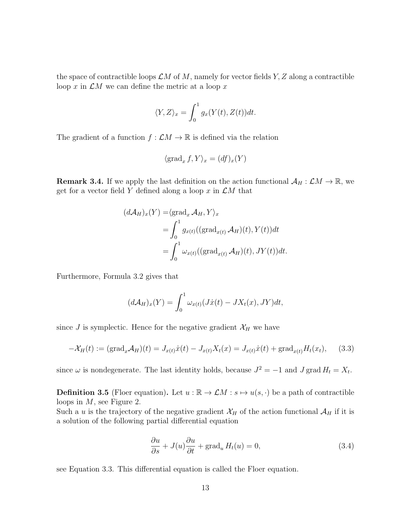the space of contractible loops  $\mathcal{L}M$  of M, namely for vector fields Y, Z along a contractible loop x in  $\mathcal{L}M$  we can define the metric at a loop x

$$
\langle Y, Z \rangle_x = \int_0^1 g_x(Y(t), Z(t)) dt.
$$

The gradient of a function  $f : \mathcal{L}M \to \mathbb{R}$  is defined via the relation

$$
\langle \operatorname{grad}_x f, Y \rangle_x = (df)_x(Y)
$$

**Remark 3.4.** If we apply the last definition on the action functional  $A_H : \mathcal{L}M \to \mathbb{R}$ , we get for a vector field Y defined along a loop x in  $\mathcal{L}M$  that

$$
(d\mathcal{A}_H)_x(Y) = \langle \text{grad}_x \mathcal{A}_H, Y \rangle_x
$$
  
=  $\int_0^1 g_{x(t)}((\text{grad}_{x(t)} \mathcal{A}_H)(t), Y(t))dt$   
=  $\int_0^1 \omega_{x(t)}((\text{grad}_{x(t)} \mathcal{A}_H)(t), JY(t))dt.$ 

Furthermore, Formula [3.2](#page-17-1) gives that

$$
(d\mathcal{A}_H)_x(Y) = \int_0^1 \omega_{x(t)}(J\dot{x}(t) - JX_t(x), JY)dt,
$$

since J is symplectic. Hence for the negative gradient  $\mathcal{X}_H$  we have

$$
-\mathcal{X}_H(t) := (\text{grad}_x \mathcal{A}_H)(t) = J_{x(t)} \dot{x}(t) - J_{x(t)} X_t(x) = J_{x(t)} \dot{x}(t) + \text{grad}_{x(t)} H_t(x_t), \quad (3.3)
$$

since  $\omega$  is nondegenerate. The last identity holds, because  $J^2 = -1$  and  $J$  grad  $H_t = X_t$ .

**Definition 3.5** (Floer equation). Let  $u : \mathbb{R} \to \mathcal{L}M : s \mapsto u(s, \cdot)$  be a path of contractible loops in  $M$ , see Figure [2.](#page-19-1)

Such a u is the trajectory of the negative gradient  $\mathcal{X}_H$  of the action functional  $\mathcal{A}_H$  if it is a solution of the following partial differential equation

<span id="page-18-0"></span>
$$
\frac{\partial u}{\partial s} + J(u)\frac{\partial u}{\partial t} + \text{grad}_u H_t(u) = 0,
$$
\n(3.4)

see Equation [3.3.](#page-18-0) This differential equation is called the Floer equation.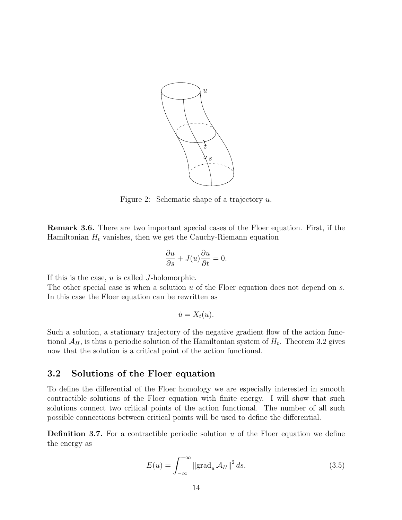<span id="page-19-1"></span>

Figure 2: Schematic shape of a trajectory u.

<span id="page-19-2"></span>Remark 3.6. There are two important special cases of the Floer equation. First, if the Hamiltonian  $H_t$  vanishes, then we get the Cauchy-Riemann equation

$$
\frac{\partial u}{\partial s} + J(u)\frac{\partial u}{\partial t} = 0.
$$

If this is the case,  $u$  is called  $J$ -holomorphic.

The other special case is when a solution  $u$  of the Floer equation does not depend on  $s$ . In this case the Floer equation can be rewritten as

$$
\dot{u} = X_t(u).
$$

Such a solution, a stationary trajectory of the negative gradient flow of the action functional  $\mathcal{A}_H$ , is thus a periodic solution of the Hamiltonian system of  $H_t$ . Theorem [3.2](#page-17-2) gives now that the solution is a critical point of the action functional.

#### <span id="page-19-0"></span>3.2 Solutions of the Floer equation

To define the differential of the Floer homology we are especially interested in smooth contractible solutions of the Floer equation with finite energy. I will show that such solutions connect two critical points of the action functional. The number of all such possible connections between critical points will be used to define the differential.

**Definition 3.7.** For a contractible periodic solution  $u$  of the Floer equation we define the energy as

$$
E(u) = \int_{-\infty}^{+\infty} ||\text{grad}_u \mathcal{A}_H||^2 ds.
$$
 (3.5)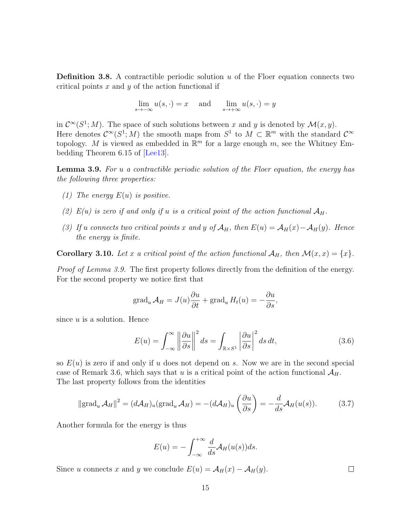**Definition 3.8.** A contractible periodic solution  $u$  of the Floer equation connects two critical points  $x$  and  $y$  of the action functional if

$$
\lim_{s \to -\infty} u(s, \cdot) = x \quad \text{and} \quad \lim_{s \to +\infty} u(s, \cdot) = y
$$

in  $\mathcal{C}^{\infty}(S^1; M)$ . The space of such solutions between x and y is denoted by  $\mathcal{M}(x, y)$ . Here denotes  $\mathcal{C}^{\infty}(S^1;M)$  the smooth maps from  $S^1$  to  $M\subset\mathbb{R}^m$  with the standard  $\mathcal{C}^{\infty}$ topology. M is viewed as embedded in  $\mathbb{R}^m$  for a large enough m, see the Whitney Embedding Theorem 6.15 of [\[Lee13\]](#page-72-6).

<span id="page-20-0"></span>**Lemma 3.9.** For u a contractible periodic solution of the Floer equation, the energy has the following three properties:

- (1) The energy  $E(u)$  is positive.
- (2)  $E(u)$  is zero if and only if u is a critical point of the action functional  $\mathcal{A}_H$ .
- <span id="page-20-1"></span>(3) If u connects two critical points x and y of  $A_H$ , then  $E(u) = A_H(x) - A_H(y)$ . Hence the energy is finite.

**Corollary 3.10.** Let x a critical point of the action functional  $A_H$ , then  $\mathcal{M}(x, x) = \{x\}$ .

Proof of Lemma [3.9.](#page-20-0) The first property follows directly from the definition of the energy. For the second property we notice first that

grad<sub>u</sub> 
$$
\mathcal{A}_H = J(u)\frac{\partial u}{\partial t} + \text{grad}_u H_t(u) = -\frac{\partial u}{\partial s},
$$

since  $u$  is a solution. Hence

$$
E(u) = \int_{-\infty}^{\infty} \left\| \frac{\partial u}{\partial s} \right\|^2 ds = \int_{\mathbb{R} \times S^1} \left| \frac{\partial u}{\partial s} \right|^2 ds dt, \tag{3.6}
$$

<span id="page-20-2"></span> $\Box$ 

so  $E(u)$  is zero if and only if u does not depend on s. Now we are in the second special case of Remark [3.6,](#page-19-2) which says that u is a critical point of the action functional  $\mathcal{A}_H$ . The last property follows from the identities

$$
\|\operatorname{grad}_u \mathcal{A}_H\|^2 = (d\mathcal{A}_H)_u(\operatorname{grad}_u \mathcal{A}_H) = -(d\mathcal{A}_H)_u \left(\frac{\partial u}{\partial s}\right) = -\frac{d}{ds} \mathcal{A}_H(u(s)).\tag{3.7}
$$

Another formula for the energy is thus

$$
E(u) = -\int_{-\infty}^{+\infty} \frac{d}{ds} \mathcal{A}_H(u(s))ds.
$$

Since u connects x and y we conclude  $E(u) = A_H(x) - A_H(y)$ .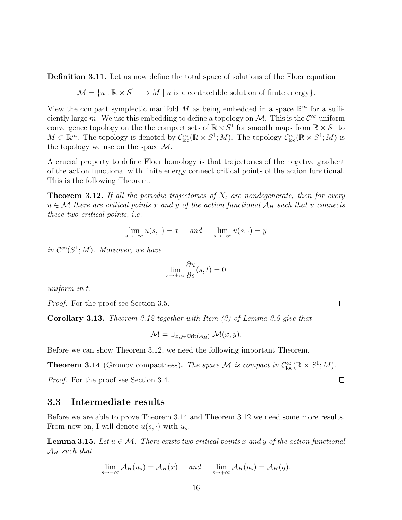Definition 3.11. Let us now define the total space of solutions of the Floer equation

 $\mathcal{M} = \{u : \mathbb{R} \times S^1 \longrightarrow M \mid u \text{ is a contractible solution of finite energy}\}.$ 

View the compact symplectic manifold M as being embedded in a space  $\mathbb{R}^m$  for a sufficiently large m. We use this embedding to define a topology on  $\mathcal M$ . This is the  $\mathcal{C}^{\infty}$  uniform convergence topology on the the compact sets of  $\mathbb{R} \times S^1$  for smooth maps from  $\mathbb{R} \times S^1$  to  $M \subset \mathbb{R}^m$ . The topology is denoted by  $\mathcal{C}^{\infty}_{\text{loc}}(\mathbb{R} \times S^1; M)$ . The topology  $\mathcal{C}^{\infty}_{\text{loc}}(\mathbb{R} \times S^1; M)$  is the topology we use on the space  $\mathcal{M}$ .

A crucial property to define Floer homology is that trajectories of the negative gradient of the action functional with finite energy connect critical points of the action functional. This is the following Theorem.

<span id="page-21-1"></span>**Theorem 3.12.** If all the periodic trajectories of  $X_t$  are nondegenerate, then for every  $u \in \mathcal{M}$  there are critical points x and y of the action functional  $\mathcal{A}_H$  such that u connects these two critical points, i.e.

$$
\lim_{s \to -\infty} u(s, \cdot) = x \quad \text{and} \quad \lim_{s \to +\infty} u(s, \cdot) = y
$$

in  $\mathcal{C}^{\infty}(S^1;M)$ . Moreover, we have

$$
\lim_{s \to \pm \infty} \frac{\partial u}{\partial s}(s, t) = 0
$$

uniform in t.

Proof. For the proof see Section [3.5.](#page-26-0)

**Corollary 3.13.** Theorem [3.12](#page-21-1) together with Item  $(3)$  of Lemma [3.9](#page-20-0) give that

$$
\mathcal{M}=\cup_{x,y\in\operatorname{Crit}(\mathcal{A}_H)}\mathcal{M}(x,y).
$$

Before we can show Theorem [3.12,](#page-21-1) we need the following important Theorem.

<span id="page-21-2"></span>**Theorem 3.14** (Gromov compactness). The space M is compact in  $C_{loc}^{\infty}(\mathbb{R} \times S^1; M)$ .

Proof. For the proof see Section [3.4.](#page-24-0)

#### <span id="page-21-0"></span>3.3 Intermediate results

Before we are able to prove Theorem [3.14](#page-21-2) and Theorem [3.12](#page-21-1) we need some more results. From now on, I will denote  $u(s, \cdot)$  with  $u_s$ .

<span id="page-21-3"></span>**Lemma 3.15.** Let  $u \in \mathcal{M}$ . There exists two critical points x and y of the action functional  $\mathcal{A}_H$  such that

$$
\lim_{s \to -\infty} A_H(u_s) = A_H(x) \quad \text{and} \quad \lim_{s \to +\infty} A_H(u_s) = A_H(y).
$$

 $\Box$ 

 $\Box$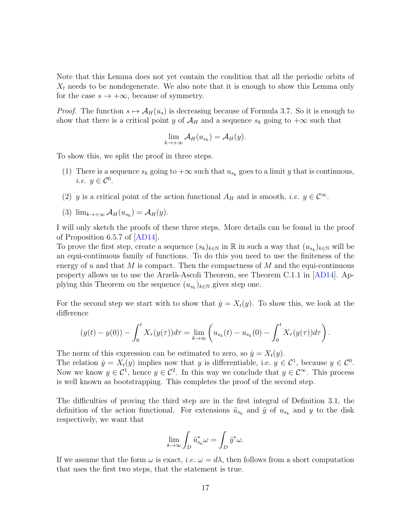Note that this Lemma does not yet contain the condition that all the periodic orbits of  $X_t$  needs to be nondegenerate. We also note that it is enough to show this Lemma only for the case  $s \to +\infty$ , because of symmetry.

*Proof.* The function  $s \mapsto A_H(u_s)$  is decreasing because of Formula [3.7.](#page-20-2) So it is enough to show that there is a critical point y of  $\mathcal{A}_H$  and a sequence  $s_k$  going to  $+\infty$  such that

$$
\lim_{k \to +\infty} \mathcal{A}_H(u_{s_k}) = \mathcal{A}_H(y).
$$

To show this, we split the proof in three steps.

- (1) There is a sequence  $s_k$  going to  $+\infty$  such that  $u_{s_k}$  goes to a limit y that is continuous, *i.e.*  $y \in \mathcal{C}^0$ .
- (2) y is a critical point of the action functional  $A_H$  and is smooth, *i.e.*  $y \in C^{\infty}$ .
- (3)  $\lim_{k \to +\infty} A_H(u_{s_k}) = A_H(y).$

I will only sketch the proofs of these three steps. More details can be found in the proof of Proposition 6.5.7 of [\[AD14\]](#page-72-0).

To prove the first step, create a sequence  $(s_k)_{k\in\mathbb{N}}$  in  $\mathbb R$  in such a way that  $(u_{s_k})_{k\in\mathbb{N}}$  will be an equi-continuous family of functions. To do this you need to use the finiteness of the energy of u and that M is compact. Then the compactness of M and the equi-continuous property allows us to use the Arzelà-Ascoli Theorem, see Theorem C.1.1 in  $[AD14]$ . Applying this Theorem on the sequence  $(u_{s_k})_{k \in \mathbb{N}}$  gives step one.

For the second step we start with to show that  $\dot{y} = X_t(y)$ . To show this, we look at the difference

$$
(y(t) - y(0)) - \int_0^t X_\tau(y(\tau))d\tau = \lim_{k \to \infty} \left( u_{s_k}(t) - u_{s_k}(0) - \int_0^t X_\tau(y(\tau))d\tau \right).
$$

The norm of this expression can be estimated to zero, so  $\dot{y} = X_t(y)$ .

The relation  $\dot{y} = X_t(y)$  implies now that y is differentiable, i.e.  $y \in C^1$ , because  $y \in C^0$ . Now we know  $y \in \mathcal{C}^1$ , hence  $y \in \mathcal{C}^2$ . In this way we conclude that  $y \in \mathcal{C}^{\infty}$ . This process is well known as bootstrapping. This completes the proof of the second step.

The difficulties of proving the third step are in the first integral of Definition [3.1,](#page-16-2) the definition of the action functional. For extensions  $\tilde{u}_{s_k}$  and  $\tilde{y}$  of  $u_{s_k}$  and y to the disk respectively, we want that

$$
\lim_{k \to \infty} \int_D \tilde{u}_{s_k}^* \omega = \int_D \tilde{y}^* \omega.
$$

If we assume that the form  $\omega$  is exact, *i.e.*  $\omega = d\lambda$ , then follows from a short computation that uses the first two steps, that the statement is true.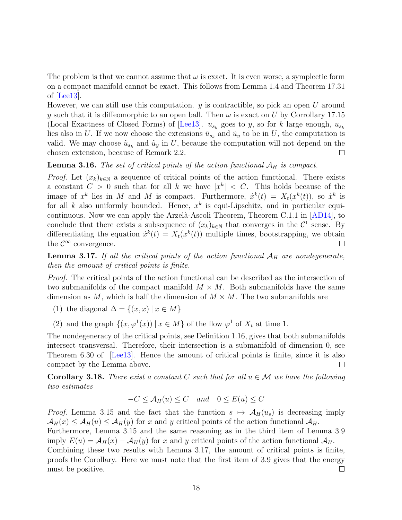The problem is that we cannot assume that  $\omega$  is exact. It is even worse, a symplectic form on a compact manifold cannot be exact. This follows from Lemma [1.4](#page-9-1) and Theorem 17.31 of [\[Lee13\]](#page-72-6).

However, we can still use this computation.  $y$  is contractible, so pick an open U around y such that it is diffeomorphic to an open ball. Then  $\omega$  is exact on U by Corrollary 17.15 (Local Exactness of Closed Forms) of [\[Lee13\]](#page-72-6).  $u_{s_k}$  goes to y, so for k large enough,  $u_{s_k}$ lies also in U. If we now choose the extensions  $\tilde{u}_{s_k}$  and  $\tilde{u}_y$  to be in U, the computation is valid. We may choose  $\tilde{u}_{s_k}$  and  $\tilde{u}_y$  in U, because the computation will not depend on the chosen extension, because of Remark [2.2.](#page-13-4)  $\Box$ 

**Lemma 3.16.** The set of critical points of the action functional  $A_H$  is compact.

*Proof.* Let  $(x_k)_{k\in\mathbb{N}}$  a sequence of critical points of the action functional. There exists a constant  $C > 0$  such that for all k we have  $|x^k| < C$ . This holds because of the image of  $x^k$  lies in M and M is compact. Furthermore,  $\dot{x}^k(t) = X_t(x^k(t))$ , so  $\dot{x}^k$  is for all k also uniformly bounded. Hence,  $x^k$  is equi-Lipschitz, and in particular equicontinuous. Now we can apply the Arzelà-Ascoli Theorem, Theorem C.1.1 in  $[AD14]$ , to conclude that there exists a subsequence of  $(x_k)_{k\in\mathbb{N}}$  that converges in the  $\mathcal{C}^1$  sense. By differentiating the equation  $\dot{x}^k(t) = X_t(x^k(t))$  multiple times, bootstrapping, we obtain the  $\mathcal{C}^{\infty}$  convergence.  $\Box$ 

<span id="page-23-0"></span>**Lemma 3.17.** If all the critical points of the action functional  $A_H$  are nondegenerate, then the amount of critical points is finite.

Proof. The critical points of the action functional can be described as the intersection of two submanifolds of the compact manifold  $M \times M$ . Both submanifolds have the same dimension as M, which is half the dimension of  $M \times M$ . The two submanifolds are

- (1) the diagonal  $\Delta = \{(x, x) | x \in M\}$
- (2) and the graph  $\{(x,\varphi^1(x)) \mid x \in M\}$  of the flow  $\varphi^1$  of  $X_t$  at time 1.

The nondegeneracy of the critical points, see Definition [1.16,](#page-11-1) gives that both submanifolds intersect transversal. Therefore, their intersection is a submanifold of dimension 0, see Theorem 6.30 of [\[Lee13\]](#page-72-6). Hence the amount of critical points is finite, since it is also compact by the Lemma above.  $\Box$ 

<span id="page-23-1"></span>**Corollary 3.18.** There exist a constant C such that for all  $u \in \mathcal{M}$  we have the following two estimates

$$
-C \le \mathcal{A}_H(u) \le C \quad and \quad 0 \le E(u) \le C
$$

*Proof.* Lemma [3.15](#page-21-3) and the fact that the function  $s \mapsto A_H(u_s)$  is decreasing imply  $\mathcal{A}_H(x) \leq \mathcal{A}_H(u) \leq \mathcal{A}_H(y)$  for x and y critical points of the action functional  $\mathcal{A}_H$ . Furthermore, Lemma [3.15](#page-21-3) and the same reasoning as in the third item of Lemma [3.9](#page-20-0) imply  $E(u) = A_H(x) - A_H(y)$  for x and y critical points of the action functional  $A_H$ . Combining these two results with Lemma [3.17,](#page-23-0) the amount of critical points is finite, proofs the Corollary. Here we must note that the first item of [3.9](#page-20-0) gives that the energy must be positive.  $\Box$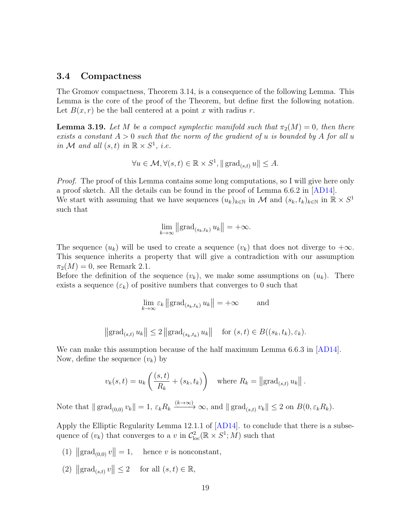#### <span id="page-24-0"></span>3.4 Compactness

The Gromov compactness, Theorem [3.14,](#page-21-2) is a consequence of the following Lemma. This Lemma is the core of the proof of the Theorem, but define first the following notation. Let  $B(x, r)$  be the ball centered at a point x with radius r.

<span id="page-24-1"></span>**Lemma 3.19.** Let M be a compact symplectic manifold such that  $\pi_2(M) = 0$ , then there exists a constant  $A > 0$  such that the norm of the gradient of u is bounded by A for all u in M and all  $(s, t)$  in  $\mathbb{R} \times S^1$ , i.e.

$$
\forall u \in \mathcal{M}, \forall (s, t) \in \mathbb{R} \times S^1, \|\operatorname{grad}_{(s,t)} u\| \leq A.
$$

Proof. The proof of this Lemma contains some long computations, so I will give here only a proof sketch. All the details can be found in the proof of Lemma 6.6.2 in [\[AD14\]](#page-72-0). We start with assuming that we have sequences  $(u_k)_{k\in\mathbb{N}}$  in  $\mathcal M$  and  $(s_k, t_k)_{k\in\mathbb{N}}$  in  $\mathbb{R}\times S^1$ such that

$$
\lim_{k \to \infty} ||\operatorname{grad}_{(s_k, t_k)} u_k|| = +\infty.
$$

The sequence  $(u_k)$  will be used to create a sequence  $(v_k)$  that does not diverge to  $+\infty$ . This sequence inherits a property that will give a contradiction with our assumption  $\pi_2(M) = 0$ , see Remark [2.1.](#page-13-3)

Before the definition of the sequence  $(v_k)$ , we make some assumptions on  $(u_k)$ . There exists a sequence  $(\varepsilon_k)$  of positive numbers that converges to 0 such that

$$
\lim_{k \to \infty} \varepsilon_k \left\| \text{grad}_{(s_k, t_k)} u_k \right\| = +\infty \quad \text{and}
$$
  

$$
\left\| \text{grad}_{(s,t)} u_k \right\| \le 2 \left\| \text{grad}_{(s_k, t_k)} u_k \right\| \quad \text{for } (s, t) \in B((s_k, t_k), \varepsilon_k).
$$

We can make this assumption because of the half maximum Lemma 6.6.3 in [\[AD14\]](#page-72-0). Now, define the sequence  $(v_k)$  by

$$
v_k(s,t) = u_k\left(\frac{(s,t)}{R_k} + (s_k, t_k)\right) \quad \text{where } R_k = ||\text{grad}_{(s,t)} u_k||.
$$

Note that  $||\text{grad}_{(0,0)} v_k|| = 1$ ,  $\varepsilon_k R_k \xrightarrow{(k \to \infty)} \infty$ , and  $||\text{grad}_{(s,t)} v_k|| \leq 2$  on  $B(0, \varepsilon_k R_k)$ .

Apply the Elliptic Regularity Lemma 12.1.1 of [\[AD14\]](#page-72-0). to conclude that there is a subsequence of  $(v_k)$  that converges to a v in  $\mathcal{C}^2_{loc}(\mathbb{R} \times S^1; M)$  such that

- (1)  $\|\text{grad}_{(0,0)} v\| = 1$ , hence v is nonconstant,
- (2)  $\left\| \text{grad}_{(s,t)} v \right\| \leq 2 \quad \text{ for all } (s,t) \in \mathbb{R},$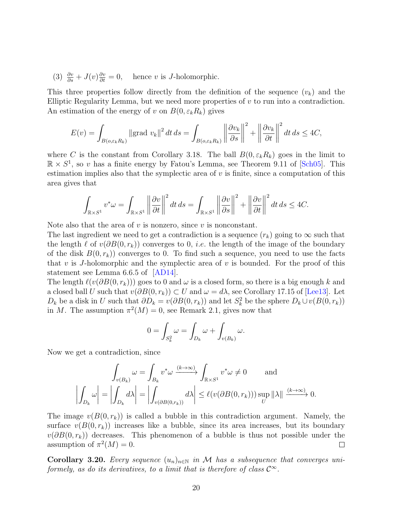(3)  $\frac{\partial v}{\partial s} + J(v)\frac{\partial v}{\partial t} = 0$ , hence v is *J*-holomorphic.

This three properties follow directly from the definition of the sequence  $(v_k)$  and the Elliptic Regularity Lemma, but we need more properties of  $v$  to run into a contradiction. An estimation of the energy of v on  $B(0, \varepsilon_k R_k)$  gives

$$
E(v) = \int_{B(o,\varepsilon_k R_k)} ||\text{grad } v_k||^2 dt ds = \int_{B(o,\varepsilon_k R_k)} \left\| \frac{\partial v_k}{\partial s} \right\|^2 + \left\| \frac{\partial v_k}{\partial t} \right\|^2 dt ds \le 4C,
$$

where C is the constant from Corollary [3.18.](#page-23-1) The ball  $B(0, \varepsilon_k R_k)$  goes in the limit to  $\mathbb{R} \times S^1$ , so v has a finite energy by Fatou's Lemma, see Theorem 9.11 of [\[Sch05\]](#page-72-7). This estimation implies also that the symplectic area of  $v$  is finite, since a computation of this area gives that

$$
\int_{\mathbb{R}\times S^1} v^*\omega = \int_{\mathbb{R}\times S^1} \left\| \frac{\partial v}{\partial t} \right\|^2 dt \, ds = \int_{\mathbb{R}\times S^1} \left\| \frac{\partial v}{\partial s} \right\|^2 + \left\| \frac{\partial v}{\partial t} \right\|^2 dt \, ds \le 4C.
$$

Note also that the area of  $v$  is nonzero, since  $v$  is nonconstant.

The last ingredient we need to get a contradiction is a sequence  $(r_k)$  going to  $\infty$  such that the length  $\ell$  of  $v(\partial B(0, r_k))$  converges to 0, *i.e.* the length of the image of the boundary of the disk  $B(0, r_k)$  converges to 0. To find such a sequence, you need to use the facts that  $v$  is J-holomorphic and the symplectic area of  $v$  is bounded. For the proof of this statement see Lemma 6.6.5 of [\[AD14\]](#page-72-0).

The length  $\ell(v(\partial B(0, r_k)))$  goes to 0 and  $\omega$  is a closed form, so there is a big enough k and a closed ball U such that  $v(\partial B(0, r_k)) \subset U$  and  $\omega = d\lambda$ , see Corollary 17.15 of [\[Lee13\]](#page-72-6). Let  $D_k$  be a disk in U such that  $\partial D_k = v(\partial B(0, r_k))$  and let  $S_k^2$  be the sphere  $D_k \cup v(B(0, r_k))$ in M. The assumption  $\pi^2(M) = 0$ , see Remark [2.1,](#page-13-3) gives now that

$$
0 = \int_{S_k^2} \omega = \int_{D_k} \omega + \int_{v(B_k)} \omega.
$$

Now we get a contradiction, since

$$
\int_{v(B_k)} \omega = \int_{B_k} v^* \omega \xrightarrow{(k \to \infty)} \int_{\mathbb{R} \times S^1} v^* \omega \neq 0 \quad \text{and}
$$

$$
\left| \int_{D_k} \omega \right| = \left| \int_{D_k} d\lambda \right| = \left| \int_{v(\partial B(0, r_k))} d\lambda \right| \le \ell(v(\partial B(0, r_k))) \sup_U ||\lambda|| \xrightarrow{(k \to \infty)} 0.
$$

The image  $v(B(0, r_k))$  is called a bubble in this contradiction argument. Namely, the surface  $v(B(0, r_k))$  increases like a bubble, since its area increases, but its boundary  $v(\partial B(0, r_k))$  decreases. This phenomenon of a bubble is thus not possible under the assumption of  $\pi^2(M) = 0$ .  $\Box$ 

<span id="page-25-0"></span>**Corollary 3.20.** Every sequence  $(u_n)_{n\in\mathbb{N}}$  in M has a subsequence that converges uniformely, as do its derivatives, to a limit that is therefore of class  $\mathcal{C}^{\infty}$ .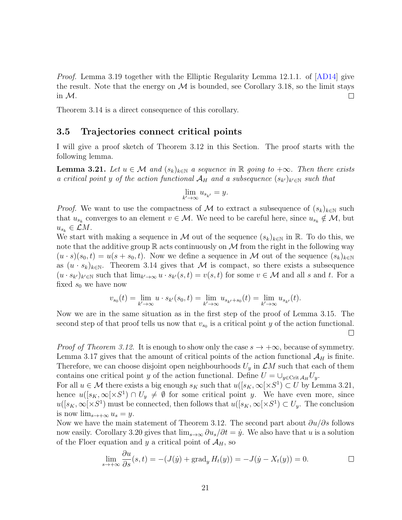Proof. Lemma [3.19](#page-24-1) together with the Elliptic Regularity Lemma 12.1.1. of [\[AD14\]](#page-72-0) give the result. Note that the energy on  $\mathcal M$  is bounded, see Corollary [3.18,](#page-23-1) so the limit stays in M.  $\Box$ 

Theorem [3.14](#page-21-2) is a direct consequence of this corollary.

#### <span id="page-26-0"></span>3.5 Trajectories connect critical points

I will give a proof sketch of Theorem [3.12](#page-21-1) in this Section. The proof starts with the following lemma.

<span id="page-26-1"></span>**Lemma 3.21.** Let  $u \in \mathcal{M}$  and  $(s_k)_{k \in \mathbb{N}}$  a sequence in  $\mathbb{R}$  going to  $+\infty$ . Then there exists a critical point y of the action functional  $A_H$  and a subsequence  $(s_{k'})_{k' \in \mathbb{N}}$  such that

$$
\lim_{k' \to \infty} u_{s_{k'}} = y.
$$

*Proof.* We want to use the compactness of M to extract a subsequence of  $(s_k)_{k\in\mathbb{N}}$  such that  $u_{s_k}$  converges to an element  $v \in \mathcal{M}$ . We need to be careful here, since  $u_{s_k} \notin \mathcal{M}$ , but  $u_{s_k} \in \mathcal{L}M$ .

We start with making a sequence in M out of the sequence  $(s_k)_{k\in\mathbb{N}}$  in R. To do this, we note that the additive group  $\mathbb R$  acts continuously on M from the right in the following way  $(u \cdot s)(s_0, t) = u(s + s_0, t)$ . Now we define a sequence in M out of the sequence  $(s_k)_{k \in \mathbb{N}}$ as  $(u \cdot s_k)_{k \in \mathbb{N}}$ . Theorem [3.14](#page-21-2) gives that M is compact, so there exists a subsequence  $(u \cdot s_{k'})_{k' \in \mathbb{N}}$  such that  $\lim_{k' \to \infty} u \cdot s_{k'}(s,t) = v(s,t)$  for some  $v \in \mathcal{M}$  and all s and t. For a fixed  $s_0$  we have now

$$
v_{s_0}(t) = \lim_{k' \to \infty} u \cdot s_{k'}(s_0, t) = \lim_{k' \to \infty} u_{s_{k'} + s_0}(t) = \lim_{k' \to \infty} u_{s_{k'}}(t).
$$

Now we are in the same situation as in the first step of the proof of Lemma [3.15.](#page-21-3) The second step of that proof tells us now that  $v_{s_0}$  is a critical point y of the action functional.  $\Box$ 

*Proof of Theorem [3.12.](#page-21-1)* It is enough to show only the case  $s \to +\infty$ , because of symmetry. Lemma [3.17](#page-23-0) gives that the amount of critical points of the action functional  $\mathcal{A}_H$  is finite. Therefore, we can choose disjoint open neighbourhoods  $U_y$  in  $\mathcal{L}M$  such that each of them contains one critical point y of the action functional. Define  $U = \bigcup_{y \in \text{Crit } A_H} U_y$ .

For all  $u \in \mathcal{M}$  there exists a big enough  $s_K$  such that  $u([s_K,\infty[\times S^1) \subset U$  by Lemma [3.21,](#page-26-1) hence  $u([s_K,\infty[\times S]) \cap U_y \neq \emptyset$  for some critical point y. We have even more, since  $u([s_K,\infty[\times S^1])$  must be connected, then follows that  $u([s_K,\infty[\times S^1]) \subset U_y$ . The conclusion is now  $\lim_{s\to+\infty}u_s=y$ .

Now we have the main statement of Theorem [3.12.](#page-21-1) The second part about  $\partial u/\partial s$  follows now easily. Corollary [3.20](#page-25-0) gives that  $\lim_{s\to\infty} \partial u_s/\partial t = \dot{y}$ . We also have that u is a solution of the Floer equation and y a critical point of  $\mathcal{A}_H$ , so

$$
\lim_{s \to +\infty} \frac{\partial u}{\partial s}(s, t) = -(J(\dot{y}) + \text{grad}_y H_t(y)) = -J(\dot{y} - X_t(y)) = 0.
$$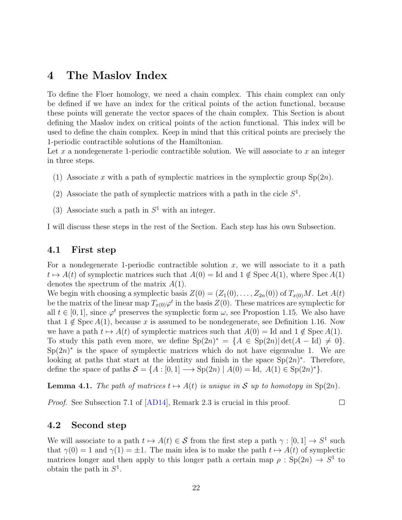### <span id="page-27-0"></span>4 The Maslov Index

To define the Floer homology, we need a chain complex. This chain complex can only be defined if we have an index for the critical points of the action functional, because these points will generate the vector spaces of the chain complex. This Section is about defining the Maslov index on critical points of the action functional. This index will be used to define the chain complex. Keep in mind that this critical points are precisely the 1-periodic contractible solutions of the Hamiltonian.

Let  $x$  a nondegenerate 1-periodic contractible solution. We will associate to  $x$  an integer in three steps.

- (1) Associate x with a path of symplectic matrices in the symplectic group  $Sp(2n)$ .
- (2) Associate the path of symplectic matrices with a path in the cicle  $S<sup>1</sup>$ .
- (3) Associate such a path in  $S<sup>1</sup>$  with an integer.

I will discuss these steps in the rest of the Section. Each step has his own Subsection.

#### <span id="page-27-1"></span>4.1 First step

For a nondegenerate 1-periodic contractible solution  $x$ , we will associate to it a path  $t \mapsto A(t)$  of symplectic matrices such that  $A(0) =$  Id and  $1 \notin \text{Spec } A(1)$ , where Spec  $A(1)$ denotes the spectrum of the matrix  $A(1)$ .

We begin with choosing a symplectic basis  $Z(0) = (Z_1(0), \ldots, Z_{2n}(0))$  of  $T_{x(0)}M$ . Let  $A(t)$ be the matrix of the linear map  $T_{x(0)}\varphi^t$  in the basis  $Z(0)$ . These matrices are symplectic for all  $t \in [0, 1]$ , since  $\varphi^t$  preserves the symplectic form  $\omega$ , see Propostion [1.15.](#page-11-2) We also have that  $1 \notin \text{Spec } A(1)$ , because x is assumed to be nondegenerate, see Definition [1.16.](#page-11-1) Now we have a path  $t \mapsto A(t)$  of symplectic matrices such that  $A(0) = \text{Id}$  and  $1 \notin \text{Spec } A(1)$ . To study this path even more, we define  $\text{Sp}(2n)^* = \{A \in \text{Sp}(2n) | \det(A - \text{Id}) \neq 0\}.$  $Sp(2n)^*$  is the space of symplectic matrices which do not have eigenvalue 1. We are looking at paths that start at the identity and finish in the space  $Sp(2n)^*$ . Therefore, define the space of paths  $S = \{A : [0, 1] \longrightarrow \text{Sp}(2n) \mid A(0) = \text{Id}, A(1) \in \text{Sp}(2n)^*\}.$ 

<span id="page-27-3"></span>**Lemma 4.1.** The path of matrices  $t \mapsto A(t)$  is unique in S up to homotopy in Sp(2n).

 $\Box$ 

Proof. See Subsection 7.1 of [\[AD14\]](#page-72-0), Remark [2.3](#page-13-5) is crucial in this proof.

#### <span id="page-27-2"></span>4.2 Second step

We will associate to a path  $t \mapsto A(t) \in \mathcal{S}$  from the first step a path  $\gamma : [0, 1] \to S^1$  such that  $\gamma(0) = 1$  and  $\gamma(1) = \pm 1$ . The main idea is to make the path  $t \mapsto A(t)$  of symplectic matrices longer and then apply to this longer path a certain map  $\rho : Sp(2n) \to S^1$  to obtain the path in  $S^1$ .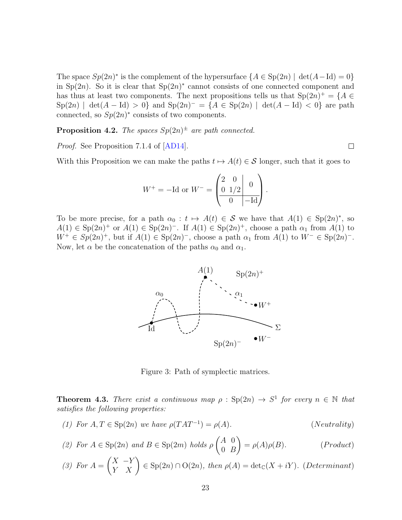The space  $Sp(2n)^*$  is the complement of the hypersurface  $\{A \in Sp(2n) \mid \det(A-\mathrm{Id})=0\}$ in Sp(2n). So it is clear that  $Sp(2n)^*$  cannot consists of one connected component and has thus at least two components. The next propositions tells us that  $\text{Sp}(2n)^{+} = \{A \in$  $\text{Sp}(2n)$  | det(A – Id) > 0} and  $\text{Sp}(2n)^{-} = \{A \in \text{Sp}(2n) | \det(A - \text{Id}) < 0\}$  are path connected, so  $Sp(2n)^*$  consists of two components.

**Proposition 4.2.** The spaces  $Sp(2n)^{\pm}$  are path connected.

Proof. See Proposition 7.1.4 of [\[AD14\]](#page-72-0).

With this Proposition we can make the paths  $t \mapsto A(t) \in S$  longer, such that it goes to

$$
W^{+} = -\text{Id or } W^{-} = \begin{pmatrix} 2 & 0 & 0 \\ 0 & 1/2 & 0 \\ 0 & -\text{Id} \end{pmatrix}.
$$

To be more precise, for a path  $\alpha_0 : t \mapsto A(t) \in S$  we have that  $A(1) \in Sp(2n)^*$ , so  $A(1) \in \text{Sp}(2n)^+$  or  $A(1) \in \text{Sp}(2n)^-$ . If  $A(1) \in \text{Sp}(2n)^+$ , choose a path  $\alpha_1$  from  $A(1)$  to  $W^+ \in Sp(2n)^+$ , but if  $A(1) \in Sp(2n)^-$ , choose a path  $\alpha_1$  from  $A(1)$  to  $W^- \in Sp(2n)^-$ . Now, let  $\alpha$  be the concatenation of the paths  $\alpha_0$  and  $\alpha_1$ .



Figure 3: Path of symplectic matrices.

<span id="page-28-0"></span>**Theorem 4.3.** There exist a continuous map  $\rho : Sp(2n) \to S^1$  for every  $n \in \mathbb{N}$  that satisfies the following properties:

(1) For  $A, T \in \text{Sp}(2n)$  we have  $\rho(TAT^{-1}) = \rho(A)$ .  $(Neutrality)$ 

(2) For 
$$
A \in \text{Sp}(2n)
$$
 and  $B \in \text{Sp}(2m)$  holds  $\rho \begin{pmatrix} A & 0 \\ 0 & B \end{pmatrix} = \rho(A)\rho(B)$ . (Product)

(3) For 
$$
A = \begin{pmatrix} X & -Y \\ Y & X \end{pmatrix} \in \text{Sp}(2n) \cap \text{O}(2n)
$$
, then  $\rho(A) = \text{det}_{\mathbb{C}}(X + iY)$ . (Determinant)

 $\Box$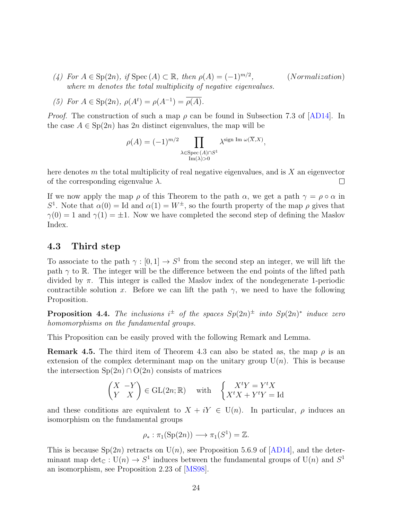- (4) For  $A \in \text{Sp}(2n)$ , if  $\text{Spec}(A) \subset \mathbb{R}$ , then  $\rho(A) = (-1)^{m/2}$ , , (Normalization) where m denotes the total multiplicity of negative eigenvalues.
- (5) For  $A \in \text{Sp}(2n)$ ,  $\rho(A^t) = \rho(A^{-1}) = \overline{\rho(A)}$ .

*Proof.* The construction of such a map  $\rho$  can be found in Subsection 7.3 of [\[AD14\]](#page-72-0). In the case  $A \in Sp(2n)$  has 2n distinct eigenvalues, the map will be

$$
\rho(A) = (-1)^{m/2} \prod_{\substack{\lambda \in \mathrm{Spec}(A) \cap S^1 \\ \mathrm{Im}(\lambda) > 0}} \lambda^{\mathrm{sign\;Im}\;\omega(\overline{X},X)},
$$

here denotes  $m$  the total multiplicity of real negative eigenvalues, and is  $X$  an eigenvector of the corresponding eigenvalue  $\lambda$ .  $\Box$ 

If we now apply the map  $\rho$  of this Theorem to the path  $\alpha$ , we get a path  $\gamma = \rho \circ \alpha$  in S<sup>1</sup>. Note that  $\alpha(0) = \text{Id}$  and  $\alpha(1) = W^{\pm}$ , so the fourth property of the map  $\rho$  gives that  $\gamma(0) = 1$  and  $\gamma(1) = \pm 1$ . Now we have completed the second step of defining the Maslov Index.

#### <span id="page-29-0"></span>4.3 Third step

To associate to the path  $\gamma : [0,1] \to S^1$  from the second step an integer, we will lift the path  $\gamma$  to R. The integer will be the difference between the end points of the lifted path divided by  $\pi$ . This integer is called the Maslov index of the nondegenerate 1-periodic contractible solution x. Before we can lift the path  $\gamma$ , we need to have the following Proposition.

<span id="page-29-1"></span>**Proposition 4.4.** The inclusions  $i^{\pm}$  of the spaces  $Sp(2n)^{\pm}$  into  $Sp(2n)^{*}$  induce zero homomorphisms on the fundamental groups.

This Proposition can be easily proved with the following Remark and Lemma.

<span id="page-29-2"></span>**Remark 4.5.** The third item of Theorem [4.3](#page-28-0) can also be stated as, the map  $\rho$  is an extension of the complex determinant map on the unitary group  $U(n)$ . This is because the intersection  $\text{Sp}(2n) \cap \text{O}(2n)$  consists of matrices

$$
\begin{pmatrix} X & -Y \\ Y & X \end{pmatrix} \in \text{GL}(2n; \mathbb{R}) \quad \text{with} \quad \begin{cases} X^t Y = Y^t X \\ X^t X + Y^t Y = \text{Id} \end{cases}
$$

and these conditions are equivalent to  $X + iY \in U(n)$ . In particular,  $\rho$  induces an isomorphism on the fundamental groups

$$
\rho_*: \pi_1(\mathrm{Sp}(2n)) \longrightarrow \pi_1(S^1) = \mathbb{Z}.
$$

This is because  $Sp(2n)$  retracts on  $U(n)$ , see Proposition 5.6.9 of [\[AD14\]](#page-72-0), and the determinant map  $\det_{\mathbb{C}} : U(n) \to S^1$  induces between the fundamental groups of  $U(n)$  and  $S^1$ an isomorphism, see Proposition 2.23 of [\[MS98\]](#page-72-5).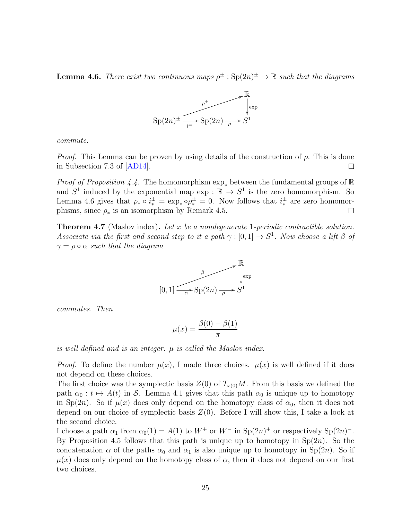<span id="page-30-0"></span>**Lemma 4.6.** There exist two continuous maps  $\rho^{\pm}$  :  $Sp(2n)^{\pm} \to \mathbb{R}$  such that the diagrams



commute.

*Proof.* This Lemma can be proven by using details of the construction of  $\rho$ . This is done in Subsection 7.3 of [\[AD14\]](#page-72-0).  $\Box$ 

*Proof of Proposition [4.4.](#page-29-1)* The homomorphism  $\exp_*$  between the fundamental groups of R and  $S^1$  induced by the exponential map  $\exp : \mathbb{R} \to S^1$  is the zero homomorphism. So Lemma [4.6](#page-30-0) gives that  $\rho_* \circ i_*^{\pm} = \exp_* \circ \rho_*^{\pm} = 0$ . Now follows that  $i_*^{\pm}$  are zero homomorphisms, since  $\rho_*$  is an isomorphism by Remark [4.5.](#page-29-2)  $\Box$ 

**Theorem 4.7** (Maslov index). Let x be a nondegenerate 1-periodic contractible solution. Associate via the first and second step to it a path  $\gamma : [0,1] \to S^1$ . Now choose a lift  $\beta$  of  $\gamma = \rho \circ \alpha$  such that the diagram



commutes. Then

$$
\mu(x) = \frac{\beta(0) - \beta(1)}{\pi}
$$

is well defined and is an integer.  $\mu$  is called the Maslov index.

*Proof.* To define the number  $\mu(x)$ , I made three choices.  $\mu(x)$  is well defined if it does not depend on these choices.

The first choice was the symplectic basis  $Z(0)$  of  $T_{x(0)}M$ . From this basis we defined the path  $\alpha_0 : t \mapsto A(t)$  in S. Lemma [4.1](#page-27-3) gives that this path  $\alpha_0$  is unique up to homotopy in Sp(2n). So if  $\mu(x)$  does only depend on the homotopy class of  $\alpha_0$ , then it does not depend on our choice of symplectic basis  $Z(0)$ . Before I will show this, I take a look at the second choice.

I choose a path  $\alpha_1$  from  $\alpha_0(1) = A(1)$  to  $W^+$  or  $W^-$  in  $\text{Sp}(2n)^+$  or respectively  $\text{Sp}(2n)^-$ . By Proposition [4.5](#page-29-2) follows that this path is unique up to homotopy in  $\text{Sp}(2n)$ . So the concatenation  $\alpha$  of the paths  $\alpha_0$  and  $\alpha_1$  is also unique up to homotopy in Sp(2n). So if  $\mu(x)$  does only depend on the homotopy class of  $\alpha$ , then it does not depend on our first two choices.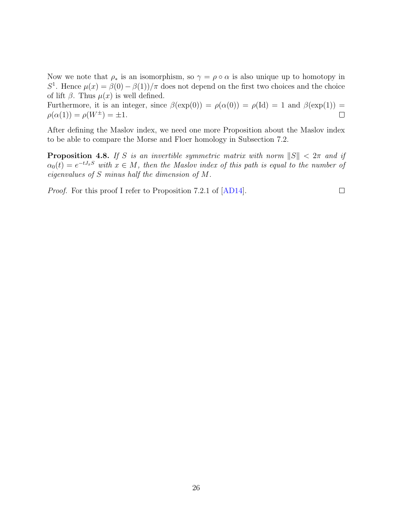Now we note that  $\rho_*$  is an isomorphism, so  $\gamma = \rho \circ \alpha$  is also unique up to homotopy in S<sup>1</sup>. Hence  $\mu(x) = \beta(0) - \beta(1)/\pi$  does not depend on the first two choices and the choice of lift  $\beta$ . Thus  $\mu(x)$  is well defined.

Furthermore, it is an integer, since  $\beta(\exp(0)) = \rho(\alpha(0)) = \rho(\text{Id}) = 1$  and  $\beta(\exp(1)) =$  $\rho(\alpha(1)) = \rho(W^{\pm}) = \pm 1.$  $\Box$ 

After defining the Maslov index, we need one more Proposition about the Maslov index to be able to compare the Morse and Floer homology in Subsection [7.2.](#page-47-0)

**Proposition 4.8.** If S is an invertible symmetric matrix with norm  $||S|| < 2\pi$  and if  $\alpha_0(t) = e^{-tJ_xS}$  with  $x \in M$ , then the Maslov index of this path is equal to the number of eigenvalues of S minus half the dimension of M.

 $\Box$ 

*Proof.* For this proof I refer to Proposition 7.2.1 of [\[AD14\]](#page-72-0).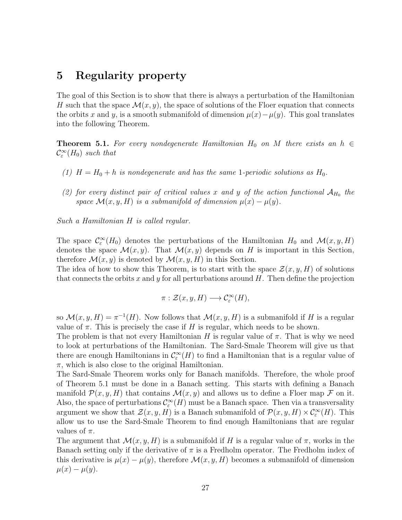### <span id="page-32-0"></span>5 Regularity property

The goal of this Section is to show that there is always a perturbation of the Hamiltonian H such that the space  $\mathcal{M}(x, y)$ , the space of solutions of the Floer equation that connects the orbits x and y, is a smooth submanifold of dimension  $\mu(x)-\mu(y)$ . This goal translates into the following Theorem.

<span id="page-32-1"></span>**Theorem 5.1.** For every nondegenerate Hamiltonian  $H_0$  on M there exists an  $h \in$  $\mathcal{C}_{\varepsilon}^{\infty}(H_0)$  such that

- (1)  $H = H_0 + h$  is nondegenerate and has the same 1-periodic solutions as  $H_0$ .
- (2) for every distinct pair of critical values x and y of the action functional  $A_{H_0}$  the space  $\mathcal{M}(x, y, H)$  is a submanifold of dimension  $\mu(x) - \mu(y)$ .

Such a Hamiltonian H is called regular.

The space  $\mathcal{C}_{\varepsilon}^{\infty}(H_0)$  denotes the perturbations of the Hamiltonian  $H_0$  and  $\mathcal{M}(x, y, H)$ denotes the space  $\mathcal{M}(x, y)$ . That  $\mathcal{M}(x, y)$  depends on H is important in this Section, therefore  $\mathcal{M}(x, y)$  is denoted by  $\mathcal{M}(x, y, H)$  in this Section.

The idea of how to show this Theorem, is to start with the space  $\mathcal{Z}(x, y, H)$  of solutions that connects the orbits x and y for all perturbations around H. Then define the projection

$$
\pi: \mathcal{Z}(x, y, H) \longrightarrow \mathcal{C}_{\varepsilon}^{\infty}(H),
$$

so  $\mathcal{M}(x, y, H) = \pi^{-1}(H)$ . Now follows that  $\mathcal{M}(x, y, H)$  is a submanifold if H is a regular value of  $\pi$ . This is precisely the case if H is regular, which needs to be shown.

The problem is that not every Hamiltonian H is regular value of  $\pi$ . That is why we need to look at perturbations of the Hamiltonian. The Sard-Smale Theorem will give us that there are enough Hamiltonians in  $\mathcal{C}_{\varepsilon}^{\infty}(H)$  to find a Hamiltonian that is a regular value of  $\pi$ , which is also close to the original Hamiltonian.

The Sard-Smale Theorem works only for Banach manifolds. Therefore, the whole proof of Theorem [5.1](#page-32-1) must be done in a Banach setting. This starts with defining a Banach manifold  $\mathcal{P}(x, y, H)$  that contains  $\mathcal{M}(x, y)$  and allows us to define a Floer map F on it. Also, the space of perturbations  $\mathcal{C}_{\varepsilon}^{\infty}(H)$  must be a Banach space. Then via a transversality argument we show that  $\mathcal{Z}(x, y, H)$  is a Banach submanifold of  $\mathcal{P}(x, y, H) \times C_{\varepsilon}^{\infty}(H)$ . This allow us to use the Sard-Smale Theorem to find enough Hamiltonians that are regular values of  $\pi$ .

The argument that  $\mathcal{M}(x, y, H)$  is a submanifold if H is a regular value of  $\pi$ , works in the Banach setting only if the derivative of  $\pi$  is a Fredholm operator. The Fredholm index of this derivative is  $\mu(x) - \mu(y)$ , therefore  $\mathcal{M}(x, y, H)$  becomes a submanifold of dimension  $\mu(x) - \mu(y).$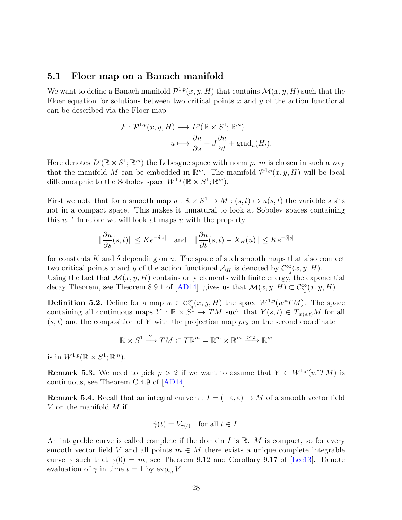#### <span id="page-33-0"></span>5.1 Floer map on a Banach manifold

We want to define a Banach manifold  $\mathcal{P}^{1,p}(x, y, H)$  that contains  $\mathcal{M}(x, y, H)$  such that the Floer equation for solutions between two critical points  $x$  and  $y$  of the action functional can be described via the Floer map

$$
\mathcal{F}: \mathcal{P}^{1,p}(x, y, H) \longrightarrow L^p(\mathbb{R} \times S^1; \mathbb{R}^m)
$$

$$
u \longmapsto \frac{\partial u}{\partial s} + J \frac{\partial u}{\partial t} + \text{grad}_u(H_t).
$$

Here denotes  $L^p(\mathbb{R} \times S^1; \mathbb{R}^m)$  the Lebesgue space with norm p. m is chosen in such a way that the manifold M can be embedded in  $\mathbb{R}^m$ . The manifold  $\mathcal{P}^{1,p}(x, y, H)$  will be local diffeomorphic to the Sobolev space  $W^{1,p}(\mathbb{R} \times S^1; \mathbb{R}^m)$ .

First we note that for a smooth map  $u : \mathbb{R} \times S^1 \to M : (s, t) \mapsto u(s, t)$  the variable s sits not in a compact space. This makes it unnatural to look at Sobolev spaces containing this  $u$ . Therefore we will look at maps  $u$  with the property

$$
\|\frac{\partial u}{\partial s}(s,t)\| \le K e^{-\delta|s|} \quad \text{and} \quad \|\frac{\partial u}{\partial t}(s,t) - X_H(u)\| \le K e^{-\delta|s|}
$$

for constants K and  $\delta$  depending on u. The space of such smooth maps that also connect two critical points x and y of the action functional  $\mathcal{A}_H$  is denoted by  $\mathcal{C}^{\infty}_{\searrow}(x, y, H)$ . Using the fact that  $\mathcal{M}(x, y, H)$  contains only elements with finite energy, the exponential decay Theorem, see Theorem 8.9.1 of [\[AD14\]](#page-72-0), gives us that  $\mathcal{M}(x, y, H) \subset \mathcal{C}^{\infty}_{\searrow}(x, y, H)$ .

**Definition 5.2.** Define for a map  $w \in C^{\infty}_{\searrow}(x, y, H)$  the space  $W^{1,p}(w^*TM)$ . The space containing all continuous maps  $Y : \mathbb{R} \times S^1 \to TM$  such that  $Y(s,t) \in T_{w(s,t)}M$  for all  $(s, t)$  and the composition of Y with the projection map  $pr_2$  on the second coordinate

$$
\mathbb{R} \times S^1 \xrightarrow{Y} TM \subset T\mathbb{R}^m = \mathbb{R}^m \times \mathbb{R}^m \xrightarrow{pr_2} \mathbb{R}^m
$$

is in  $W^{1,p}(\mathbb{R} \times S^1; \mathbb{R}^m)$ .

**Remark 5.3.** We need to pick  $p > 2$  if we want to assume that  $Y \in W^{1,p}(w^*TM)$  is continuous, see Theorem C.4.9 of [\[AD14\]](#page-72-0).

**Remark 5.4.** Recall that an integral curve  $\gamma : I = (-\varepsilon, \varepsilon) \to M$  of a smooth vector field V on the manifold M if

$$
\dot{\gamma}(t) = V_{\gamma(t)} \quad \text{for all } t \in I.
$$

An integrable curve is called complete if the domain  $I$  is  $\mathbb{R}$ . M is compact, so for every smooth vector field V and all points  $m \in M$  there exists a unique complete integrable curve  $\gamma$  such that  $\gamma(0) = m$ , see Theorem 9.12 and Corollary 9.17 of [\[Lee13\]](#page-72-6). Denote evaluation of  $\gamma$  in time  $t = 1$  by  $\exp_m V$ .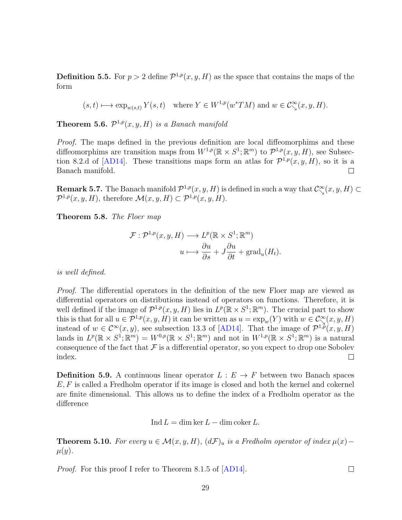**Definition 5.5.** For  $p > 2$  define  $\mathcal{P}^{1,p}(x, y, H)$  as the space that contains the maps of the form

$$
(s,t) \mapsto \exp_{w(s,t)} Y(s,t)
$$
 where  $Y \in W^{1,p}(w^*TM)$  and  $w \in C^\infty_\searrow(x,y,H)$ .

**Theorem 5.6.**  $\mathcal{P}^{1,p}(x,y,H)$  is a Banach manifold

Proof. The maps defined in the previous definition are local diffeomorphims and these diffeomorphims are transition maps from  $W^{1,p}(\mathbb{R} \times S^1; \mathbb{R}^m)$  to  $\mathcal{P}^{1,p}(x, y, H)$ , see Subsec-tion 8.2.d of [\[AD14\]](#page-72-0). These transitions maps form an atlas for  $\mathcal{P}^{1,p}(x,y,H)$ , so it is a Banach manifold.  $\Box$ 

**Remark 5.7.** The Banach manifold  $\mathcal{P}^{1,p}(x,y,H)$  is defined in such a way that  $\mathcal{C}^{\infty}_{\searrow}(x,y,H) \subset$  $\mathcal{P}^{1,p}(x,y,H)$ , therefore  $\mathcal{M}(x,y,H) \subset \mathcal{P}^{1,p}(x,y,H)$ .

Theorem 5.8. The Floer map

$$
\mathcal{F}: \mathcal{P}^{1,p}(x, y, H) \longrightarrow L^p(\mathbb{R} \times S^1; \mathbb{R}^m)
$$

$$
u \longmapsto \frac{\partial u}{\partial s} + J \frac{\partial u}{\partial t} + \text{grad}_u(H_t).
$$

is well defined.

Proof. The differential operators in the definition of the new Floer map are viewed as differential operators on distributions instead of operators on functions. Therefore, it is well defined if the image of  $\mathcal{P}^{1,p}(x,y,H)$  lies in  $L^p(\mathbb{R}\times S^1;\mathbb{R}^m)$ . The crucial part to show this is that for all  $u \in \mathcal{P}^{1,p}(x,y,H)$  it can be written as  $u = \exp_w(Y)$  with  $w \in \mathcal{C}^{\infty}_\searrow(x,y,H)$ instead of  $w \in C^{\infty}(x, y)$ , see subsection 13.3 of [\[AD14\]](#page-72-0). That the image of  $\mathcal{P}^{1, \hat{p}}(x, y, H)$ lands in  $L^p(\mathbb{R} \times S^1; \mathbb{R}^m) = W^{0,p}(\mathbb{R} \times S^1; \mathbb{R}^m)$  and not in  $W^{1,p}(\mathbb{R} \times S^1; \mathbb{R}^m)$  is a natural consequence of the fact that  $\mathcal F$  is a differential operator, so you expect to drop one Sobolev index.  $\Box$ 

**Definition 5.9.** A continuous linear operator  $L : E \to F$  between two Banach spaces  $E, F$  is called a Fredholm operator if its image is closed and both the kernel and cokernel are finite dimensional. This allows us to define the index of a Fredholm operator as the difference

Ind  $L = \dim \ker L - \dim \operatorname{coker} L$ .

Theorem 5.10. For every  $u \in \mathcal{M}(x, y, H)$ ,  $(d\mathcal{F})_u$  is a Fredholm operator of index  $\mu(x)$  –  $\mu(y)$ .

*Proof.* For this proof I refer to Theorem 8.1.5 of [\[AD14\]](#page-72-0).

 $\Box$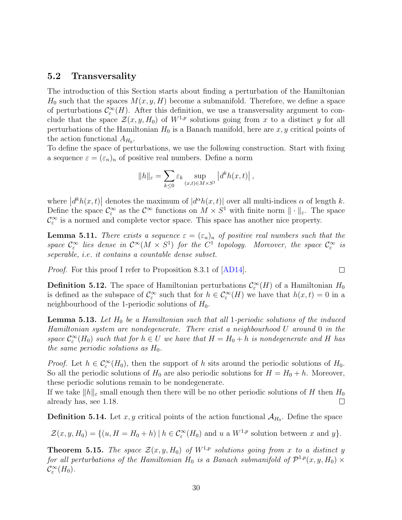#### <span id="page-35-0"></span>5.2 Transversality

The introduction of this Section starts about finding a perturbation of the Hamiltonian  $H_0$  such that the spaces  $M(x, y, H)$  become a submanifold. Therefore, we define a space of perturbations  $\mathcal{C}_{\varepsilon}^{\infty}(H)$ . After this definition, we use a transversality argument to conclude that the space  $\mathcal{Z}(x, y, H_0)$  of  $W^{1,p}$  solutions going from x to a distinct y for all perturbations of the Hamiltonian  $H_0$  is a Banach manifold, here are  $x, y$  critical points of the action functional  $A_{H_0}$ .

To define the space of perturbations, we use the following construction. Start with fixing a sequence  $\varepsilon = (\varepsilon_n)_n$  of positive real numbers. Define a norm

$$
||h||_{\varepsilon} = \sum_{k \leq 0} \varepsilon_k \sup_{(x,t) \in M \times S^1} |d^k h(x,t)|,
$$

where  $|d^k h(x,t)|$  denotes the maximum of  $|d^{\alpha}h(x,t)|$  over all multi-indices  $\alpha$  of length k. Define the space  $\mathcal{C}_{\varepsilon}^{\infty}$  as the  $\mathcal{C}^{\infty}$  functions on  $M \times S^1$  with finite norm  $\|\cdot\|_{\varepsilon}$ . The space  $\mathcal{C}_{\varepsilon}^{\infty}$  is a normed and complete vector space. This space has another nice property.

**Lemma 5.11.** There exists a sequence  $\varepsilon = (\varepsilon_n)_n$  of positive real numbers such that the space  $\mathcal{C}_{\varepsilon}^{\infty}$  lies dense in  $\mathcal{C}^{\infty}(M \times S^1)$  for the  $C^1$  topology. Moreover, the space  $\mathcal{C}_{\varepsilon}^{\infty}$  is seperable, i.e. it contains a countable dense subset.

*Proof.* For this proof I refer to Proposition 8.3.1 of [\[AD14\]](#page-72-0).

**Definition 5.12.** The space of Hamiltonian perturbations  $\mathcal{C}_{\varepsilon}^{\infty}(H)$  of a Hamiltonian  $H_0$ is defined as the subspace of  $\mathcal{C}_{\varepsilon}^{\infty}$  such that for  $h \in \mathcal{C}_{\varepsilon}^{\infty}(H)$  we have that  $h(x,t) = 0$  in a neighbourhood of the 1-periodic solutions of  $H_0$ .

**Lemma 5.13.** Let  $H_0$  be a Hamiltonian such that all 1-periodic solutions of the induced Hamiltonian system are nondegenerate. There exist a neighbourhood U around 0 in the space  $\mathcal{C}_{\varepsilon}^{\infty}(H_0)$  such that for  $h \in U$  we have that  $H = H_0 + h$  is nondegenerate and H has the same periodic solutions as  $H_0$ .

*Proof.* Let  $h \in \mathcal{C}_{\varepsilon}^{\infty}(H_0)$ , then the support of h sits around the periodic solutions of  $H_0$ . So all the periodic solutions of  $H_0$  are also periodic solutions for  $H = H_0 + h$ . Moreover, these periodic solutions remain to be nondegenerate.

If we take  $||h||_{\varepsilon}$  small enough then there will be no other periodic solutions of H then  $H_0$ already has, see [1.18.](#page-12-0)  $\Box$ 

**Definition 5.14.** Let x, y critical points of the action functional  $A_{H_0}$ . Define the space

 $\mathcal{Z}(x, y, H_0) = \{(u, H = H_0 + h) | h \in C_c^{\infty}(H_0) \text{ and } u \text{ a } W^{1,p} \text{ solution between } x \text{ and } y\}.$ 

**Theorem 5.15.** The space  $\mathcal{Z}(x, y, H_0)$  of  $W^{1,p}$  solutions going from x to a distinct y for all perturbations of the Hamiltonian  $H_0$  is a Banach submanifold of  $\mathcal{P}^{1,p}(x,y,H_0) \times$  $\mathcal{C}_{\varepsilon}^{\infty}(H_0).$ 

 $\Box$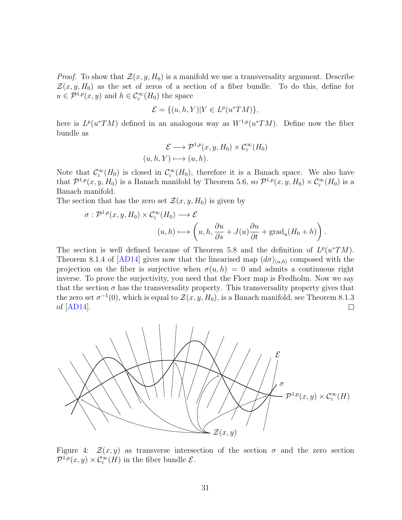*Proof.* To show that  $\mathcal{Z}(x, y, H_0)$  is a manifold we use a transversality argument. Describe  $\mathcal{Z}(x, y, H_0)$  as the set of zeros of a section of a fiber bundle. To do this, define for  $u \in \mathcal{P}^{1,p}(x,y)$  and  $h \in \mathcal{C}_{\varepsilon}^{\infty}(H_0)$  the space

$$
\mathcal{E} = \{ (u, h, Y) | Y \in L^p(u^*TM) \},
$$

here is  $L^p(u^*TM)$  defined in an analogous way as  $W^{1,p}(u^*TM)$ . Define now the fiber bundle as

$$
\mathcal{E} \longrightarrow \mathcal{P}^{1,p}(x, y, H_0) \times \mathcal{C}_{\varepsilon}^{\infty}(H_0)
$$
  
(*u, h, Y*)  $\longmapsto$  (*u, h*).

Note that  $\mathcal{C}_{\varepsilon}^{\infty}(H_0)$  is closed in  $\mathcal{C}_{\varepsilon}^{\infty}(H_0)$ , therefore it is a Banach space. We also have that  $\mathcal{P}^{1,p}(x,y,H_0)$  is a Banach manifold by Theorem [5.6,](#page-34-0) so  $\mathcal{P}^{1,p}(x,y,H_0) \times \mathcal{C}_{\varepsilon}^{\infty}(H_0)$  is a Banach manifold.

The section that has the zero set  $\mathcal{Z}(x, y, H_0)$  is given by

$$
\sigma: \mathcal{P}^{1,p}(x,y,H_0) \times C_{\varepsilon}^{\infty}(H_0) \longrightarrow \mathcal{E}
$$
  

$$
(u,h) \longmapsto \left(u,h, \frac{\partial u}{\partial s} + J(u)\frac{\partial u}{\partial t} + \text{grad}_u(H_0 + h)\right).
$$

The section is well defined because of Theorem [5.8](#page-34-1) and the definition of  $L^p(u^*TM)$ . Theorem 8.1.4 of [\[AD14\]](#page-72-0) gives now that the linearised map  $(d\sigma)_{(u,h)}$  composed with the projection on the fiber is surjective when  $\sigma(u, h) = 0$  and admits a continuous right inverse. To prove the surjectivity, you need that the Floer map is Fredholm. Now we say that the section  $\sigma$  has the transversality property. This transversality property gives that the zero set  $\sigma^{-1}(0)$ , which is equal to  $\mathcal{Z}(x, y, H_0)$ , is a Banach manifold, see Theorem 8.1.3 of [\[AD14\]](#page-72-0).  $\Box$ 



Figure 4:  $\mathcal{Z}(x, y)$  as transverse intersection of the section  $\sigma$  and the zero section  $\mathcal{P}^{1,p}(x,y) \times \mathcal{C}_{\varepsilon}^{\infty}(H)$  in the fiber bundle  $\mathcal{E}.$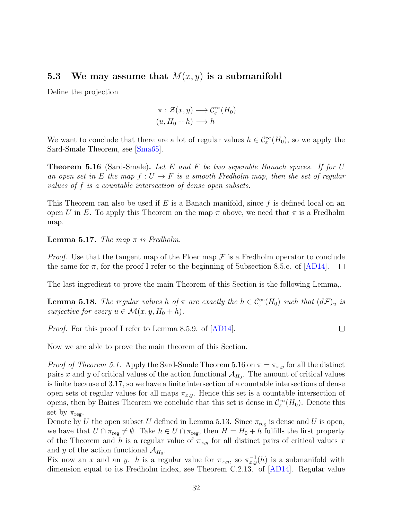#### 5.3 We may assume that  $M(x, y)$  is a submanifold

Define the projection

$$
\pi : \mathcal{Z}(x, y) \longrightarrow \mathcal{C}_{\varepsilon}^{\infty}(H_0)
$$

$$
(u, H_0 + h) \longmapsto h
$$

We want to conclude that there are a lot of regular values  $h \in C^{\infty}_{\varepsilon}(H_0)$ , so we apply the Sard-Smale Theorem, see [\[Sma65\]](#page-72-1).

<span id="page-37-0"></span>**Theorem 5.16** (Sard-Smale). Let E and F be two seperable Banach spaces. If for U an open set in E the map  $f: U \to F$  is a smooth Fredholm map, then the set of regular values of f is a countable intersection of dense open subsets.

This Theorem can also be used if  $E$  is a Banach manifold, since  $f$  is defined local on an open U in E. To apply this Theorem on the map  $\pi$  above, we need that  $\pi$  is a Fredholm map.

<span id="page-37-1"></span>**Lemma 5.17.** The map  $\pi$  is Fredholm.

*Proof.* Use that the tangent map of the Floer map  $\mathcal F$  is a Fredholm operator to conclude the same for  $\pi$ , for the proof I refer to the beginning of Subsection 8.5.c. of [\[AD14\]](#page-72-0).  $\Box$ 

The last ingredient to prove the main Theorem of this Section is the following Lemma,.

<span id="page-37-2"></span>**Lemma 5.18.** The regular values h of  $\pi$  are exactly the  $h \in C_{\varepsilon}^{\infty}(H_0)$  such that  $(d\mathcal{F})_u$  is surjective for every  $u \in \mathcal{M}(x, y, H_0 + h)$ .

Proof. For this proof I refer to Lemma 8.5.9. of [\[AD14\]](#page-72-0).

 $\Box$ 

Now we are able to prove the main theorem of this Section.

*Proof of Theorem [5.1.](#page-32-0)* Apply the Sard-Smale Theorem [5.16](#page-37-0) on  $\pi = \pi_{x,y}$  for all the distinct pairs x and y of critical values of the action functional  $\mathcal{A}_{H_0}$ . The amount of critical values is finite because of [3.17,](#page-23-0) so we have a finite intersection of a countable intersections of dense open sets of regular values for all maps  $\pi_{x,y}$ . Hence this set is a countable intersection of opens, then by Baires Theorem we conclude that this set is dense in  $\mathcal{C}_{\varepsilon}^{\infty}(H_0)$ . Denote this set by  $\pi_{reg}$ .

Denote by U the open subset U defined in Lemma [5.13.](#page-35-0) Since  $\pi_{reg}$  is dense and U is open, we have that  $U \cap \pi_{reg} \neq \emptyset$ . Take  $h \in U \cap \pi_{reg}$ , then  $H = H_0 + h$  fulfills the first property of the Theorem and h is a regular value of  $\pi_{x,y}$  for all distinct pairs of critical values x and y of the action functional  $\mathcal{A}_{H_0}$ .

Fix now an x and an y. h is a regular value for  $\pi_{x,y}$ , so  $\pi_{x,y}^{-1}(h)$  is a submanifold with dimension equal to its Fredholm index, see Theorem C.2.13. of [\[AD14\]](#page-72-0). Regular value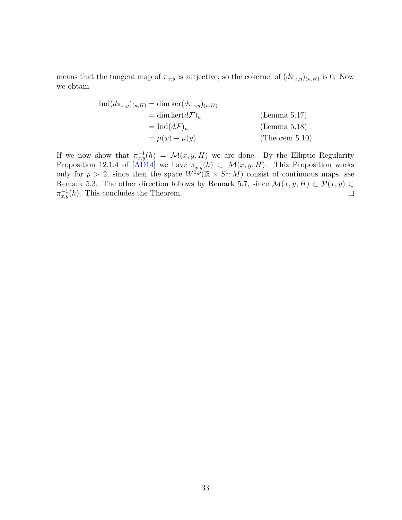means that the tangent map of  $\pi_{x,y}$  is surjective, so the cokernel of  $(d\pi_{x,y})_{(u,H)}$  is 0. Now we obtain

$$
Ind(d\pi_{x,y})_{(u,H)} = dim ker(d\pi_{x,y})_{(u,H)}
$$
  
= dim ker $(d\mathcal{F})_u$  (Lemma 5.17)  
= Ind $(d\mathcal{F})_u$  (Lemma 5.18)  
=  $\mu(x) - \mu(y)$  (Theorem 5.10)

If we now show that  $\pi_{x,y}^{-1}(h) = \mathcal{M}(x,y,H)$  we are done. By the Elliptic Regularity Proposition 12.1.4 of [\[AD14\]](#page-72-0) we have  $\pi_{x,y}^{-1}(h) \subset \mathcal{M}(x,y,H)$ . This Proposition works only for  $p > 2$ , since then the space  $W^{1,p}(\mathbb{R} \times S^1; M)$  consist of continuous maps, see Remark [5.3.](#page-33-0) The other direction follows by Remark [5.7,](#page-34-3) since  $\mathcal{M}(x, y, H) \subset \mathcal{P}(x, y) \subset$  $\pi_{x,y}^{-1}(h)$ . This concludes the Theorem.  $\Box$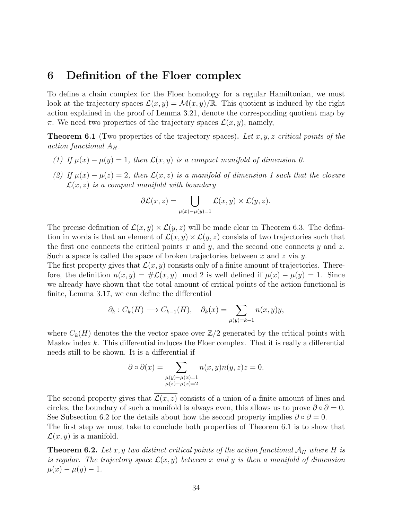## <span id="page-39-4"></span>6 Definition of the Floer complex

To define a chain complex for the Floer homology for a regular Hamiltonian, we must look at the trajectory spaces  $\mathcal{L}(x, y) = \mathcal{M}(x, y)/\mathbb{R}$ . This quotient is induced by the right action explained in the proof of Lemma [3.21,](#page-26-0) denote the corresponding quotient map by  $\pi$ . We need two properties of the trajectory spaces  $\mathcal{L}(x, y)$ , namely,

<span id="page-39-0"></span>**Theorem 6.1** (Two properties of the trajectory spaces). Let  $x, y, z$  critical points of the action functional  $A_H$ .

- <span id="page-39-1"></span>(1) If  $\mu(x) - \mu(y) = 1$ , then  $\mathcal{L}(x, y)$  is a compact manifold of dimension 0.
- <span id="page-39-2"></span>(2) If  $\mu(x) - \mu(z) = 2$ , then  $\mathcal{L}(x, z)$  is a manifold of dimension 1 such that the closure  $\overline{\mathcal{L}(x,z)}$  is a compact manifold with boundary

$$
\partial \mathcal{L}(x, z) = \bigcup_{\mu(x) - \mu(y) = 1} \mathcal{L}(x, y) \times \mathcal{L}(y, z).
$$

The precise definition of  $\mathcal{L}(x, y) \times \mathcal{L}(y, z)$  will be made clear in Theorem [6.3.](#page-40-0) The definition in words is that an element of  $\mathcal{L}(x, y) \times \mathcal{L}(y, z)$  consists of two trajectories such that the first one connects the critical points x and y, and the second one connects y and z. Such a space is called the space of broken trajectories between x and z via y.

The first property gives that  $\mathcal{L}(x, y)$  consists only of a finite amount of trajectories. Therefore, the definition  $n(x, y) = #\mathcal{L}(x, y) \mod 2$  is well defined if  $\mu(x) - \mu(y) = 1$ . Since we already have shown that the total amount of critical points of the action functional is finite, Lemma [3.17,](#page-23-0) we can define the differential

$$
\partial_k : C_k(H) \longrightarrow C_{k-1}(H), \quad \partial_k(x) = \sum_{\mu(y)=k-1} n(x, y)y,
$$

where  $C_k(H)$  denotes the the vector space over  $\mathbb{Z}/2$  generated by the critical points with Maslov index k. This differential induces the Floer complex. That it is really a differential needs still to be shown. It is a differential if

$$
\partial \circ \partial(x) = \sum_{\substack{\mu(y) - \mu(x) = 1 \\ \mu(z) - \mu(x) = 2}} n(x, y) n(y, z) z = 0.
$$

The second property gives that  $\overline{\mathcal{L}(x, z)}$  consists of a union of a finite amount of lines and circles, the boundary of such a manifold is always even, this allows us to prove  $\partial \circ \partial = 0$ . See Subsection [6.2](#page-43-0) for the details about how the second property implies  $\partial \circ \partial = 0$ . The first step we must take to conclude both properties of Theorem [6.1](#page-39-0) is to show that  $\mathcal{L}(x, y)$  is a manifold.

<span id="page-39-3"></span>**Theorem 6.2.** Let x, y two distinct critical points of the action functional  $A_H$  where H is is regular. The trajectory space  $\mathcal{L}(x, y)$  between x and y is then a manifold of dimension  $\mu(x) - \mu(y) - 1.$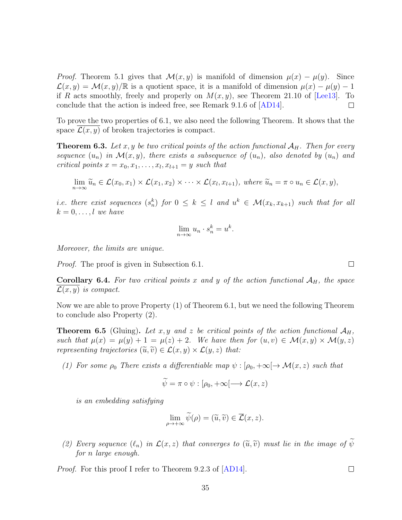*Proof.* Theorem [5.1](#page-32-0) gives that  $\mathcal{M}(x, y)$  is manifold of dimension  $\mu(x) - \mu(y)$ . Since  $\mathcal{L}(x, y) = \mathcal{M}(x, y)/\mathbb{R}$  is a quotient space, it is a manifold of dimension  $\mu(x) - \mu(y) - 1$ if R acts smoothly, freely and properly on  $M(x, y)$ , see Theorem 21.10 of [\[Lee13\]](#page-72-2). To conclude that the action is indeed free, see Remark 9.1.6 of [\[AD14\]](#page-72-0).  $\Box$ 

To prove the two properties of [6.1,](#page-39-0) we also need the following Theorem. It shows that the space  $\mathcal{L}(x, y)$  of broken trajectories is compact.

<span id="page-40-0"></span>**Theorem 6.3.** Let x, y be two critical points of the action functional  $A_H$ . Then for every sequence  $(u_n)$  in  $\mathcal{M}(x, y)$ , there exists a subsequence of  $(u_n)$ , also denoted by  $(u_n)$  and critical points  $x = x_0, x_1, \ldots, x_l, x_{l+1} = y$  such that

$$
\lim_{n\to\infty}\widetilde{u}_n\in\mathcal{L}(x_0,x_1)\times\mathcal{L}(x_1,x_2)\times\cdots\times\mathcal{L}(x_l,x_{l+1}),\text{ where }\widetilde{u}_n=\pi\circ u_n\in\mathcal{L}(x,y),
$$

*i.e.* there exist sequences  $(s_n^k)$  for  $0 \leq k \leq l$  and  $u^k \in \mathcal{M}(x_k, x_{k+1})$  such that for all  $k = 0, \ldots, l$  we have

$$
\lim_{n \to \infty} u_n \cdot s_n^k = u^k.
$$

Moreover, the limits are unique.

Proof. The proof is given in Subsection [6.1.](#page-41-0)

**Corollary 6.4.** For two critical points x and y of the action functional  $A_H$ , the space  $\mathcal{L}(x, y)$  is compact.

Now we are able to prove Property [\(1\)](#page-39-1) of Theorem [6.1,](#page-39-0) but we need the following Theorem to conclude also Property [\(2\).](#page-39-2)

<span id="page-40-2"></span>**Theorem 6.5** (Gluing). Let x, y and z be critical points of the action functional  $A_H$ , such that  $\mu(x) = \mu(y) + 1 = \mu(z) + 2$ . We have then for  $(u, v) \in \mathcal{M}(x, y) \times \mathcal{M}(y, z)$ representing trajectories  $(\widetilde{u}, \widetilde{v}) \in \mathcal{L}(x, y) \times \mathcal{L}(y, z)$  that:

(1) For some  $\rho_0$  There exists a differentiable map  $\psi : [\rho_0, +\infty] \to \mathcal{M}(x, z)$  such that

$$
\widetilde{\psi} = \pi \circ \psi : [\rho_0, +\infty[ \longrightarrow \mathcal{L}(x, z)]
$$

is an embedding satisfying

$$
\lim_{\rho \to +\infty} \widetilde{\psi}(\rho) = (\widetilde{u}, \widetilde{v}) \in \overline{\mathcal{L}}(x, z).
$$

<span id="page-40-1"></span>(2) Every sequence  $(\ell_n)$  in  $\mathcal{L}(x, z)$  that converges to  $(\widetilde{u}, \widetilde{v})$  must lie in the image of  $\widetilde{\psi}$ for n large enough.

*Proof.* For this proof I refer to Theorem 9.2.3 of [\[AD14\]](#page-72-0).

 $\Box$ 

 $\Box$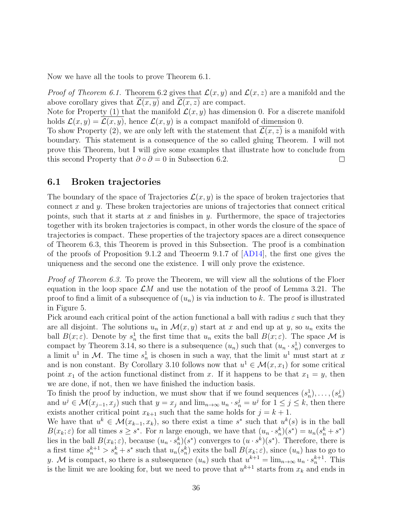Now we have all the tools to prove Theorem [6.1.](#page-39-0)

*Proof of Theorem [6.1.](#page-39-0)* Theorem [6.2](#page-39-3) gives that  $\mathcal{L}(x, y)$  and  $\mathcal{L}(x, z)$  are a manifold and the above corollary gives that  $\mathcal{L}(x, y)$  and  $\mathcal{L}(x, z)$  are compact.

Note for Property [\(1\)](#page-39-1) that the manifold  $\mathcal{L}(x, y)$  has dimension 0. For a discrete manifold holds  $\mathcal{L}(x, y) = \mathcal{L}(x, y)$ , hence  $\mathcal{L}(x, y)$  is a compact manifold of dimension 0.

To show Property [\(2\),](#page-39-2) we are only left with the statement that  $\mathcal{L}(x, z)$  is a manifold with boundary. This statement is a consequence of the so called gluing Theorem. I will not prove this Theorem, but I will give some examples that illustrate how to conclude from this second Property that  $\partial \circ \partial = 0$  in Subsection [6.2.](#page-43-0)  $\Box$ 

#### <span id="page-41-0"></span>6.1 Broken trajectories

The boundary of the space of Trajectories  $\mathcal{L}(x, y)$  is the space of broken trajectories that connect  $x$  and  $y$ . These broken trajectories are unions of trajectories that connect critical points, such that it starts at x and finishes in y. Furthermore, the space of trajectories together with its broken trajectories is compact, in other words the closure of the space of trajectories is compact. These properties of the trajectory spaces are a direct consequence of Theorem [6.3,](#page-40-0) this Theorem is proved in this Subsection. The proof is a combination of the proofs of Proposition 9.1.2 and Theoerm 9.1.7 of [\[AD14\]](#page-72-0), the first one gives the uniqueness and the second one the existence. I will only prove the existence.

*Proof of Theorem [6.3.](#page-40-0)* To prove the Theorem, we will view all the solutions of the Floer equation in the loop space  $\mathcal{L}M$  and use the notation of the proof of Lemma [3.21.](#page-26-0) The proof to find a limit of a subsequence of  $(u_n)$  is via induction to k. The proof is illustrated in Figure [5.](#page-42-0)

Pick around each critical point of the action functional a ball with radius  $\varepsilon$  such that they are all disjoint. The solutions  $u_n$  in  $\mathcal{M}(x, y)$  start at x and end up at y, so  $u_n$  exits the ball  $B(x; \varepsilon)$ . Denote by  $s_n^1$  the first time that  $u_n$  exits the ball  $B(x; \varepsilon)$ . The space M is compact by Theorem [3.14,](#page-21-0) so there is a subsequence  $(u_n)$  such that  $(u_n \cdot s_n)$  converges to a limit  $u^1$  in M. The time  $s_n^1$  is chosen in such a way, that the limit  $u^1$  must start at x and is non constant. By Corollary [3.10](#page-20-0) follows now that  $u^1 \in \mathcal{M}(x, x_1)$  for some critical point  $x_1$  of the action functional distinct from x. If it happens to be that  $x_1 = y$ , then we are done, if not, then we have finished the induction basis.

To finish the proof by induction, we must show that if we found sequences  $(s_n^1), \ldots, (s_n^j)$ and  $u^j \in \mathcal{M}(x_{j-1}, x_j)$  such that  $y = x_j$  and  $\lim_{n \to \infty} u_n \cdot s_n^j = u^j$  for  $1 \le j \le k$ , then there exists another critical point  $x_{k+1}$  such that the same holds for  $j = k + 1$ .

We have that  $u^k \in \mathcal{M}(x_{k-1}, x_k)$ , so there exist a time s<sup>\*</sup> such that  $u^k(s)$  is in the ball  $B(x_k; \varepsilon)$  for all times  $s \geq s^*$ . For n large enough, we have that  $(u_n \cdot s_n^k)(s^*) = u_n(s_n^k + s^*)$ lies in the ball  $B(x_k; \varepsilon)$ , because  $(u_n \cdot s_n^k)(s^*)$  converges to  $(u \cdot s^k)(s^*)$ . Therefore, there is a first time  $s_n^{k+1} > s_n^k + s^*$  such that  $u_n(s_n^k)$  exits the ball  $B(x_k; \varepsilon)$ , since  $(u_n)$  has to go to y. M is compact, so there is a subsequence  $(u_n)$  such that  $u^{k+1} = \lim_{n \to \infty} u_n \cdot s_n^{k+1}$ . This is the limit we are looking for, but we need to prove that  $u^{k+1}$  starts from  $x_k$  and ends in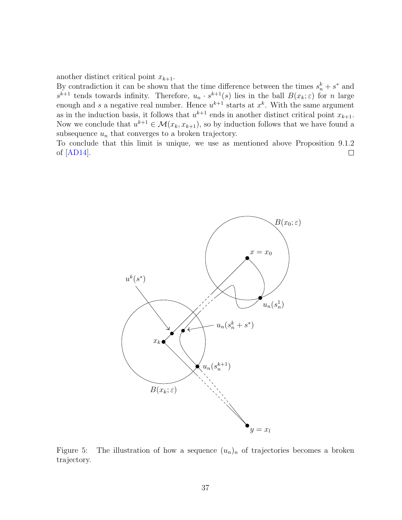another distinct critical point  $x_{k+1}$ .

By contradiction it can be shown that the time difference between the times  $s_n^k + s^*$  and  $s^{k+1}$  tends towards infinity. Therefore,  $u_n \cdot s^{k+1}(s)$  lies in the ball  $B(x_k; \varepsilon)$  for n large enough and s a negative real number. Hence  $u^{k+1}$  starts at  $x^k$ . With the same argument as in the induction basis, it follows that  $u^{k+1}$  ends in another distinct critical point  $x_{k+1}$ . Now we conclude that  $u^{k+1} \in \mathcal{M}(x_k, x_{k+1})$ , so by induction follows that we have found a subsequence  $u_n$  that converges to a broken trajectory.

To conclude that this limit is unique, we use as mentioned above Proposition 9.1.2 of [\[AD14\]](#page-72-0).  $\Box$ 

<span id="page-42-0"></span>

Figure 5: The illustration of how a sequence  $(u_n)_n$  of trajectories becomes a broken trajectory.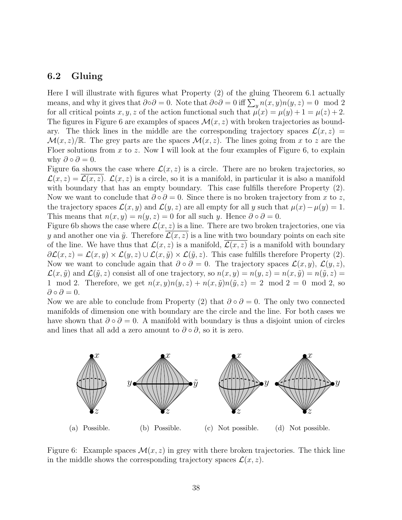## <span id="page-43-0"></span>6.2 Gluing

Here I will illustrate with figures what Property [\(2\)](#page-39-2) of the gluing Theorem [6.1](#page-39-0) actually means, and why it gives that  $\partial \circ \partial = 0$ . Note that  $\partial \circ \partial = 0$  iff  $\sum_{y} n(x, y) n(y, z) = 0 \mod 2$ for all critical points x, y, z of the action functional such that  $\mu(x) = \mu(y) + 1 = \mu(z) + 2$ . The figures in Figure [6](#page-43-1) are examples of spaces  $\mathcal{M}(x, z)$  with broken trajectories as boundary. The thick lines in the middle are the corresponding trajectory spaces  $\mathcal{L}(x, z) =$  $\mathcal{M}(x, z)/\mathbb{R}$ . The grey parts are the spaces  $\mathcal{M}(x, z)$ . The lines going from x to z are the Floer solutions from x to z. Now I will look at the four examples of Figure [6,](#page-43-1) to explain why  $\partial \circ \partial = 0$ .

Figure [6a](#page-43-1) shows the case where  $\mathcal{L}(x, z)$  is a circle. There are no broken trajectories, so  $\mathcal{L}(x, z) = \mathcal{L}(x, z)$ .  $\mathcal{L}(x, z)$  is a circle, so it is a manifold, in particular it is also a manifold with boundary that has an empty boundary. This case fulfills therefore Property [\(2\).](#page-39-2) Now we want to conclude that  $\partial \circ \partial = 0$ . Since there is no broken trajectory from x to z, the trajectory spaces  $\mathcal{L}(x, y)$  and  $\mathcal{L}(y, z)$  are all empty for all y such that  $\mu(x) - \mu(y) = 1$ . This means that  $n(x, y) = n(y, z) = 0$  for all such y. Hence  $\partial \circ \partial = 0$ .

Figure [6b](#page-43-1) shows the case where  $\mathcal{L}(x, z)$  is a line. There are two broken trajectories, one via y and another one via  $\tilde{y}$ . Therefore  $\mathcal{L}(x, z)$  is a line with two boundary points on each site of the line. We have thus that  $\mathcal{L}(x, z)$  is a manifold,  $\mathcal{L}(x, z)$  is a manifold with boundary  $\partial \mathcal{L}(x, z) = \mathcal{L}(x, y) \times \mathcal{L}(y, z) \cup \mathcal{L}(x, \tilde{y}) \times \mathcal{L}(\tilde{y}, z)$ . This case fulfills therefore Property [\(2\).](#page-39-2) Now we want to conclude again that  $\partial \circ \partial = 0$ . The trajectory spaces  $\mathcal{L}(x, y)$ ,  $\mathcal{L}(y, z)$ ,  $\mathcal{L}(x, \tilde{y})$  and  $\mathcal{L}(\tilde{y}, z)$  consist all of one trajectory, so  $n(x, y) = n(y, z) = n(x, \tilde{y}) = n(\tilde{y}, z)$ 1 mod 2. Therefore, we get  $n(x, y)n(y, z) + n(x, \tilde{y})n(\tilde{y}, z) = 2 \mod 2 = 0 \mod 2$ , so  $\partial \circ \partial = 0.$ 

Now we are able to conclude from Property [\(2\)](#page-39-2) that  $\partial \circ \partial = 0$ . The only two connected manifolds of dimension one with boundary are the circle and the line. For both cases we have shown that  $\partial \circ \partial = 0$ . A manifold with boundary is thus a disjoint union of circles and lines that all add a zero amount to  $\partial \circ \partial$ , so it is zero.

<span id="page-43-1"></span>

Figure 6: Example spaces  $\mathcal{M}(x, z)$  in grey with there broken trajectories. The thick line in the middle shows the corresponding trajectory spaces  $\mathcal{L}(x, z)$ .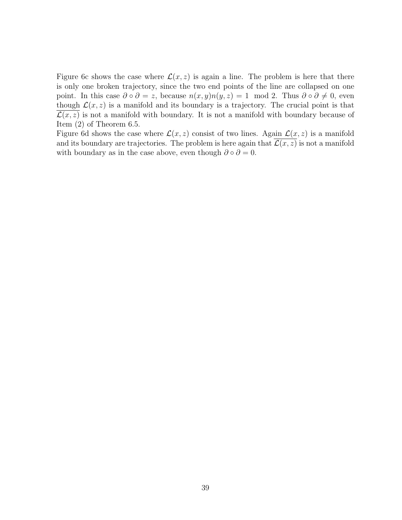Figure [6c](#page-43-1) shows the case where  $\mathcal{L}(x, z)$  is again a line. The problem is here that there is only one broken trajectory, since the two end points of the line are collapsed on one point. In this case  $\partial \circ \partial = z$ , because  $n(x, y)n(y, z) = 1 \mod 2$ . Thus  $\partial \circ \partial \neq 0$ , even though  $\mathcal{L}(x, z)$  is a manifold and its boundary is a trajectory. The crucial point is that  $\mathcal{L}(x, z)$  is not a manifold with boundary. It is not a manifold with boundary because of Item [\(2\)](#page-40-1) of Theorem [6.5.](#page-40-2)

Figure [6d](#page-43-1) shows the case where  $\mathcal{L}(x, z)$  consist of two lines. Again  $\mathcal{L}(x, z)$  is a manifold and its boundary are trajectories. The problem is here again that  $\mathcal{L}(x, z)$  is not a manifold with boundary as in the case above, even though  $\partial \circ \partial = 0$ .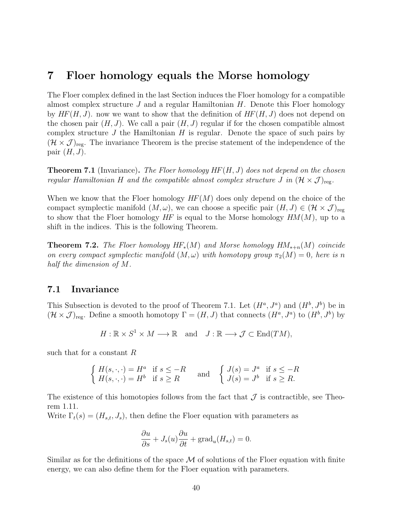# 7 Floer homology equals the Morse homology

The Floer complex defined in the last Section induces the Floer homology for a compatible almost complex structure  $J$  and a regular Hamiltonian  $H$ . Denote this Floer homology by  $HF(H, J)$ . now we want to show that the definition of  $HF(H, J)$  does not depend on the chosen pair  $(H, J)$ . We call a pair  $(H, J)$  regular if for the chosen compatible almost complex structure  $J$  the Hamiltonian  $H$  is regular. Denote the space of such pairs by  $(\mathcal{H} \times \mathcal{J})_{\text{reg}}$ . The invariance Theorem is the precise statement of the independence of the pair  $(H, J)$ .

<span id="page-45-0"></span>**Theorem 7.1** (Invariance). The Floer homology  $HF(H, J)$  does not depend on the chosen regular Hamiltonian H and the compatible almost complex structure J in  $(\mathcal{H} \times \mathcal{J})_{reg}$ .

When we know that the Floer homology  $HF(M)$  does only depend on the choice of the compact symplectic manifold  $(M, \omega)$ , we can choose a specific pair  $(H, J) \in (\mathcal{H} \times \mathcal{J})_{reg}$ to show that the Floer homology  $HF$  is equal to the Morse homology  $HM(M)$ , up to a shift in the indices. This is the following Theorem.

<span id="page-45-1"></span>**Theorem 7.2.** The Floer homology  $HF_*(M)$  and Morse homology  $HM_{*+n}(M)$  coincide on every compact symplectic manifold  $(M, \omega)$  with homotopy group  $\pi_2(M) = 0$ , here is n half the dimension of M.

#### 7.1 Invariance

This Subsection is devoted to the proof of Theorem [7.1.](#page-45-0) Let  $(H^a, J^a)$  and  $(H^b, J^b)$  be in  $(\mathcal{H} \times \mathcal{J})_{\text{reg}}$ . Define a smooth homotopy  $\Gamma = (H, J)$  that connects  $(H^a, J^a)$  to  $(H^b, J^b)$  by

$$
H: \mathbb{R} \times S^1 \times M \longrightarrow \mathbb{R} \quad \text{and} \quad J: \mathbb{R} \longrightarrow \mathcal{J} \subset \text{End}(TM),
$$

such that for a constant R

$$
\begin{cases} H(s, \cdot, \cdot) = H^a & \text{if } s \leq -R \\ H(s, \cdot, \cdot) = H^b & \text{if } s \geq R \end{cases} \text{ and } \begin{cases} J(s) = J^a & \text{if } s \leq -R \\ J(s) = J^b & \text{if } s \geq R. \end{cases}
$$

The existence of this homotopies follows from the fact that  $\mathcal J$  is contractible, see Theorem [1.11.](#page-10-0)

Write  $\Gamma_t(s) = (H_{s,t}, J_s)$ , then define the Floer equation with parameters as

$$
\frac{\partial u}{\partial s} + J_s(u)\frac{\partial u}{\partial t} + \text{grad}_u(H_{s,t}) = 0.
$$

Similar as for the definitions of the space  $\mathcal M$  of solutions of the Floer equation with finite energy, we can also define them for the Floer equation with parameters.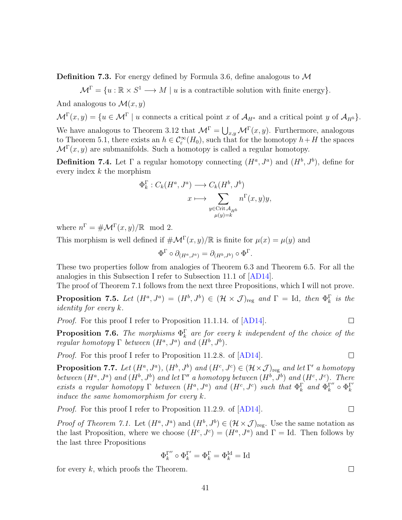**Definition 7.3.** For energy defined by Formula [3.6,](#page-20-1) define analogous to  $\mathcal{M}$ 

 $\mathcal{M}^{\Gamma} = \{u : \mathbb{R} \times S^1 \longrightarrow M \mid u \text{ is a contractible solution with finite energy}\}.$ 

And analogous to  $\mathcal{M}(x, y)$ 

 $\mathcal{M}^{\Gamma}(x,y) = \{u \in \mathcal{M}^{\Gamma} \mid u \text{ connects a critical point } x \text{ of } \mathcal{A}_{H^a} \text{ and a critical point } y \text{ of } \mathcal{A}_{H^b}\}.$ We have analogous to Theorem [3.12](#page-21-1) that  $\mathcal{M}^{\Gamma} = \bigcup_{x,y} \mathcal{M}^{\Gamma}(x,y)$ . Furthermore, analogous to Theorem [5.1,](#page-32-0) there exists an  $h \in C_{\varepsilon}^{\infty}(H_0)$ , such that for the homotopy  $h+H$  the spaces  $\mathcal{M}^{\Gamma}(x, y)$  are submanifolds. Such a homotopy is called a regular homotopy.

**Definition 7.4.** Let  $\Gamma$  a regular homotopy connecting  $(H^a, J^a)$  and  $(H^b, J^b)$ , define for every index  $k$  the morphism

$$
\Phi_k^{\Gamma}: C_k(H^a, J^a) \longrightarrow C_k(H^b, J^b)
$$

$$
x \longmapsto \sum_{\substack{y \in \text{Crit } A_{H^b} \\ \mu(y) = k}} n^{\Gamma}(x, y) y,
$$

where  $n^{\Gamma} = \# \mathcal{M}^{\Gamma}(x, y) / \mathbb{R}$  mod 2.

This morphism is well defined if  $\#\mathcal{M}^{\Gamma}(x, y)/\mathbb{R}$  is finite for  $\mu(x) = \mu(y)$  and

$$
\Phi^{\Gamma} \circ \partial_{(H^a, J^a)} = \partial_{(H^b, J^b)} \circ \Phi^{\Gamma}.
$$

These two properties follow from analogies of Theorem [6.3](#page-40-0) and Theorem [6.5.](#page-40-2) For all the analogies in this Subsection I refer to Subsection 11.1 of [\[AD14\]](#page-72-0).

The proof of Theorem [7.1](#page-45-0) follows from the next three Propositions, which I will not prove.

**Proposition 7.5.** Let  $(H^a, J^a) = (H^b, J^b) \in (\mathcal{H} \times \mathcal{J})_{reg}$  and  $\Gamma = \text{Id}$ , then  $\Phi_k^{\Gamma}$  is the identity for every k.

Proof. For this proof I refer to Proposition 11.1.14. of [\[AD14\]](#page-72-0).

**Proposition 7.6.** The morphisms  $\Phi_k^{\Gamma}$  are for every k independent of the choice of the regular homotopy  $\Gamma$  between  $(H^a, J^a)$  and  $(H^b, J^b)$ .

*Proof.* For this proof I refer to Proposition 11.2.8. of [\[AD14\]](#page-72-0).

**Proposition 7.7.** Let  $(H^a, J^a)$ ,  $(H^b, J^b)$  and  $(H^c, J^c) \in (\mathcal{H} \times \mathcal{J})_{reg}$  and let  $\Gamma'$  a homotopy between  $(H^a, J^a)$  and  $(H^b, J^b)$  and let  $\Gamma''$  a homotopy between  $(H^b, J^b)$  and  $(H^c, J^c)$ . There exists a regular homotopy  $\Gamma$  between  $(H^a, J^a)$  and  $(H^c, J^c)$  such that  $\Phi_k^{\Gamma}$  and  $\Phi_k^{\Gamma''}$  $_{k}^{\Gamma^{\prime\prime}}$  ο  $\Phi_{k}^{\Gamma^{\prime}}$ k induce the same homomorphism for every k.

Proof. For this proof I refer to Proposition 11.2.9. of [\[AD14\]](#page-72-0).  $\Box$ 

*Proof of Theorem [7.1.](#page-45-0)* Let  $(H^a, J^a)$  and  $(H^b, J^b) \in (\mathcal{H} \times \mathcal{J})_{reg}$ . Use the same notation as the last Proposition, where we choose  $(H<sup>c</sup>, J<sup>c</sup>) = (H<sup>a</sup>, J<sup>a</sup>)$  and  $\Gamma = Id$ . Then follows by the last three Propositions

$$
\Phi_k^{\Gamma''} \circ \Phi_k^{\Gamma'} = \Phi_k^{\Gamma} = \Phi_k^{\text{Id}} = \text{Id}
$$

for every  $k$ , which proofs the Theorem.

 $\Box$ 

 $\Box$ 

 $\Box$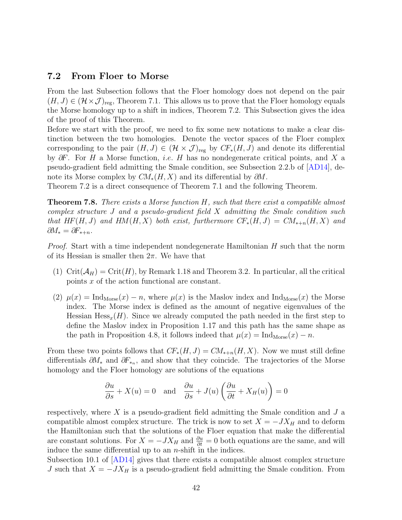#### 7.2 From Floer to Morse

From the last Subsection follows that the Floer homology does not depend on the pair  $(H, J) \in (\mathcal{H} \times \mathcal{J})_{\text{reg}}$ , Theorem [7.1.](#page-45-0) This allows us to prove that the Floer homology equals the Morse homology up to a shift in indices, Theorem [7.2.](#page-45-1) This Subsection gives the idea of the proof of this Theorem.

Before we start with the proof, we need to fix some new notations to make a clear distinction between the two homologies. Denote the vector spaces of the Floer complex corresponding to the pair  $(H, J) \in (\mathcal{H} \times \mathcal{J})_{reg}$  by  $CF_*(H, J)$  and denote its differential by  $\partial F$ . For H a Morse function, *i.e.* H has no nondegenerate critical points, and X a pseudo-gradient field admitting the Smale condition, see Subsection 2.2.b of [\[AD14\]](#page-72-0), denote its Morse complex by  $CM_*(H, X)$  and its differential by  $\partial M$ .

Theorem [7.2](#page-45-1) is a direct consequence of Theorem [7.1](#page-45-0) and the following Theorem.

Theorem 7.8. There exists a Morse function H, such that there exist a compatible almost complex structure J and a pseudo-gradient field X admitting the Smale condition such that HF(H, J) and HM(H, X) both exist, furthermore  $CF_*(H, J) = CM_{*+n}(H, X)$  and  $\partial M_* = \partial F_{*+n}.$ 

*Proof.* Start with a time independent nondegenerate Hamiltonian  $H$  such that the norm of its Hessian is smaller then  $2\pi$ . We have that

- (1)  $\operatorname{Crit}(\mathcal{A}_H) = \operatorname{Crit}(H)$ , by Remark [1.18](#page-12-0) and Theorem [3.2.](#page-17-0) In particular, all the critical points x of the action functional are constant.
- (2)  $\mu(x) = \text{Ind}_{\text{Morse}}(x) n$ , where  $\mu(x)$  is the Maslov index and  $\text{Ind}_{\text{Morse}}(x)$  the Morse index. The Morse index is defined as the amount of negative eigenvalues of the Hessian Hess<sub>x</sub> $(H)$ . Since we already computed the path needed in the first step to define the Maslov index in Proposition [1.17](#page-11-0) and this path has the same shape as the path in Proposition [4.8,](#page-31-0) it follows indeed that  $\mu(x) = \text{Ind}_{\text{Morse}}(x) - n$ .

From these two points follows that  $CF_*(H, J) = CM_{*+n}(H, X)$ . Now we must still define differentials  $\partial M_*$  and  $\partial F_{*n}$ , and show that they coincide. The trajectories of the Morse homology and the Floer homology are solutions of the equations

$$
\frac{\partial u}{\partial s} + X(u) = 0
$$
 and  $\frac{\partial u}{\partial s} + J(u) \left( \frac{\partial u}{\partial t} + X_H(u) \right) = 0$ 

respectively, where  $X$  is a pseudo-gradient field admitting the Smale condition and  $J$  a compatible almost complex structure. The trick is now to set  $X = -JX_H$  and to deform the Hamiltonian such that the solutions of the Floer equation that make the differential are constant solutions. For  $X = -JX_H$  and  $\frac{\partial u}{\partial t} = 0$  both equations are the same, and will induce the same differential up to an  $n$ -shift in the indices.

Subsection 10.1 of [\[AD14\]](#page-72-0) gives that there exists a compatible almost complex structure J such that  $X = -JX_H$  is a pseudo-gradient field admitting the Smale condition. From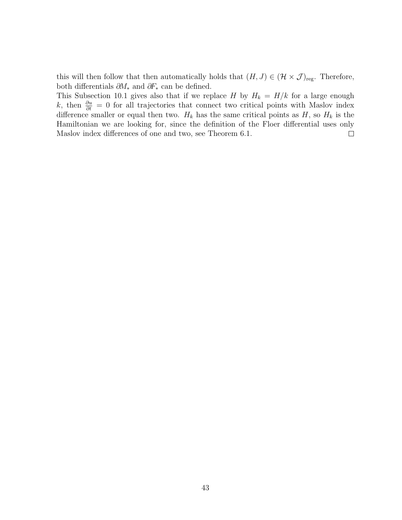this will then follow that then automatically holds that  $(H, J) \in (\mathcal{H} \times \mathcal{J})_{reg}$ . Therefore, both differentials  $\partial M_*$  and  $\partial F_*$  can be defined.

This Subsection 10.1 gives also that if we replace H by  $H_k = H/k$  for a large enough k, then  $\frac{\partial u}{\partial t} = 0$  for all trajectories that connect two critical points with Maslov index difference smaller or equal then two.  $H_k$  has the same critical points as  $H$ , so  $H_k$  is the Hamiltonian we are looking for, since the definition of the Floer differential uses only Maslov index differences of one and two, see Theorem [6.1.](#page-39-0)  $\Box$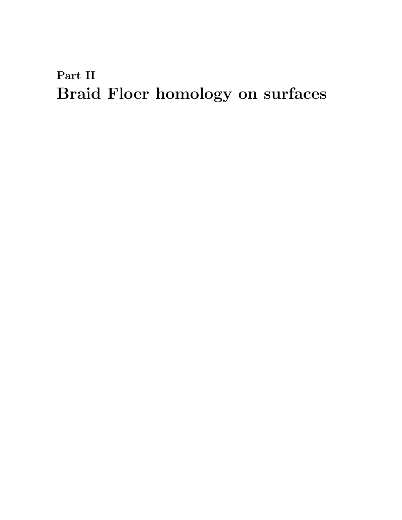# Part II Braid Floer homology on surfaces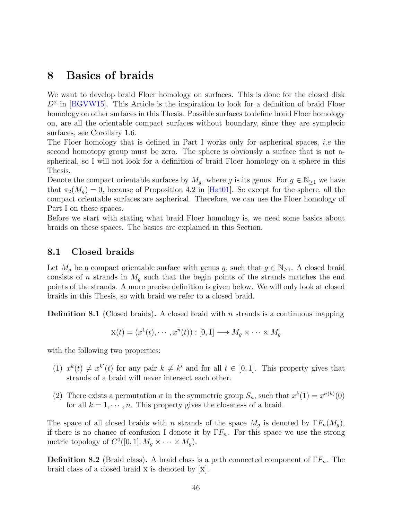# <span id="page-51-3"></span>8 Basics of braids

We want to develop braid Floer homology on surfaces. This is done for the closed disk  $D^2$  in [\[BGVW15\]](#page-72-3). This Article is the inspiration to look for a definition of braid Floer homology on other surfaces in this Thesis. Possible surfaces to define braid Floer homology on, are all the orientable compact surfaces without boundary, since they are symplecic surfaces, see Corollary [1.6.](#page-9-0)

The Floer homology that is defined in Part [I](#page-8-0) works only for aspherical spaces, i.e the second homotopy group must be zero. The sphere is obviously a surface that is not aspherical, so I will not look for a definition of braid Floer homology on a sphere in this Thesis.

Denote the compact orientable surfaces by  $M_q$ , where g is its genus. For  $g \in \mathbb{N}_{\geq 1}$  we have that  $\pi_2(M_g) = 0$ , because of Proposition 4.2 in [\[Hat01\]](#page-72-4). So except for the sphere, all the compact orientable surfaces are aspherical. Therefore, we can use the Floer homology of Part [I](#page-8-0) on these spaces.

Before we start with stating what braid Floer homology is, we need some basics about braids on these spaces. The basics are explained in this Section.

## 8.1 Closed braids

Let  $M_g$  be a compact orientable surface with genus g, such that  $g \in \mathbb{N}_{\geq 1}$ . A closed braid consists of n strands in  $M<sub>g</sub>$  such that the begin points of the strands matches the end points of the strands. A more precise definition is given below. We will only look at closed braids in this Thesis, so with braid we refer to a closed braid.

<span id="page-51-1"></span>**Definition 8.1** (Closed braids). A closed braid with n strands is a continuous mapping

$$
\mathbf{x}(t) = (x^1(t), \cdots, x^n(t)) : [0, 1] \longrightarrow M_g \times \cdots \times M_g
$$

with the following two properties:

- <span id="page-51-2"></span>(1)  $x^{k}(t) \neq x^{k'}(t)$  for any pair  $k \neq k'$  and for all  $t \in [0,1]$ . This property gives that strands of a braid will never intersect each other.
- <span id="page-51-0"></span>(2) There exists a permutation  $\sigma$  in the symmetric group  $S_n$ , such that  $x^k(1) = x^{\sigma(k)}(0)$ for all  $k = 1, \dots, n$ . This property gives the closeness of a braid.

The space of all closed braids with n strands of the space  $M_q$  is denoted by  $\Gamma F_n(M_q)$ , if there is no chance of confusion I denote it by  $\Gamma F_n$ . For this space we use the strong metric topology of  $C^0([0,1]; M_g \times \cdots \times M_g)$ .

**Definition 8.2** (Braid class). A braid class is a path connected component of  $\Gamma F_n$ . The braid class of a closed braid x is denoted by [x].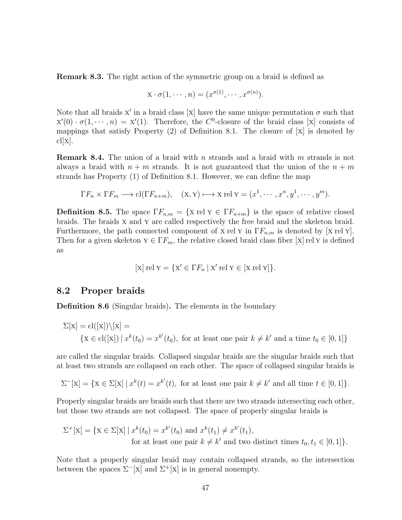Remark 8.3. The right action of the symmetric group on a braid is defined as

$$
\mathbf{x} \cdot \sigma(1, \cdots, n) = (x^{\sigma(1)}, \cdots, x^{\sigma(n)}).
$$

Note that all braids  $X'$  in a braid class [X] have the same unique permutation  $\sigma$  such that  $x'(0) \cdot \sigma(1,\dots,n) = x'(1)$ . Therefore, the C<sup>0</sup>-closure of the braid class [x] consists of mappings that satisfy Property  $(2)$  of Definition [8.1.](#page-51-1) The closure of  $[X]$  is denoted by  $cl[x].$ 

**Remark 8.4.** The union of a braid with n strands and a braid with m strands is not always a braid with  $n + m$  strands. It is not guaranteed that the union of the  $n + m$ strands has Property [\(1\)](#page-51-2) of Definition [8.1.](#page-51-1) However, we can define the map

$$
\Gamma F_n \times \Gamma F_m \longrightarrow \text{cl}(\Gamma F_{n+m}), \quad (\mathbf{X}, \mathbf{Y}) \longmapsto \mathbf{X} \text{ rel } \mathbf{Y} = (x^1, \cdots, x^n, y^1, \cdots, y^m).
$$

**Definition 8.5.** The space  $\Gamma F_{n,m} = \{X \text{ rel } Y \in \Gamma F_{n+m}\}\$ is the space of relative closed braids. The braids x and y are called respectively the free braid and the skeleton braid. Furthermore, the path connected component of x rel Y in  $\Gamma F_{n,m}$  is denoted by [x rel Y]. Then for a given skeleton  $Y \in \Gamma F_m$ , the relative closed braid class fiber [x] rel Y is defined as

$$
[X] \operatorname{rel} Y = \{ X' \in \Gamma F_n \mid X' \operatorname{rel} Y \in [X \operatorname{rel} Y] \}.
$$

#### 8.2 Proper braids

Definition 8.6 (Singular braids). The elements in the boundary

$$
\Sigma[\mathbf{x}] = \text{cl}([\mathbf{x}]) \setminus [\mathbf{x}] =
$$
  
{ $\mathbf{x} \in \text{cl}([\mathbf{x}]) \mid x^k(t_0) = x^{k'}(t_0)$ , for at least one pair  $k \neq k'$  and a time  $t_0 \in [0, 1]$ }

are called the singular braids. Collapsed singular braids are the singular braids such that at least two strands are collapsed on each other. The space of collapsed singular braids is

$$
\Sigma^{-}[X] = \{ X \in \Sigma[X] \mid x^k(t) = x^{k'}(t), \text{ for at least one pair } k \neq k' \text{ and all time } t \in [0,1] \}.
$$

Properly singular braids are braids such that there are two strands intersecting each other, but those two strands are not collapsed. The space of properly singular braids is

$$
\Sigma^+[X] = \{ X \in \Sigma[X] \mid x^k(t_0) = x^{k'}(t_0) \text{ and } x^k(t_1) \neq x^{k'}(t_1),
$$
  
for at least one pair  $k \neq k'$  and two distinct times  $t_0, t_1 \in [0, 1] \}.$ 

Note that a properly singular braid may contain collapsed strands, so the intersection between the spaces  $\Sigma^{-}[x]$  and  $\Sigma^{+}[x]$  is in general nonempty.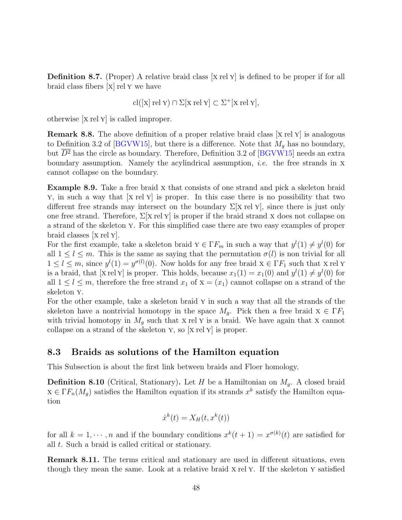**Definition 8.7.** (Proper) A relative braid class  $[x \text{ rel } y]$  is defined to be proper if for all braid class fibers [x] rel y we have

$$
cl([x] \ rel \ Y) \cap \Sigma[x \ rel \ Y] \subset \Sigma^+[x \ rel \ Y],
$$

otherwise [x rel y] is called improper.

**Remark 8.8.** The above definition of a proper relative braid class [X rel Y] is analogous to Definition 3.2 of [\[BGVW15\]](#page-72-3), but there is a difference. Note that  $M_q$  has no boundary, but  $\overline{D^2}$  has the circle as boundary. Therefore, Definition 3.2 of [\[BGVW15\]](#page-72-3) needs an extra boundary assumption. Namely the acylindrical assumption, i.e. the free strands in x cannot collapse on the boundary.

<span id="page-53-0"></span>Example 8.9. Take a free braid x that consists of one strand and pick a skeleton braid y, in such a way that [x rel y] is proper. In this case there is no possibility that two different free strands may intersect on the boundary  $\Sigma[X]$  rel Y, since there is just only one free strand. Therefore,  $\Sigma[x \text{ rel } y]$  is proper if the braid strand x does not collapse on a strand of the skeleton y. For this simplified case there are two easy examples of proper braid classes [x rel y].

For the first example, take a skeleton braid  $Y \in \Gamma F_m$  in such a way that  $y^l(1) \neq y^l(0)$  for all  $1 \leq l \leq m$ . This is the same as saying that the permutation  $\sigma(l)$  is non trivial for all  $1 \leq l \leq m$ , since  $y^{l}(1) = y^{\sigma(l)}(0)$ . Now holds for any free braid  $x \in \Gamma F_1$  such that x rel Y is a braid, that [X rel Y] is proper. This holds, because  $x_1(1) = x_1(0)$  and  $y'(1) \neq y'(0)$  for all  $1 \leq l \leq m$ , therefore the free strand  $x_1$  of  $X = (x_1)$  cannot collapse on a strand of the skeleton y.

For the other example, take a skeleton braid y in such a way that all the strands of the skeleton have a nontrivial homotopy in the space  $M_q$ . Pick then a free braid  $x \in \Gamma F_1$ with trivial homotopy in  $M_g$  such that x rel Y is a braid. We have again that x cannot collapse on a strand of the skeleton y, so [x rel y] is proper.

#### 8.3 Braids as solutions of the Hamilton equation

This Subsection is about the first link between braids and Floer homology.

**Definition 8.10** (Critical, Stationary). Let H be a Hamiltonian on  $M_q$ . A closed braid  $x \in \Gamma F_n(M_g)$  satisfies the Hamilton equation if its strands  $x^k$  satisfy the Hamilton equation

$$
\dot{x}^k(t) = X_H(t, x^k(t))
$$

for all  $k = 1, \dots, n$  and if the boundary conditions  $x^k(t + 1) = x^{\sigma(k)}(t)$  are satisfied for all  $t$ . Such a braid is called critical or stationary.

Remark 8.11. The terms critical and stationary are used in different situations, even though they mean the same. Look at a relative braid x rel y. If the skeleton y satisfied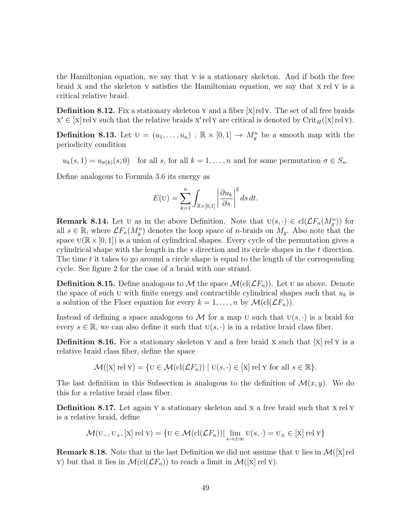the Hamiltonian equation, we say that y is a stationary skeleton. And if both the free braid x and the skeleton y satisfies the Hamiltonian equation, we say that x rel y is a critical relative braid.

**Definition 8.12.** Fix a stationary skeleton Y and a fiber  $|X|$ rely. The set of all free braids  $X' \in [X]$  rely such that the relative braids  $X'$  rely are critical is denoted by  $\operatorname{Crit}_H([X]$  rely).

**Definition 8.13.** Let  $U = (u_1, \ldots, u_n) : \mathbb{R} \times [0,1] \to M_g^n$  be a smooth map with the periodicity condition

 $u_k(s, 1) = u_{\sigma(k)}(s, 0)$  for all s, for all  $k = 1, \ldots, n$  and for some permutation  $\sigma \in S_n$ .

Define analogous to Formula [3.6](#page-20-1) its energy as

$$
E(\mathbf{U}) = \sum_{k=1}^{n} \int_{\mathbb{R} \times [0,1]} \left| \frac{\partial u_k}{\partial s} \right|^2 ds dt.
$$

**Remark 8.14.** Let U as in the above Definition. Note that  $U(s, \cdot) \in \text{cl}(\mathcal{L}F_n(M_g^n))$  for all  $s \in \mathbb{R}$ , where  $\mathcal{L}F_n(M_g^n)$  denotes the loop space of *n*-braids on  $M_g$ . Also note that the space  $U(\mathbb{R} \times [0, 1])$  is a union of cylindrical shapes. Every cycle of the permutation gives a cylindrical shape with the length in the s direction and its circle shapes in the t direction. The time  $t$  it takes to go around a circle shape is equal to the length of the corresponding cycle. See figure [2](#page-19-0) for the case of a braid with one strand.

**Definition 8.15.** Define analogous to M the space  $\mathcal{M}(\text{cl}(\mathcal{L}F_n))$ . Let U as above. Denote the space of such U with finite energy and contractible cylindrical shapes such that  $u_k$  is a solution of the Floer equation for every  $k = 1, ..., n$  by  $\mathcal{M}(\text{cl}(\mathcal{L}F_n)).$ 

Instead of defining a space analogous to M for a map  $\cup$  such that  $U(s, \cdot)$  is a braid for every  $s \in \mathbb{R}$ , we can also define it such that  $U(s, \cdot)$  is in a relative braid class fiber.

**Definition 8.16.** For a stationary skeleton Y and a free braid X such that  $[X]$  rel Y is a relative braid class fiber, define the space

 $\mathcal{M}([\mathrm{x}] \mathrm{rel} \mathrm{Y}) = \{ \mathrm{U} \in \mathcal{M}(\mathrm{cl}(\mathcal{L}F_n)) \mid \mathrm{U}(s, \cdot) \in [\mathrm{x}] \mathrm{rel} \mathrm{Y} \mathrm{ for } \mathrm{ all } s \in \mathbb{R} \}.$ 

The last definition in this Subsection is analogous to the definition of  $\mathcal{M}(x, y)$ . We do this for a relative braid class fiber.

Definition 8.17. Let again Y a stationary skeleton and X a free braid such that X rel Y is a relative braid, define

$$
\mathcal{M}(\mathbf{U}_{-},\mathbf{U}_{+},[\mathbf{X}]\operatorname{rel}\mathbf{Y})=\{\mathbf{U}\in\mathcal{M}(\operatorname{cl}(\mathcal{L}F_n))|\lim_{s\to\pm\infty}\mathbf{U}(s,\cdot)=\mathbf{U}_{\pm}\in[\mathbf{X}]\operatorname{rel}\mathbf{Y}\}
$$

**Remark 8.18.** Note that in the last Definition we did not assume that U lies in  $\mathcal{M}([x]$  rel Y) but that it lies in  $\mathcal{M}(\text{cl}(\mathcal{L}F_n))$  to reach a limit in  $\mathcal{M}([x] \text{ rel Y})$ .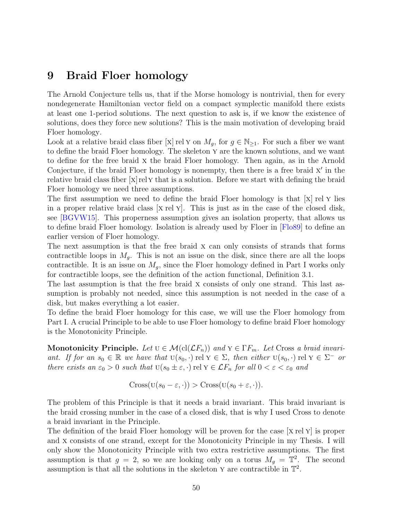# <span id="page-55-0"></span>9 Braid Floer homology

The Arnold Conjecture tells us, that if the Morse homology is nontrivial, then for every nondegenerate Hamiltonian vector field on a compact symplectic manifold there exists at least one 1-period solutions. The next question to ask is, if we know the existence of solutions, does they force new solutions? This is the main motivation of developing braid Floer homology.

Look at a relative braid class fiber [x] rel Y on  $M_q$ , for  $g \in \mathbb{N}_{\geq 1}$ . For such a fiber we want to define the braid Floer homology. The skeleton y are the known solutions, and we want to define for the free braid x the braid Floer homology. Then again, as in the Arnold Conjecture, if the braid Floer homology is nonempty, then there is a free braid  $x'$  in the relative braid class fiber [x] rely that is a solution. Before we start with defining the braid Floer homology we need three assumptions.

The first assumption we need to define the braid Floer homology is that [x] rel Y lies in a proper relative braid class  $[x \text{ rel } y]$ . This is just as in the case of the closed disk, see [\[BGVW15\]](#page-72-3). This properness assumption gives an isolation property, that allows us to define braid Floer homology. Isolation is already used by Floer in [\[Flo89\]](#page-72-5) to define an earlier version of Floer homology.

The next assumption is that the free braid x can only consists of strands that forms contractible loops in  $M<sub>g</sub>$ . This is not an issue on the disk, since there are all the loops contractible. [I](#page-8-0)t is an issue on  $M_q$ , since the Floer homology defined in Part I works only for contractible loops, see the definition of the action functional, Definition [3.1.](#page-16-0)

The last assumption is that the free braid x consists of only one strand. This last assumption is probably not needed, since this assumption is not needed in the case of a disk, but makes everything a lot easier.

To define the braid Floer homology for this case, we will use the Floer homology from Part [I.](#page-8-0) A crucial Principle to be able to use Floer homology to define braid Floer homology is the Monotonicity Principle.

Monotonicity Principle. Let  $u \in \mathcal{M}(cl(\mathcal{L}F_n))$  and  $y \in \Gamma F_m$ . Let Cross a braid invariant. If for an  $s_0 \in \mathbb{R}$  we have that  $U(s_0, \cdot)$  rel  $Y \in \Sigma$ , then either  $U(s_0, \cdot)$  rel  $Y \in \Sigma^-$  or there exists an  $\varepsilon_0 > 0$  such that  $\mathfrak{u}(s_0 \pm \varepsilon, \cdot)$  rel  $\mathfrak{v} \in \mathcal{L}F_n$  for all  $0 < \varepsilon < \varepsilon_0$  and

$$
Cross(U(s_0 - \varepsilon, \cdot)) > Cross(U(s_0 + \varepsilon, \cdot)).
$$

The problem of this Principle is that it needs a braid invariant. This braid invariant is the braid crossing number in the case of a closed disk, that is why I used Cross to denote a braid invariant in the Principle.

The definition of the braid Floer homology will be proven for the case |X rel Y| is proper and x consists of one strand, except for the Monotonicity Principle in my Thesis. I will only show the Monotonicity Principle with two extra restrictive assumptions. The first assumption is that  $g = 2$ , so we are looking only on a torus  $M_g = \mathbb{T}^2$ . The second assumption is that all the solutions in the skeleton Y are contractible in  $\mathbb{T}^2$ .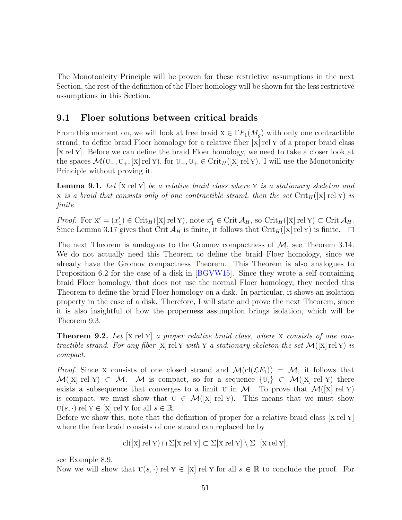The Monotonicity Principle will be proven for these restrictive assumptions in the next Section, the rest of the definition of the Floer homology will be shown for the less restrictive assumptions in this Section.

## 9.1 Floer solutions between critical braids

From this moment on, we will look at free braid  $x \in \Gamma F_1(M_q)$  with only one contractible strand, to define braid Floer homology for a relative fiber [x] rel y of a proper braid class [x rel y]. Before we can define the braid Floer homology, we need to take a closer look at the spaces  $\mathcal{M}(\mathbf{U}_-,\mathbf{U}_+,[\mathbf{X}]\text{ rel Y})$ , for  $\mathbf{U}_-,\mathbf{U}_+\in\mathrm{Crit}_H([\mathbf{X}]\text{ rel Y})$ . I will use the Monotonicity Principle without proving it.

<span id="page-56-0"></span>**Lemma 9.1.** Let  $[X \text{ rel } Y]$  be a relative braid class where  $Y$  is a stationary skeleton and x is a braid that consists only of one contractible strand, then the set  $\operatorname{Crit}_H([x]$  rel Y) is finite.

Proof. For  $X' = (x_1') \in \operatorname{Crit}_H([X] \text{ rel } Y)$ , note  $x_1' \in \operatorname{Crit} \mathcal{A}_H$ , so  $\operatorname{Crit}_H([X] \text{ rel } Y) \subset \operatorname{Crit} \mathcal{A}_H$ . Since Lemma [3.17](#page-23-0) gives that Crit  $\mathcal{A}_H$  is finite, it follows that Crit<sub>H</sub>([x] rel Y) is finite.  $\square$ 

The next Theorem is analogous to the Gromov compactness of  $M$ , see Theorem [3.14.](#page-21-0) We do not actually need this Theorem to define the braid Floer homology, since we already have the Gromov compactness Theorem. This Theorem is also analogues to Proposition 6.2 for the case of a disk in [\[BGVW15\]](#page-72-3). Since they wrote a self containing braid Floer homology, that does not use the normal Floer homology, they needed this Theorem to define the braid Floer homology on a disk. In particular, it shows an isolation property in the case of a disk. Therefore, I will state and prove the next Theorem, since it is also insightful of how the properness assumption brings isolation, which will be Theorem [9.3.](#page-57-0)

**Theorem 9.2.** Let  $[X \text{ rel } Y]$  a proper relative braid class, where  $X$  consists of one contractible strand. For any fiber [x] rel Y with Y a stationary skeleton the set  $\mathcal{M}([x] \text{ rel y})$  is compact.

*Proof.* Since x consists of one closed strand and  $\mathcal{M}(cl(\mathcal{L}F_1)) = \mathcal{M}$ , it follows that  $\mathcal{M}([x] \text{ rel } y) \subset \mathcal{M}$ . M is compact, so for a sequence  $\{U_i\} \subset \mathcal{M}([x] \text{ rel } y)$  there exists a subsequence that converges to a limit  $\mathbf{U}$  in  $\mathcal{M}$ . To prove that  $\mathcal{M}([\mathbf{X}] \text{ rel } \mathbf{Y})$ is compact, we must show that  $U \in \mathcal{M}([x] \text{ rel } Y)$ . This means that we must show  $u(s, \cdot)$  rel Y ∈ [X] rel Y for all  $s \in \mathbb{R}$ .

Before we show this, note that the definition of proper for a relative braid class  $|x|$  rel  $|y|$ where the free braid consists of one strand can replaced be by

cl([x] rel Y)  $\cap \Sigma$ [X rel Y]  $\subset \Sigma$ [X rel Y]  $\setminus \Sigma^-$ [X rel Y],

see Example [8.9.](#page-53-0)

Now we will show that  $U(s, \cdot)$  rel  $Y \in [X]$  rel Y for all  $s \in \mathbb{R}$  to conclude the proof. For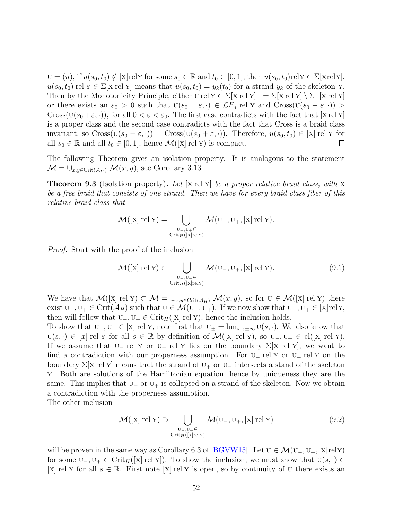$u = (u)$ , if  $u(s_0, t_0) \notin [x]$ rely for some  $s_0 \in \mathbb{R}$  and  $t_0 \in [0, 1]$ , then  $u(s_0, t_0)$ rely  $\in \Sigma$ [Xrely].  $u(s_0, t_0)$  rel Y  $\in \Sigma[\text{X rel Y}]$  means that  $u(s_0, t_0) = y_k(t_0)$  for a strand  $y_k$  of the skeleton Y. Then by the Monotonicity Principle, either  $\overline{U}$  rel  $\overline{Y} \in \Sigma[X \text{ rel } Y]^{-} = \Sigma[X \text{ rel } Y] \setminus \Sigma^{+}[X \text{ rel } Y]$ or there exists an  $\varepsilon_0 > 0$  such that  $u(s_0 \pm \varepsilon, \cdot) \in \mathcal{L}F_n$  rel Y and  $Cross(u(s_0 - \varepsilon, \cdot)) >$  $Cross(U(s_0 + \varepsilon, \cdot))$ , for all  $0 < \varepsilon < \varepsilon_0$ . The first case contradicts with the fact that [X rel Y] is a proper class and the second case contradicts with the fact that Cross is a braid class invariant, so  $Cross(U(s_0 - \varepsilon, \cdot)) = Cross(U(s_0 + \varepsilon, \cdot))$ . Therefore,  $u(s_0, t_0) \in [X]$  rel Y for all  $s_0 \in \mathbb{R}$  and all  $t_0 \in [0, 1]$ , hence  $\mathcal{M}([x] \text{ rel } Y)$  is compact.  $\Box$ 

The following Theorem gives an isolation property. It is analogous to the statement  $\mathcal{M} = \bigcup_{x,y \in \text{Crit}(\mathcal{A}_H)} \mathcal{M}(x,y)$ , see Corollary [3.13.](#page-21-2)

<span id="page-57-0"></span>**Theorem 9.3** (Isolation property). Let [X rel Y] be a proper relative braid class, with X be a free braid that consists of one strand. Then we have for every braid class fiber of this relative braid class that

$$
\mathcal{M}([x]\operatorname{rel} Y)=\bigcup_{\substack{U_-,U_+\in\\ \operatorname{Crit}_H([x]\operatorname{rel} Y)}}\mathcal{M}(U_-,U_+,[x]\operatorname{rel} Y).
$$

Proof. Start with the proof of the inclusion

$$
\mathcal{M}([x] \text{ rel } Y) \subset \bigcup_{\substack{U_-, U_+ \in \\ \text{Crit}_H([x] \text{ rel } Y)}} \mathcal{M}(U_-, U_+, [x] \text{ rel } Y). \tag{9.1}
$$

We have that  $\mathcal{M}([x] \text{ rel } Y) \subset \mathcal{M} = \cup_{x,y \in \text{Crit}(\mathcal{A}_H)} \mathcal{M}(x,y)$ , so for  $U \in \mathcal{M}([x] \text{ rel } Y)$  there exist  $u_-, u_+ \in \mathrm{Crit}(\mathcal{A}_H)$  such that  $u \in \mathcal{M}(u_-, u_+)$ . If we now show that  $u_-, u_+ \in [x]$ rely, then will follow that  $u_-, u_+ \in Crit_H([x] \text{ rel } Y)$ , hence the inclusion holds.

To show that  $U_-, U_+ \in [X]$  rel Y, note first that  $U_+ = \lim_{s \to \pm \infty} U(s, \cdot)$ . We also know that  $u(s, \cdot) \in [x]$  rel Y for all  $s \in \mathbb{R}$  by definition of  $\mathcal{M}([x] \text{ rel Y})$ , so  $u_-, u_+ \in \text{cl}([x] \text{ rel Y})$ . If we assume that  $U_$  rel Y or  $U_+$  rel Y lies on the boundary  $\Sigma[X]$  rel Y], we want to find a contradiction with our properness assumption. For  $U_$  rel  $Y$  or  $U_+$  rel  $Y$  on the boundary  $\Sigma$ [x rel y] means that the strand of  $U_+$  or  $U_-$  intersects a stand of the skeleton y. Both are solutions of the Hamiltonian equation, hence by uniqueness they are the same. This implies that  $U_$  or  $U_+$  is collapsed on a strand of the skeleton. Now we obtain a contradiction with the properness assumption.

The other inclusion

<span id="page-57-1"></span>
$$
\mathcal{M}([x] \text{ rel } Y) \supset \bigcup_{\substack{U_-, U_+ \in \\ \text{Crit}_H([x] \text{ rel } Y)}} \mathcal{M}(U_-, U_+, [x] \text{ rel } Y) \tag{9.2}
$$

will be proven in the same way as Corollary 6.3 of [\[BGVW15\]](#page-72-3). Let  $u \in \mathcal{M}(u_-, u_+, \{x\}rely)$ for some  $U_-, U_+ \in \mathrm{Crit}_H([x] \text{ rel } Y])$ . To show the inclusion, we must show that  $U(s, \cdot) \in$  $[X]$  rel Y for all  $s \in \mathbb{R}$ . First note  $[X]$  rel Y is open, so by continuity of U there exists an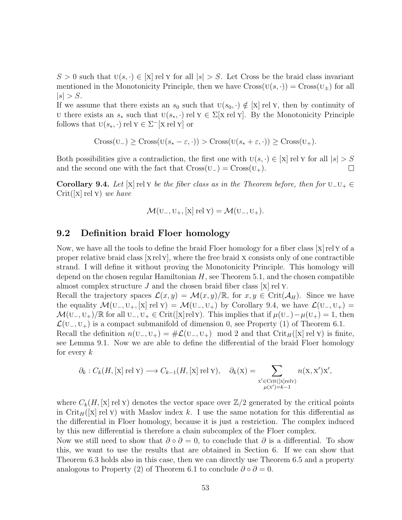$S > 0$  such that  $U(s, \cdot) \in [X]$  rel Y for all  $|s| > S$ . Let Cross be the braid class invariant mentioned in the Monotonicity Principle, then we have  $Cross(U(s, \cdot)) = Cross(U_{\pm})$  for all  $|s| > S$ .

If we assume that there exists an  $s_0$  such that  $U(s_0, \cdot) \notin [X]$  rel Y, then by continuity of u there exists an  $s_*$  such that  $U(s_*, \cdot)$  rel  $Y \in \Sigma[X]$  rel Y. By the Monotonicity Principle follows that  $U(s_*, \cdot)$  rel  $Y \in \Sigma^{-}[X]$ rel  $Y$  or

$$
Cross(U_{-}) \geq Cross(U(s_{*}-\varepsilon,\cdot)) > Cross(U(s_{*}+\varepsilon,\cdot)) \geq Cross(U_{+}).
$$

Both possibilities give a contradiction, the first one with  $u(s, \cdot) \in [x]$  rel Y for all  $|s| > S$ and the second one with the fact that  $Cross(U_{-}) = Cross(U_{+})$ . П

<span id="page-58-0"></span>**Corollary 9.4.** Let  $[X]$  rel  $Y$  be the fiber class as in the Theorem before, then for  $U_{-}U_{+} \in$  $Crit([x] \text{ rel } y)$  we have

$$
\mathcal{M}(U_-,U_+,[X]\operatorname{rel} Y)=\mathcal{M}(U_-,U_+).
$$

#### 9.2 Definition braid Floer homology

Now, we have all the tools to define the braid Floer homology for a fiber class  $[x]$  rely of a proper relative braid class  $[xre]y$ , where the free braid x consists only of one contractible strand. I will define it without proving the Monotonicity Principle. This homology will depend on the chosen regular Hamiltonian  $H$ , see Theorem [5.1,](#page-32-0) and the chosen compatible almost complex structure  $J$  and the chosen braid fiber class  $[X]$  rel  $Y$ .

Recall the trajectory spaces  $\mathcal{L}(x, y) = \mathcal{M}(x, y)/\mathbb{R}$ , for  $x, y \in \text{Crit}(\mathcal{A}_H)$ . Since we have the equality  $\mathcal{M}(U_-, U_+, [X] \text{ rel } Y) = \mathcal{M}(U_-, U_+)$  by Corollary [9.4,](#page-58-0) we have  $\mathcal{L}(U_-, U_+) =$  $\mathcal{M}(\mathbf{U}_-,\mathbf{U}_+)/\mathbb{R}$  for all  $\mathbf{U}_-,\mathbf{U}_+\in \mathrm{Crit}([\mathbf{X}]\mathrm{rel}\mathbf{Y})$ . This implies that if  $\mu(\mathbf{U}_-)-\mu(\mathbf{U}_+)=1$ , then  $\mathcal{L}(\mathbf{U}_-, \mathbf{U}_+)$  is a compact submanifold of dimension 0, see Property [\(1\)](#page-39-1) of Theorem [6.1.](#page-39-0)

Recall the definition  $n(\mathbf{U}_-, \mathbf{U}_+) = #\mathcal{L}(\mathbf{U}_-, \mathbf{U}_+) \mod 2$  and that  $\operatorname{Crit}_H([\mathbf{X}] \text{ rel } \mathbf{Y})$  is finite, see Lemma [9.1.](#page-56-0) Now we are able to define the differential of the braid Floer homology for every  $k$ 

$$
\partial_k : C_k(H, [\mathbf{x}] \text{ rel } \mathbf{Y}) \longrightarrow C_{k-1}(H, [\mathbf{x}] \text{ rel } \mathbf{Y}), \quad \partial_k(\mathbf{x}) = \sum_{\substack{\mathbf{x}' \in \text{Crit}([\mathbf{x}] \text{ rel } \mathbf{Y}) \\ \mu(\mathbf{x}') = k-1}} n(\mathbf{x}, \mathbf{x}') \mathbf{x}',
$$

where  $C_k(H, [x] \text{ rel } y)$  denotes the vector space over  $\mathbb{Z}/2$  generated by the critical points in Crit<sub>H</sub>([x] rel Y) with Maslov index k. I use the same notation for this differential as the differential in Floer homology, because it is just a restriction. The complex induced by this new differential is therefore a chain subcomplex of the Floer complex.

Now we still need to show that  $\partial \circ \partial = 0$ , to conclude that  $\partial$  is a differential. To show this, we want to use the results that are obtained in Section [6.](#page-39-4) If we can show that Theorem [6.3](#page-40-0) holds also in this case, then we can directly use Theorem [6.5](#page-40-2) and a property analogous to Property [\(2\)](#page-39-2) of Theorem [6.1](#page-39-0) to conclude  $\partial \circ \partial = 0$ .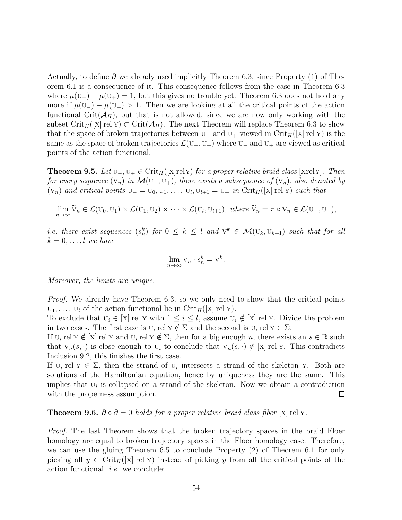Actually, to define  $\partial$  we already used implicitly Theorem [6.3,](#page-40-0) since Property [\(1\)](#page-39-1) of Theorem [6.1](#page-39-0) is a consequence of it. This consequence follows from the case in Theorem [6.3](#page-40-0) where  $\mu(U_{-}) - \mu(U_{+}) = 1$ , but this gives no trouble yet. Theorem [6.3](#page-40-0) does not hold any more if  $\mu(\mathbf{U}_{-}) - \mu(\mathbf{U}_{+}) > 1$ . Then we are looking at all the critical points of the action functional Crit $(\mathcal{A}_H)$ , but that is not allowed, since we are now only working with the subset  $\operatorname{Crit}_H([x] \text{ rel } Y) \subset \operatorname{Crit}(\mathcal{A}_H)$ . The next Theorem will replace Theorem [6.3](#page-40-0) to show that the space of broken trajectories between  $U_-\$  and  $U_+\$  viewed in Crit<sub>H</sub>([x] rel Y) is the same as the space of broken trajectories  $\mathcal{L}(\mathbf{U}_-, \mathbf{U}_+)$  where  $\mathbf{U}_-$  and  $\mathbf{U}_+$  are viewed as critical points of the action functional.

<span id="page-59-0"></span>**Theorem 9.5.** Let  $U_-, U_+ \in \mathrm{Crit}_H(|X| \mathrm{rel} Y)$  for a proper relative braid class [Xrely]. Then for every sequence  $(V_n)$  in  $\mathcal{M}(U_-, U_+)$ , there exists a subsequence of  $(V_n)$ , also denoted by  $(v_n)$  and critical points  $u = u_0, u_1, \ldots, u_l, u_{l+1} = u_+$  in  $\operatorname{Crit}_H([x] \text{ rel } y)$  such that

$$
\lim_{n\to\infty}\widetilde{\mathbf{V}}_n\in\mathcal{L}(\mathbf{U}_0,\mathbf{U}_1)\times\mathcal{L}(\mathbf{U}_1,\mathbf{U}_2)\times\cdots\times\mathcal{L}(\mathbf{U}_l,\mathbf{U}_{l+1}),\text{ where }\widetilde{\mathbf{V}}_n=\pi\circ\mathbf{V}_n\in\mathcal{L}(\mathbf{U}_-,\mathbf{U}_+),
$$

*i.e.* there exist sequences  $(s_n^k)$  for  $0 \leq k \leq l$  and  $v^k \in \mathcal{M}(v_k, v_{k+1})$  such that for all  $k = 0, \ldots, l$  we have

$$
\lim_{n \to \infty} \mathbf{V}_n \cdot s_n^k = \mathbf{V}^k.
$$

Moreover, the limits are unique.

*Proof.* We already have Theorem [6.3,](#page-40-0) so we only need to show that the critical points  $u_1, \ldots, u_l$  of the action functional lie in Crit<sub>H</sub>([x] rel Y).

To exclude that  $u_i \in [x]$  rel Y with  $1 \leq i \leq l$ , assume  $u_i \notin [x]$  rel Y. Divide the problem in two cases. The first case is  $U_i$  rel  $Y \notin \Sigma$  and the second is  $U_i$  rel  $Y \in \Sigma$ .

If  $U_i$  rel  $Y \notin [X]$  rel  $Y$  and  $U_i$  rel  $Y \notin \Sigma$ , then for a big enough n, there exists an  $s \in \mathbb{R}$  such that  $V_n(s, \cdot)$  is close enough to  $U_i$  to conclude that  $V_n(s, \cdot) \notin [X]$  rel Y. This contradicts Inclusion [9.2,](#page-57-1) this finishes the first case.

If  $U_i$  rel  $Y \in \Sigma$ , then the strand of  $U_i$  intersects a strand of the skeleton Y. Both are solutions of the Hamiltonian equation, hence by uniqueness they are the same. This implies that  $U_i$  is collapsed on a strand of the skeleton. Now we obtain a contradiction with the properness assumption.  $\Box$ 

#### **Theorem 9.6.**  $\partial \circ \partial = 0$  holds for a proper relative braid class fiber [x] rel Y.

Proof. The last Theorem shows that the broken trajectory spaces in the braid Floer homology are equal to broken trajectory spaces in the Floer homology case. Therefore, we can use the gluing Theorem [6.5](#page-40-2) to conclude Property [\(2\)](#page-39-2) of Theorem [6.1](#page-39-0) for only picking all  $y \in \text{Crit}_H([x] \text{ rel } Y)$  instead of picking y from all the critical points of the action functional, i.e. we conclude: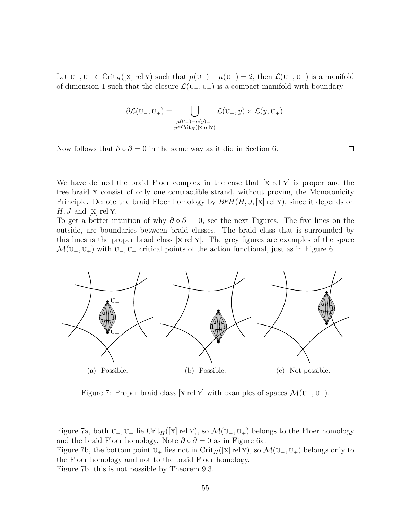Let  $u_-, u_+ \in \text{Crit}_H([x] \text{ rel } y)$  such that  $\mu(u_-) - \mu(u_+) = 2$ , then  $\mathcal{L}(u_-, u_+)$  is a manifold of dimension 1 such that the closure  $\overline{\mathcal{L}(u_-, u_+)}$  is a compact manifold with boundary

$$
\partial \mathcal{L}(\mathbf{U}_{-}, \mathbf{U}_{+}) = \bigcup_{\substack{\mu(\mathbf{U}_{-}) - \mu(y) = 1 \\ y \in \text{Crit}_H([\mathbf{x}]\text{rely})}} \mathcal{L}(\mathbf{U}_{-}, y) \times \mathcal{L}(y, \mathbf{U}_{+}).
$$

Now follows that  $\partial \circ \partial = 0$  in the same way as it did in Section [6.](#page-39-4)

We have defined the braid Floer complex in the case that  $[x \text{ rel } y]$  is proper and the free braid x consist of only one contractible strand, without proving the Monotonicity Principle. Denote the braid Floer homology by  $BFH(H, J, [x] \text{ rel } Y)$ , since it depends on  $H, J$  and |x| rel Y.

To get a better intuition of why  $\partial \circ \partial = 0$ , see the next Figures. The five lines on the outside, are boundaries between braid classes. The braid class that is surrounded by this lines is the proper braid class [x rel y]. The grey figures are examples of the space  $\mathcal{M}(\mathbf{U}_-, \mathbf{U}_+)$  with  $\mathbf{U}_-, \mathbf{U}_+$  critical points of the action functional, just as in Figure [6.](#page-43-1)

<span id="page-60-0"></span>

Figure 7: Proper braid class [x rel y] with examples of spaces  $\mathcal{M}(\mathbf{U}_-, \mathbf{U}_+)$ .

Figure [7a,](#page-60-0) both  $U_-, U_+$  lie Crit<sub>H</sub>([x] rel Y), so  $\mathcal{M}(U_-, U_+)$  belongs to the Floer homology and the braid Floer homology. Note  $\partial \circ \partial = 0$  as in Figure [6a.](#page-43-1) Figure [7b,](#page-60-0) the bottom point  $U_+$  lies not in Crit<sub>H</sub>([x] rel Y), so  $\mathcal{M}(U_-, U_+)$  belongs only to the Floer homology and not to the braid Floer homology. Figure [7b,](#page-60-0) this is not possible by Theorem [9.3.](#page-57-0)

 $\Box$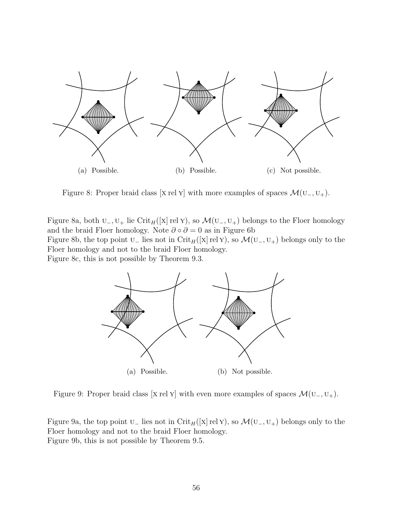<span id="page-61-0"></span>

Figure 8: Proper braid class [X rel Y] with more examples of spaces  $\mathcal{M}(\mathbf{U}_-, \mathbf{U}_+)$ .

Figure [8a,](#page-61-0) both  $U_-, U_+$  lie Crit<sub>H</sub>([x] rel Y), so  $\mathcal{M}(U_-, U_+)$  belongs to the Floer homology and the braid Floer homology. Note  $\partial \circ \partial = 0$  as in Figure [6b](#page-43-1) Figure [8b,](#page-61-0) the top point  $U_{-}$  lies not in Crit<sub>H</sub>([x] rel Y), so  $\mathcal{M}(U_{-}, U_{+})$  belongs only to the Floer homology and not to the braid Floer homology. Figure [8c,](#page-61-0) this is not possible by Theorem [9.3.](#page-57-0)

<span id="page-61-1"></span>

Figure 9: Proper braid class [x rel y] with even more examples of spaces  $\mathcal{M}(\mathbf{U}_-, \mathbf{U}_+).$ 

Figure [9a,](#page-61-1) the top point  $U_{-}$  lies not in Crit<sub>H</sub>([x] rel Y), so  $\mathcal{M}(U_{-}, U_{+})$  belongs only to the Floer homology and not to the braid Floer homology. Figure [9b,](#page-61-1) this is not possible by Theorem [9.5.](#page-59-0)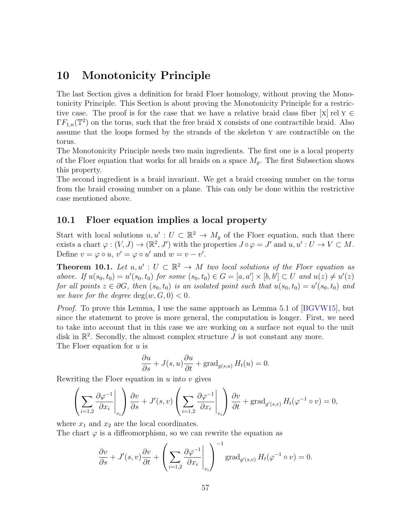# 10 Monotonicity Principle

The last Section gives a definition for braid Floer homology, without proving the Monotonicity Principle. This Section is about proving the Monotonicity Principle for a restrictive case. The proof is for the case that we have a relative braid class fiber [x] rel  $Y \in$  $\Gamma F_{1,n}(\mathbb{T}^2)$  on the torus, such that the free braid x consists of one contractible braid. Also assume that the loops formed by the strands of the skeleton y are contractible on the torus.

The Monotonicity Principle needs two main ingredients. The first one is a local property of the Floer equation that works for all braids on a space  $M_q$ . The first Subsection shows this property.

The second ingredient is a braid invariant. We get a braid crossing number on the torus from the braid crossing number on a plane. This can only be done within the restrictive case mentioned above.

## 10.1 Floer equation implies a local property

Start with local solutions  $u, u' : U \subset \mathbb{R}^2 \to M_g$  of the Floer equation, such that there exists a chart  $\varphi : (V, J) \to (\mathbb{R}^2, J')$  with the properties  $J \circ \varphi = J'$  and  $u, u' : U \to V \subset M$ . Define  $v = \varphi \circ u$ ,  $v' = \varphi \circ u'$  and  $w = v - v'$ .

<span id="page-62-0"></span>**Theorem 10.1.** Let  $u, u' : U \subset \mathbb{R}^2 \to M$  two local solutions of the Floer equation as above. If  $u(s_0, t_0) = u'(s_0, t_0)$  for some  $(s_0, t_0) \in G = [a, a'] \times [b, b'] \subset U$  and  $u(z) \neq u'(z)$ for all points  $z \in \partial G$ , then  $(s_0, t_0)$  is an isolated point such that  $u(s_0, t_0) = u'(s_0, t_0)$  and we have for the degree  $deg(w, G, 0) < 0$ .

Proof. To prove this Lemma, I use the same approach as Lemma 5.1 of [\[BGVW15\]](#page-72-3), but since the statement to prove is more general, the computation is longer. First, we need to take into account that in this case we are working on a surface not equal to the unit disk in  $\mathbb{R}^2$ . Secondly, the almost complex structure  $J$  is not constant any more. The Floer equation for  $u$  is

$$
\frac{\partial u}{\partial s} + J(s, u) \frac{\partial u}{\partial t} + \text{grad}_{g(s, u)} H_t(u) = 0.
$$

Rewriting the Floer equation in  $u$  into  $v$  gives

$$
\left(\sum_{i=1,2} \frac{\partial \varphi^{-1}}{\partial x_i}\Bigg|_{v_i}\right) \frac{\partial v}{\partial s} + J'(s,v) \left(\sum_{i=1,2} \frac{\partial \varphi^{-1}}{\partial x_i}\Bigg|_{v_i}\right) \frac{\partial v}{\partial t} + \text{grad}_{g'(s,v)} H_t(\varphi^{-1} \circ v) = 0,
$$

where  $x_1$  and  $x_2$  are the local coordinates.

The chart  $\varphi$  is a diffeomorphism, so we can rewrite the equation as

$$
\frac{\partial v}{\partial s} + J'(s, v) \frac{\partial v}{\partial t} + \left( \sum_{i=1,2} \frac{\partial \varphi^{-1}}{\partial x_i} \bigg|_{v_i} \right)^{-1} \operatorname{grad}_{g'(s,v)} H_t(\varphi^{-1} \circ v) = 0.
$$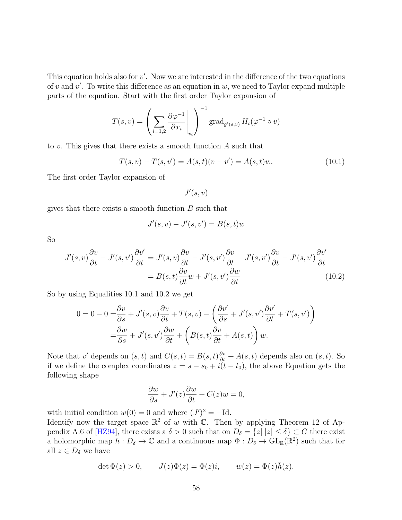This equation holds also for  $v'$ . Now we are interested in the difference of the two equations of v and  $v'$ . To write this difference as an equation in w, we need to Taylor expand multiple parts of the equation. Start with the first order Taylor expansion of

$$
T(s,v) = \left(\sum_{i=1,2} \frac{\partial \varphi^{-1}}{\partial x_i} \bigg|_{v_i}\right)^{-1} \text{grad}_{g'(s,v)} H_t(\varphi^{-1} \circ v)
$$

to v. This gives that there exists a smooth function A such that

$$
T(s, v) - T(s, v') = A(s, t)(v - v') = A(s, t)w.
$$
\n(10.1)

The first order Taylor expansion of

<span id="page-63-1"></span><span id="page-63-0"></span>
$$
J'(s,v)
$$

gives that there exists a smooth function  $B$  such that

$$
J'(s,v) - J'(s,v') = B(s,t)w
$$

So

$$
J'(s,v)\frac{\partial v}{\partial t} - J'(s,v')\frac{\partial v'}{\partial t} = J'(s,v)\frac{\partial v}{\partial t} - J'(s,v')\frac{\partial v}{\partial t} + J'(s,v')\frac{\partial v}{\partial t} - J'(s,v')\frac{\partial v'}{\partial t}
$$
  
=  $B(s,t)\frac{\partial v}{\partial t}w + J'(s,v')\frac{\partial w}{\partial t}$  (10.2)

So by using Equalities [10.1](#page-63-0) and [10.2](#page-63-1) we get

$$
0 = 0 - 0 = \frac{\partial v}{\partial s} + J'(s, v)\frac{\partial v}{\partial t} + T(s, v) - \left(\frac{\partial v'}{\partial s} + J'(s, v')\frac{\partial v'}{\partial t} + T(s, v')\right)
$$

$$
= \frac{\partial w}{\partial s} + J'(s, v')\frac{\partial w}{\partial t} + \left(B(s, t)\frac{\partial v}{\partial t} + A(s, t)\right)w.
$$

Note that v' depends on  $(s,t)$  and  $C(s,t) = B(s,t)\frac{\partial v}{\partial t} + A(s,t)$  depends also on  $(s,t)$ . So if we define the complex coordinates  $z = s - s_0 + i(t - t_0)$ , the above Equation gets the following shape

$$
\frac{\partial w}{\partial s} + J'(z)\frac{\partial w}{\partial t} + C(z)w = 0,
$$

with initial condition  $w(0) = 0$  and where  $(J')^2 = -Id$ .

Identify now the target space  $\mathbb{R}^2$  of w with  $\mathbb{C}$ . Then by applying Theorem 12 of Ap-pendix A.6 of [\[HZ94\]](#page-72-6), there exists a  $\delta > 0$  such that on  $D_{\delta} = \{z | |z| \leq \delta\} \subset G$  there exist a holomorphic map  $h: D_{\delta} \to \mathbb{C}$  and a continuous map  $\Phi: D_{\delta} \to GL_{\mathbb{R}}(\mathbb{R}^2)$  such that for all  $z \in D_{\delta}$  we have

$$
\det \Phi(z) > 0, \qquad J(z)\Phi(z) = \Phi(z)i, \qquad w(z) = \Phi(z)\bar{h}(z).
$$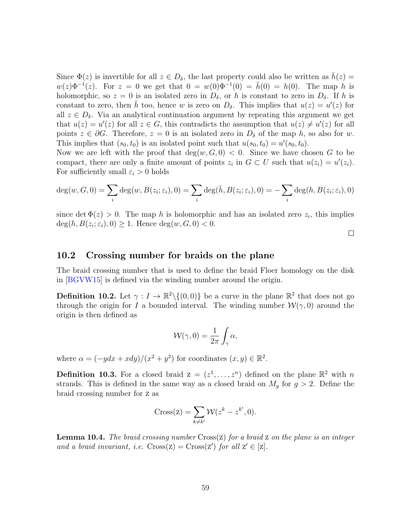Since  $\Phi(z)$  is invertible for all  $z \in D_{\delta}$ , the last property could also be written as  $\bar{h}(z) =$  $w(z)\Phi^{-1}(z)$ . For  $z = 0$  we get that  $0 = w(0)\Phi^{-1}(0) = \bar{h}(0) = h(0)$ . The map h is holomorphic, so  $z = 0$  is an isolated zero in  $D_{\delta}$ , or h is constant to zero in  $D_{\delta}$ . If h is constant to zero, then  $\bar{h}$  too, hence w is zero on  $D_{\delta}$ . This implies that  $u(z) = u'(z)$  for all  $z \in D_{\delta}$ . Via an analytical continuation argument by repeating this argument we get that  $u(z) = u'(z)$  for all  $z \in G$ , this contradicts the assumption that  $u(z) \neq u'(z)$  for all points  $z \in \partial G$ . Therefore,  $z = 0$  is an isolated zero in  $D_{\delta}$  of the map h, so also for w. This implies that  $(s_0, t_0)$  is an isolated point such that  $u(s_0, t_0) = u'(s_0, t_0)$ .

Now we are left with the proof that  $deg(w, G, 0) < 0$ . Since we have chosen G to be compact, there are only a finite amount of points  $z_i$  in  $G \subset U$  such that  $u(z_i) = u'(z_i)$ . For sufficiently small  $\varepsilon_i > 0$  holds

$$
\deg(w, G, 0) = \sum_{i} \deg(w, B(z_i; \varepsilon_i), 0) = \sum_{i} \deg(\bar{h}, B(z_i; \varepsilon_i), 0) = -\sum_{i} \deg(h, B(z_i; \varepsilon_i), 0)
$$

since det  $\Phi(z) > 0$ . The map h is holomorphic and has an isolated zero  $z_i$ , this implies  $\deg(h, B(z_i; \varepsilon_i), 0) \geq 1$ . Hence  $\deg(w, G, 0) < 0$ .

 $\Box$ 

#### 10.2 Crossing number for braids on the plane

The braid crossing number that is used to define the braid Floer homology on the disk in [\[BGVW15\]](#page-72-3) is defined via the winding number around the origin.

**Definition 10.2.** Let  $\gamma: I \to \mathbb{R}^2 \setminus \{(0,0)\}\$ be a curve in the plane  $\mathbb{R}^2$  that does not go through the origin for I a bounded interval. The winding number  $\mathcal{W}(\gamma, 0)$  around the origin is then defined as

$$
\mathcal{W}(\gamma,0)=\frac{1}{2\pi}\int_{\gamma}\alpha,
$$

where  $\alpha = (-ydx + xdy)/(x^2 + y^2)$  for coordinates  $(x, y) \in \mathbb{R}^2$ .

<span id="page-64-0"></span>**Definition 10.3.** For a closed braid  $z = (z^1, \ldots, z^n)$  defined on the plane  $\mathbb{R}^2$  with n strands. This is defined in the same way as a closed braid on  $M<sub>g</sub>$  for  $g > 2$ . Define the braid crossing number for z as

Cross(z) = 
$$
\sum_{k \neq k'} \mathcal{W}(z^k - z^{k'}, 0).
$$

**Lemma 10.4.** The braid crossing number  $Cross(z)$  for a braid z on the plane is an integer and a braid invariant, i.e.  $Cross(z) = Cross(z')$  for all  $z' \in [z]$ .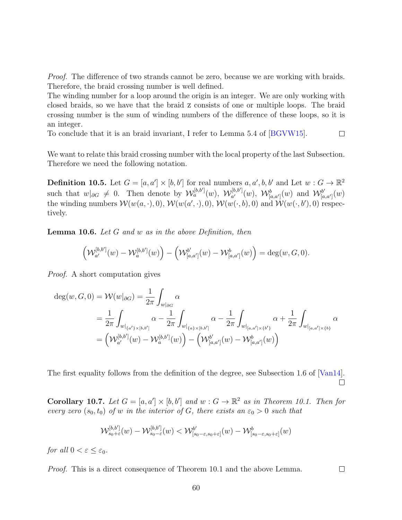Proof. The difference of two strands cannot be zero, because we are working with braids. Therefore, the braid crossing number is well defined.

The winding number for a loop around the origin is an integer. We are only working with closed braids, so we have that the braid z consists of one or multiple loops. The braid crossing number is the sum of winding numbers of the difference of these loops, so it is an integer.

To conclude that it is an braid invariant, I refer to Lemma 5.4 of [\[BGVW15\]](#page-72-3).  $\Box$ 

We want to relate this braid crossing number with the local property of the last Subsection. Therefore we need the following notation.

**Definition 10.5.** Let  $G = [a, a'] \times [b, b']$  for real numbers  $a, a', b, b'$  and Let  $w : G \to \mathbb{R}^2$ such that  $w|_{\partial G} \neq 0$ . Then denote by  $\mathcal{W}_a^{[b,b']}(w)$ ,  $\mathcal{W}_{a'}^{[b,b']}$  $\mathcal{W}_{[a,a']}^{[b,b']}(w)$ ,  $\mathcal{W}_{[a,a']}^{b}(w)$  and  $\mathcal{W}_{[a]}^{b'}$  $\int_{[a,a']}^{b'}(w)$ the winding numbers  $W(w(a, \cdot), 0), W(w(a', \cdot), 0), W(w(\cdot, b), 0)$  and  $W(w(\cdot, b'), 0)$  respectively.

**Lemma 10.6.** Let  $G$  and  $w$  as in the above Definition, then

$$
\Big({\mathcal W}^{[b,b']}_{a'}(w)-{\mathcal W}^{[b,b']}_a(w)\Big)-\Big({\mathcal W}^{b'}_{[a,a']}(w)-{\mathcal W}^b_{[a,a']}(w)\Big)=\deg(w,G,0).
$$

Proof. A short computation gives

$$
deg(w, G, 0) = W(w|_{\partial G}) = \frac{1}{2\pi} \int_{w|_{\partial G}} \alpha
$$
  
=  $\frac{1}{2\pi} \int_{w|_{\{a'\} \times [b, b']}} \alpha - \frac{1}{2\pi} \int_{w|_{\{a\} \times [b, b']}} \alpha - \frac{1}{2\pi} \int_{w|_{[a, a'] \times \{b'\}}} \alpha + \frac{1}{2\pi} \int_{w|_{[a, a'] \times \{b\}}} \alpha$   
=  $(W_{a'}^{[b, b']}(w) - W_{a}^{[b, b']}(w)) - (W_{[a, a']}^{b'}(w) - W_{[a, a']}^{b'}(w))$ 

The first equality follows from the definition of the degree, see Subsection 1.6 of [\[Van14\]](#page-72-7).  $\Box$ 

<span id="page-65-0"></span>**Corollary 10.7.** Let  $G = [a, a'] \times [b, b']$  and  $w : G \to \mathbb{R}^2$  as in Theorem [10.1.](#page-62-0) Then for every zero  $(s_0, t_0)$  of w in the interior of G, there exists an  $\varepsilon_0 > 0$  such that

$$
\mathcal{W}_{s_0+\varepsilon}^{[b,b']}(w)-\mathcal{W}_{s_0-\varepsilon}^{[b,b']}(w)<\mathcal{W}_{[s_0-\varepsilon,s_0+\varepsilon]}^{b'}(w)-\mathcal{W}_{[s_0-\varepsilon,s_0+\varepsilon]}^{b}(w)
$$

for all  $0 < \varepsilon < \varepsilon_0$ .

Proof. This is a direct consequence of Theorem [10.1](#page-62-0) and the above Lemma.

 $\Box$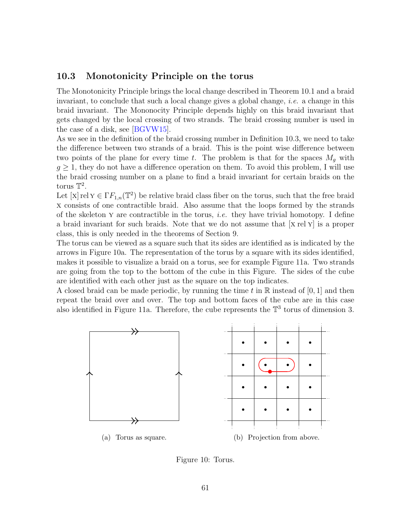#### 10.3 Monotonicity Principle on the torus

The Monotonicity Principle brings the local change described in Theorem [10.1](#page-62-0) and a braid invariant, to conclude that such a local change gives a global change, *i.e.* a change in this braid invariant. The Mononocity Principle depends highly on this braid invariant that gets changed by the local crossing of two strands. The braid crossing number is used in the case of a disk, see [\[BGVW15\]](#page-72-3).

As we see in the definition of the braid crossing number in Definition [10.3,](#page-64-0) we need to take the difference between two strands of a braid. This is the point wise difference between two points of the plane for every time t. The problem is that for the spaces  $M_q$  with  $q \geq 1$ , they do not have a difference operation on them. To avoid this problem, I will use the braid crossing number on a plane to find a braid invariant for certain braids on the torus  $\mathbb{T}^2$ .

Let [X] rel  $Y \in \Gamma F_{1,n}(\mathbb{T}^2)$  be relative braid class fiber on the torus, such that the free braid x consists of one contractible braid. Also assume that the loops formed by the strands of the skeleton Y are contractible in the torus, *i.e.* they have trivial homotopy. I define a braid invariant for such braids. Note that we do not assume that [x rel y] is a proper class, this is only needed in the theorems of Section [9.](#page-55-0)

The torus can be viewed as a square such that its sides are identified as is indicated by the arrows in Figure [10a.](#page-66-0) The representation of the torus by a square with its sides identified, makes it possible to visualize a braid on a torus, see for example Figure [11a.](#page-67-0) Two strands are going from the top to the bottom of the cube in this Figure. The sides of the cube are identified with each other just as the square on the top indicates.

A closed braid can be made periodic, by running the time t in  $\mathbb R$  instead of [0, 1] and then repeat the braid over and over. The top and bottom faces of the cube are in this case also identified in Figure [11a.](#page-67-0) Therefore, the cube represents the  $\mathbb{T}^3$  torus of dimension 3.

<span id="page-66-0"></span>

Figure 10: Torus.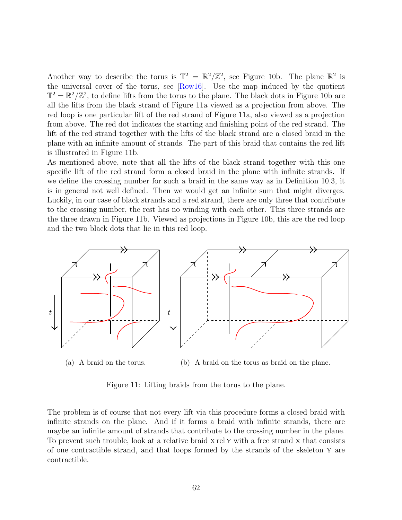Another way to describe the torus is  $\mathbb{T}^2 = \mathbb{R}^2/\mathbb{Z}^2$ , see Figure [10b.](#page-66-0) The plane  $\mathbb{R}^2$  is the universal cover of the torus, see [\[Row16\]](#page-72-8). Use the map induced by the quotient  $\mathbb{T}^2 = \mathbb{R}^2/\mathbb{Z}^2$ , to define lifts from the torus to the plane. The black dots in Figure [10b](#page-66-0) are all the lifts from the black strand of Figure [11a](#page-67-0) viewed as a projection from above. The red loop is one particular lift of the red strand of Figure [11a,](#page-67-0) also viewed as a projection from above. The red dot indicates the starting and finishing point of the red strand. The lift of the red strand together with the lifts of the black strand are a closed braid in the plane with an infinite amount of strands. The part of this braid that contains the red lift is illustrated in Figure [11b.](#page-67-0)

As mentioned above, note that all the lifts of the black strand together with this one specific lift of the red strand form a closed braid in the plane with infinite strands. If we define the crossing number for such a braid in the same way as in Definition [10.3,](#page-64-0) it is in general not well defined. Then we would get an infinite sum that might diverges. Luckily, in our case of black strands and a red strand, there are only three that contribute to the crossing number, the rest has no winding with each other. This three strands are the three drawn in Figure [11b.](#page-67-0) Viewed as projections in Figure [10b,](#page-66-0) this are the red loop and the two black dots that lie in this red loop.

<span id="page-67-0"></span>

(a) A braid on the torus. (b) A braid on the torus as braid on the plane.

Figure 11: Lifting braids from the torus to the plane.

The problem is of course that not every lift via this procedure forms a closed braid with infinite strands on the plane. And if it forms a braid with infinite strands, there are maybe an infinite amount of strands that contribute to the crossing number in the plane. To prevent such trouble, look at a relative braid x rel y with a free strand x that consists of one contractible strand, and that loops formed by the strands of the skeleton y are contractible.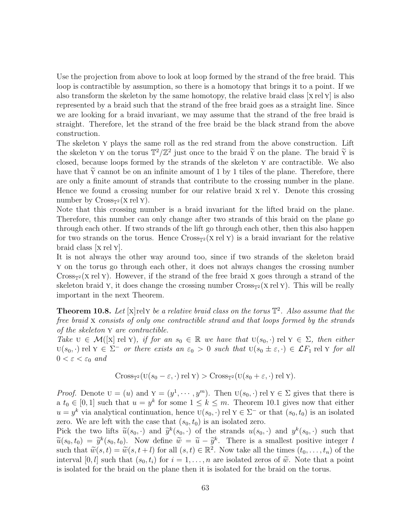Use the projection from above to look at loop formed by the strand of the free braid. This loop is contractible by assumption, so there is a homotopy that brings it to a point. If we also transform the skeleton by the same homotopy, the relative braid class  $[\text{X rel Y}]$  is also represented by a braid such that the strand of the free braid goes as a straight line. Since we are looking for a braid invariant, we may assume that the strand of the free braid is straight. Therefore, let the strand of the free braid be the black strand from the above construction.

The skeleton y plays the same roll as the red strand from the above construction. Lift the skeleton Y on the torus  $\mathbb{T}^2/\mathbb{Z}^2$  just once to the braid  $\tilde{Y}$  on the plane. The braid  $\tilde{Y}$  is<br>closed because leave formed by the strange of the cluster Y are septectible. We also closed, because loops formed by the strands of the skeleton y are contractible. We also have that  $\tilde{Y}$  cannot be on an infinite amount of 1 by 1 tiles of the plane. Therefore, there are only a finite amount of strands that contribute to the crossing number in the plane. Hence we found a crossing number for our relative braid x rel y. Denote this crossing number by  $Cross_{\mathbb{T}^2}(X \text{ rel } Y)$ .

Note that this crossing number is a braid invariant for the lifted braid on the plane. Therefore, this number can only change after two strands of this braid on the plane go through each other. If two strands of the lift go through each other, then this also happen for two strands on the torus. Hence  $\text{Cross}_{\mathbb{F}^2}(\text{X rel Y})$  is a braid invariant for the relative braid class [x rel y].

It is not always the other way around too, since if two strands of the skeleton braid y on the torus go through each other, it does not always changes the crossing number  $C$ ross<sub>T2</sub> (x rel y). However, if the strand of the free braid x goes through a strand of the skeleton braid Y, it does change the crossing number  $\text{Cross}_{\mathbb{P}^2}(\text{X rel Y})$ . This will be really important in the next Theorem.

<span id="page-68-0"></span>**Theorem 10.8.** Let  $[x]$ rely be a relative braid class on the torus  $\mathbb{T}^2$ . Also assume that the free braid x consists of only one contractible strand and that loops formed by the strands of the skeleton y are contractible.

Take  $U \in \mathcal{M}([x] \text{ rel } Y)$ , if for an  $s_0 \in \mathbb{R}$  we have that  $U(s_0, \cdot)$  rel  $Y \in \Sigma$ , then either  $u(s_0, \cdot)$  rel  $Y \in \Sigma^-$  or there exists an  $\varepsilon_0 > 0$  such that  $u(s_0 \pm \varepsilon, \cdot) \in \mathcal{L}F_1$  rel Y for all  $0 < \varepsilon < \varepsilon_0$  and

$$
Cross_{\mathbb{T}^2}(U(s_0 - \varepsilon, \cdot) \text{ rel } Y) > Cross_{\mathbb{T}^2}(U(s_0 + \varepsilon, \cdot) \text{ rel } Y).
$$

*Proof.* Denote  $U = (u)$  and  $Y = (y^1, \dots, y^m)$ . Then  $U(s_0, \cdot)$  rel  $Y \in \Sigma$  gives that there is a  $t_0 \in [0,1]$  such that  $u = y^k$  for some  $1 \leq k \leq m$ . Theorem [10.1](#page-62-0) gives now that either  $u = y^k$  via analytical continuation, hence  $U(s_0, \cdot)$  rel  $Y \in \Sigma^-$  or that  $(s_0, t_0)$  is an isolated zero. We are left with the case that  $(s_0, t_0)$  is an isolated zero.

Pick the two lifts  $\tilde{u}(s_0, \cdot)$  and  $\tilde{y}^k(s_0, \cdot)$  of the strands  $u(s_0, \cdot)$  and  $y^k(s_0, \cdot)$  such that  $\tilde{u}(s_0, t_0) = \tilde{u}^k(s_0, t_0)$ . Now define  $\tilde{w} = \tilde{u}$ ,  $\tilde{u}^k$ . There is a smallest positive integer  $\widetilde{u}(s_0, t_0) = \widetilde{y}^k(s_0, t_0)$ . Now define  $\widetilde{w} = \widetilde{u} - \widetilde{y}^k$ . There is a smallest positive integer l<br>such that  $\widetilde{w}(s, t) = \widetilde{w}(s, t+1)$  for all  $(s, t) \in \mathbb{R}^2$ . Now take all the times  $(t, t+1)$  of the such that  $\widetilde{w}(s,t) = \widetilde{w}(s,t+l)$  for all  $(s,t) \in \mathbb{R}^2$ . Now take all the times  $(t_0, \ldots, t_n)$  of the interval  $[0, l]$  such that  $(s, t)$  for  $i = 1$  as a speaked zeros of  $\widetilde{w}$ . Note that a point interval [0, *l*] such that  $(s_0, t_i)$  for  $i = 1, \ldots, n$  are isolated zeros of  $\tilde{w}$ . Note that a point is isolated for the braid on the plane then it is isolated for the braid on the torus.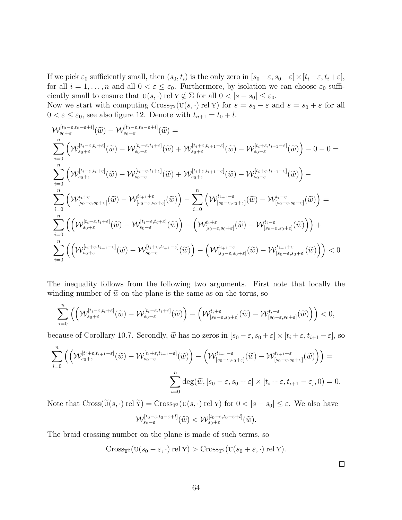If we pick  $\varepsilon_0$  sufficiently small, then  $(s_0, t_i)$  is the only zero in  $[s_0-\varepsilon, s_0+\varepsilon] \times [t_i-\varepsilon, t_i+\varepsilon]$ , for all  $i = 1, \ldots, n$  and all  $0 < \varepsilon \leq \varepsilon_0$ . Furthermore, by isolation we can choose  $\varepsilon_0$  sufficiently small to ensure that  $U(s, \cdot)$  rel  $Y \notin \Sigma$  for all  $0 < |s - s_0| \leq \varepsilon_0$ . Now we start with computing  $\text{Cross}_{\mathbb{T}^2}(U(s, \cdot) \text{ rel } Y)$  for  $s = s_0 - \varepsilon$  and  $s = s_0 + \varepsilon$  for all  $0 < \varepsilon \leq \varepsilon_0$ , see also figure [12.](#page-70-0) Denote with  $t_{n+1} = t_0 + l$ .

$$
\begin{array}{ll} & \displaystyle W_{s_0+\varepsilon}^{[t_0-\varepsilon,t_0-\varepsilon+l]}(\widetilde{w})-\mathcal{W}_{s_0-\varepsilon}^{[t_0-\varepsilon,t_0+\varepsilon]}(\widetilde{w})=\cr & \displaystyle \sum_{i=0}^{n}\left(\mathcal{W}_{s_0+\varepsilon}^{[t_i-\varepsilon,t_i+\varepsilon]}(\widetilde{w})-\mathcal{W}_{s_0-\varepsilon}^{[t_i+\varepsilon,t_i+\varepsilon]}(\widetilde{w})+\mathcal{W}_{s_0+\varepsilon}^{[t_i+\varepsilon,t_{i+1}-\varepsilon]}(\widetilde{w})-\mathcal{W}_{s_0-\varepsilon}^{[t_i+\varepsilon,t_{i+1}-\varepsilon]}(\widetilde{w})\right)-0-0= \cr & \displaystyle \sum_{i=0}^{n}\left(\mathcal{W}_{s_0+\varepsilon}^{[t_i-\varepsilon,t_i+\varepsilon]}(\widetilde{w})-\mathcal{W}_{s_0-\varepsilon}^{[t_i-\varepsilon,t_i+\varepsilon]}(\widetilde{w})+\mathcal{W}_{s_0+\varepsilon}^{[t_i+\varepsilon,t_{i+1}-\varepsilon]}(\widetilde{w})-\mathcal{W}_{s_0-\varepsilon}^{[t_i+\varepsilon,t_{i+1}-\varepsilon]}(\widetilde{w})\right)-\cr & \displaystyle \sum_{i=0}^{n}\left(\mathcal{W}_{[s_0-\varepsilon,s_0+\varepsilon]}^{t_i+\varepsilon}(\widetilde{w})-\mathcal{W}_{[s_0-\varepsilon,s_0+\varepsilon]}^{t_{i+1}+\varepsilon}(\widetilde{w})\right)-\sum_{i=0}^{n}\left(\mathcal{W}_{[s_0-\varepsilon,s_0+\varepsilon]}^{t_i+\varepsilon}(\widetilde{w})-\mathcal{W}_{[s_0-\varepsilon,s_0+\varepsilon]}^{t_i+\varepsilon}(\widetilde{w})\right)+\cr & \displaystyle \sum_{i=0}^{n}\left(\left(\mathcal{W}_{s_0+\varepsilon}^{[t_i+\varepsilon,t_i+\varepsilon]}(\widetilde{w})-\mathcal{W}_{s_0-\varepsilon}^{[t_i+\varepsilon,t_i+\varepsilon]}(\widetilde{w})\right)-\left(\mathcal{W}_{[s_0-\varepsilon,s_0+\varepsilon]}^{t_i+\varepsilon}(\widetilde{w})-\mathcal{W}_{[s_
$$

The inequality follows from the following two arguments. First note that locally the winding number of  $\widetilde{w}$  on the plane is the same as on the torus, so  $\widetilde{w}$ 

$$
\sum_{i=0}^n\left(\left(\mathcal{W}_{s_0+\varepsilon}^{[t_i-\varepsilon,t_i+\varepsilon]}(\widetilde{w})-\mathcal{W}_{s_0-\varepsilon}^{[t_i-\varepsilon,t_i+\varepsilon]}(\widetilde{w})\right)-\left(\mathcal{W}_{[s_0-\varepsilon,s_0+\varepsilon]}^{t_i+\varepsilon}(\widetilde{w})-\mathcal{W}_{[s_0-\varepsilon,s_0+\varepsilon]}^{t_i-\varepsilon}(\widetilde{w})\right)\right)<0,
$$

because of Corollary [10.7.](#page-65-0) Secondly,  $\tilde{w}$  has no zeros in  $[s_0 - \varepsilon, s_0 + \varepsilon] \times [t_i + \varepsilon, t_{i+1} - \varepsilon]$ , so

$$
\sum_{i=0}^{n} \left( \left( \mathcal{W}_{s_0+\varepsilon}^{[t_i+\varepsilon,t_{i+1}-\varepsilon]}(\widetilde{w}) - \mathcal{W}_{s_0-\varepsilon}^{[t_i+\varepsilon,t_{i+1}-\varepsilon]}(\widetilde{w}) \right) - \left( \mathcal{W}_{[s_0-\varepsilon,s_0+\varepsilon]}^{t_{i+1}-\varepsilon}(\widetilde{w}) - \mathcal{W}_{[s_0-\varepsilon,s_0+\varepsilon]}^{t_{i+1}+\varepsilon}(\widetilde{w}) \right) \right) =
$$

$$
\sum_{i=0}^{n} \deg(\widetilde{w}, [s_0-\varepsilon,s_0+\varepsilon] \times [t_i+\varepsilon,t_{i+1}-\varepsilon], 0) = 0.
$$

Note that  $\text{Cross}(\widetilde{U}(s, \cdot) \text{ rel } \widetilde{Y}) = \text{Cross}_{\mathbb{T}^2}(U(s, \cdot) \text{ rel } Y)$  for  $0 < |s - s_0| \leq \varepsilon$ . We also have

$$
\mathcal{W}_{s_0-\varepsilon}^{[t_0-\varepsilon,t_0-\varepsilon+l]}(\widetilde{w}) < \mathcal{W}_{s_0+\varepsilon}^{[t_0-\varepsilon,t_0-\varepsilon+l]}(\widetilde{w}).
$$

The braid crossing number on the plane is made of such terms, so

Cross<sub>T</sub><sup>2</sup>(U(s<sub>0</sub> - 
$$
\varepsilon
$$
, ·) rel Y) > Cross<sub>T</sub><sup>2</sup>(U(s<sub>0</sub> +  $\varepsilon$ , ·) rel Y).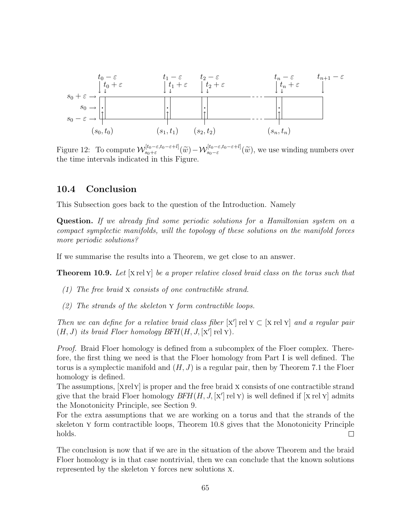<span id="page-70-0"></span>

Figure 12: To compute  $\mathcal{W}_{s_0+\varepsilon}^{[t_0-\varepsilon,t_0-\varepsilon+l]}$  $\mathcal{W}_{s_0+\varepsilon}^{[t_0-\varepsilon,t_0-\varepsilon+l]}(\widetilde{w})-\mathcal{W}_{s_0-\varepsilon}^{[t_0-\varepsilon,t_0-\varepsilon+l]}(\widetilde{w})$ , we use winding numbers over the time intervals indicated in this Figure.

#### 10.4 Conclusion

This Subsection goes back to the question of the Introduction. Namely

Question. If we already find some periodic solutions for a Hamiltonian system on a compact symplectic manifolds, will the topology of these solutions on the manifold forces more periodic solutions?

If we summarise the results into a Theorem, we get close to an answer.

**Theorem 10.9.** Let  $[\text{X rel } Y]$  be a proper relative closed braid class on the torus such that

- (1) The free braid x consists of one contractible strand.
- (2) The strands of the skeleton y form contractible loops.

Then we can define for a relative braid class fiber [X'] rel  $Y \subset [X \text{ rel } Y]$  and a regular pair  $(H, J)$  its braid Floer homology BFH $(H, J, [X']$  rel Y).

Proof. Braid Floer homology is defined from a subcomplex of the Floer complex. Therefore, the first thing we need is that the Floer homology from Part [I](#page-8-0) is well defined. The torus is a symplectic manifold and  $(H, J)$  is a regular pair, then by Theorem [7.1](#page-45-0) the Floer homology is defined.

The assumptions, [xrely] is proper and the free braid x consists of one contractible strand give that the braid Floer homology  $BFH(H, J, [X'] \text{ rel Y})$  is well defined if [X rel Y] admits the Monotonicity Principle, see Section [9.](#page-55-0)

For the extra assumptions that we are working on a torus and that the strands of the skeleton y form contractible loops, Theorem [10.8](#page-68-0) gives that the Monotonicity Principle holds.  $\Box$ 

The conclusion is now that if we are in the situation of the above Theorem and the braid Floer homology is in that case nontrivial, then we can conclude that the known solutions represented by the skeleton y forces new solutions x.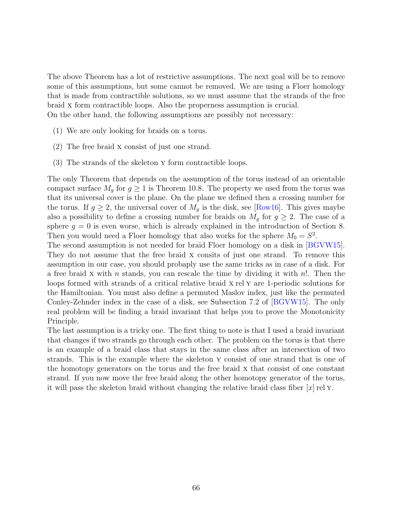The above Theorem has a lot of restrictive assumptions. The next goal will be to remove some of this assumptions, but some cannot be removed. We are using a Floer homology that is made from contractible solutions, so we must assume that the strands of the free braid x form contractible loops. Also the properness assumption is crucial. On the other hand, the following assumptions are possibly not necessary:

- (1) We are only looking for braids on a torus.
- (2) The free braid x consist of just one strand.
- (3) The strands of the skeleton y form contractible loops.

The only Theorem that depends on the assumption of the torus instead of an orientable compact surface  $M_q$  for  $q \ge 1$  is Theorem [10.8.](#page-68-0) The property we used from the torus was that its universal cover is the plane. On the plane we defined then a crossing number for the torus. If  $g \geq 2$ , the universal cover of  $M_g$  is the disk, see [\[Row16\]](#page-72-8). This gives maybe also a possibility to define a crossing number for braids on  $M_q$  for  $q \geq 2$ . The case of a sphere  $g = 0$  is even worse, which is already explained in the introduction of Section [8.](#page-51-3) Then you would need a Floer homology that also works for the sphere  $M_0 = S^2$ .

The second assumption is not needed for braid Floer homology on a disk in [\[BGVW15\]](#page-72-3). They do not assume that the free braid x consits of just one strand. To remove this assumption in our case, you should probaply use the same tricks as in case of a disk. For a free braid x with n stands, you can rescale the time by dividing it with  $n!$ . Then the loops formed with strands of a critical relative braid x rel y are 1-periodic solutions for the Hamiltonian. You must also define a permuted Maslov index, just like the permuted Conley-Zehnder index in the case of a disk, see Subsection 7.2 of [\[BGVW15\]](#page-72-3). The only real problem will be finding a braid invariant that helps you to prove the Monotonicity Principle.

The last assumption is a tricky one. The first thing to note is that I used a braid invariant that changes if two strands go through each other. The problem on the torus is that there is an example of a braid class that stays in the same class after an intersection of two strands. This is the example where the skeleton y consist of one strand that is one of the homotopy generators on the torus and the free braid x that consist of one constant strand. If you now move the free braid along the other homotopy generator of the torus, it will pass the skeleton braid without changing the relative braid class fiber  $[x]$  rel  $Y$ .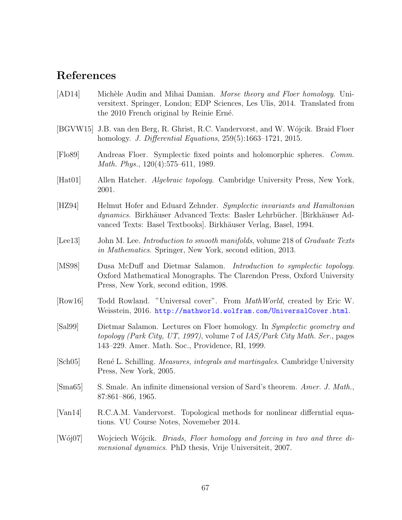## References

- [AD14] Michèle Audin and Mihai Damian. *Morse theory and Floer homology*. Universitext. Springer, London; EDP Sciences, Les Ulis, 2014. Translated from the 2010 French original by Reinie Erné.
- [BGVW15] J.B. van den Berg, R. Ghrist, R.C. Vandervorst, and W. Wójcik. Braid Floer homology. J. Differential Equations, 259(5):1663–1721, 2015.
- [Flo89] Andreas Floer. Symplectic fixed points and holomorphic spheres. Comm. Math. Phys., 120(4):575–611, 1989.
- [Hat01] Allen Hatcher. Algebraic topology. Cambridge University Press, New York, 2001.
- [HZ94] Helmut Hofer and Eduard Zehnder. Symplectic invariants and Hamiltonian dynamics. Birkhäuser Advanced Texts: Basler Lehrbücher. [Birkhäuser Advanced Texts: Basel Textbooks]. Birkhäuser Verlag, Basel, 1994.
- [Lee13] John M. Lee. *Introduction to smooth manifolds*, volume 218 of *Graduate Texts* in Mathematics. Springer, New York, second edition, 2013.
- [MS98] Dusa McDuff and Dietmar Salamon. Introduction to symplectic topology. Oxford Mathematical Monographs. The Clarendon Press, Oxford University Press, New York, second edition, 1998.
- [Row16] Todd Rowland. "Universal cover". From MathWorld, created by Eric W. Weisstein, 2016. <http://mathworld.wolfram.com/UniversalCover.html>.
- [Sal99] Dietmar Salamon. Lectures on Floer homology. In Symplectic geometry and topology (Park City, UT, 1997), volume 7 of IAS/Park City Math. Ser., pages 143–229. Amer. Math. Soc., Providence, RI, 1999.
- [Sch05] Ren´e L. Schilling. Measures, integrals and martingales. Cambridge University Press, New York, 2005.
- [Sma65] S. Smale. An infinite dimensional version of Sard's theorem. Amer. J. Math., 87:861–866, 1965.
- [Van14] R.C.A.M. Vandervorst. Topological methods for nonlinear differntial equations. VU Course Notes, Novemeber 2014.
- $|W\dot{\phi}j07|$  Wojciech Wójcik. *Briads, Floer homology and forcing in two and three di*mensional dynamics. PhD thesis, Vrije Universiteit, 2007.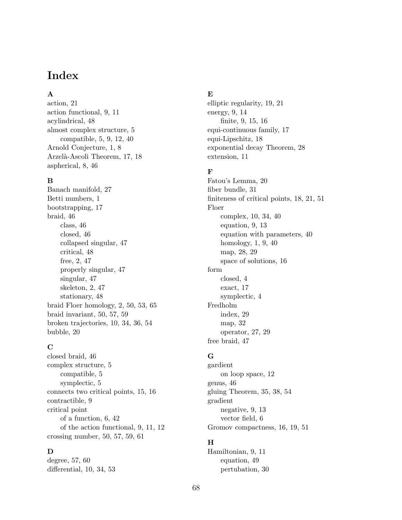# Index

#### A

action, [21](#page-26-0) action functional, [9,](#page-14-0) [11](#page-16-0) acylindrical, [48](#page-53-0) almost complex structure, [5](#page-10-0) compatible, [5,](#page-10-0) [9,](#page-14-0) [12,](#page-17-0) [40](#page-45-0) Arnold Conjecture, [1,](#page-6-0) [8](#page-13-0) Arzelà-Ascoli Theorem, [17,](#page-22-0) [18](#page-23-0) aspherical, [8,](#page-13-0) [46](#page-51-0)

#### B

Banach manifold, [27](#page-32-0) Betti numbers, [1](#page-6-0) bootstrapping, [17](#page-22-0) braid, [46](#page-51-0) class, [46](#page-51-0) closed, [46](#page-51-0) collapsed singular, [47](#page-52-0) critical, [48](#page-53-0) free, [2,](#page-7-0) [47](#page-52-0) properly singular, [47](#page-52-0) singular, [47](#page-52-0) skeleton, [2,](#page-7-0) [47](#page-52-0) stationary, [48](#page-53-0) braid Floer homology, [2,](#page-7-0) [50,](#page-55-0) [53,](#page-58-0) [65](#page-70-0) braid invariant, [50,](#page-55-0) [57,](#page-62-0) [59](#page-64-0) broken trajectories, [10,](#page-15-0) [34,](#page-39-0) [36,](#page-41-0) [54](#page-59-0) bubble, [20](#page-25-0)

#### C

closed braid, [46](#page-51-0) complex structure, [5](#page-10-0) compatible, [5](#page-10-0) symplectic, [5](#page-10-0) connects two critical points, [15,](#page-20-0) [16](#page-21-0) contractible, [9](#page-14-0) critical point of a function, [6,](#page-11-0) [42](#page-47-0) of the action functional, [9,](#page-14-0) [11,](#page-16-0) [12](#page-17-0) crossing number, [50,](#page-55-0) [57,](#page-62-0) [59,](#page-64-0) [61](#page-66-0)

#### D

degree, [57,](#page-62-0) [60](#page-65-0) differential, [10,](#page-15-0) [34,](#page-39-0) [53](#page-58-0)

#### E

elliptic regularity, [19,](#page-24-0) [21](#page-26-0) energy, [9,](#page-14-0) [14](#page-19-0) finite, [9,](#page-14-0) [15,](#page-20-0) [16](#page-21-0) equi-continuous family, [17](#page-22-0) equi-Lipschitz, [18](#page-23-0) exponential decay Theorem, [28](#page-33-0) extension, [11](#page-16-0)

#### F

Fatou's Lemma, [20](#page-25-0) fiber bundle, [31](#page-36-0) finiteness of critical points, [18,](#page-23-0) [21,](#page-26-0) [51](#page-56-0) Floer complex, [10,](#page-15-0) [34,](#page-39-0) [40](#page-45-0) equation, [9,](#page-14-0) [13](#page-18-0) equation with parameters, [40](#page-45-0) homology, [1,](#page-6-0) [9,](#page-14-0) [40](#page-45-0) map, [28,](#page-33-0) [29](#page-34-0) space of solutions, [16](#page-21-0) form closed, [4](#page-9-0) exact, [17](#page-22-0) symplectic, [4](#page-9-0) Fredholm index, [29](#page-34-0) map, [32](#page-37-0) operator, [27,](#page-32-0) [29](#page-34-0) free braid, [47](#page-52-0)

#### G

gardient on loop space, [12](#page-17-0) genus, [46](#page-51-0) gluing Theorem, [35,](#page-40-0) [38,](#page-43-0) [54](#page-59-0) gradient negative, [9,](#page-14-0) [13](#page-18-0) vector field, [6](#page-11-0) Gromov compactness, [16,](#page-21-0) [19,](#page-24-0) [51](#page-56-0)

### $\bf H$

Hamiltonian, [9,](#page-14-0) [11](#page-16-0) equation, [49](#page-54-0) pertubation, [30](#page-35-0)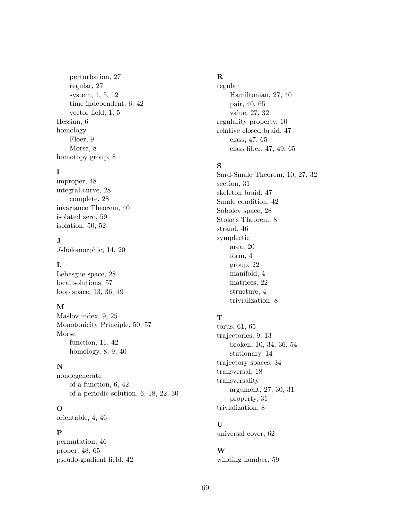perturbation, [27](#page-32-0) regular, [27](#page-32-0) system, [1,](#page-6-0) [5,](#page-10-0) [12](#page-17-0) time independent, [6,](#page-11-0) [42](#page-47-0) vector field, [1,](#page-6-0) [5](#page-10-0) Hessian, [6](#page-11-0) homology Floer, [9](#page-14-0) Morse, [8](#page-13-0) homotopy group, [8](#page-13-0)

#### I

improper, [48](#page-53-0) integral curve, [28](#page-33-0) complete, [28](#page-33-0) invariance Theorem, [40](#page-45-0) isolated zero, [59](#page-64-0) isolation, [50,](#page-55-0) [52](#page-57-0)

#### J

J-holomorphic, [14,](#page-19-0) [20](#page-25-0)

L

Lebesgue space, [28](#page-33-0) local solutions, [57](#page-62-0) loop space, [13,](#page-18-0) [36,](#page-41-0) [49](#page-54-0)

#### M

Maslov index, [9,](#page-14-0) [25](#page-30-0) Monotonicity Principle, [50,](#page-55-0) [57](#page-62-0) Morse function, [11,](#page-16-0) [42](#page-47-0) homology, [8,](#page-13-0) [9,](#page-14-0) [40](#page-45-0)

#### N

nondegenerate of a function, [6,](#page-11-0) [42](#page-47-0) of a periodic solution, [6,](#page-11-0) [18,](#page-23-0) [22,](#page-27-0) [30](#page-35-0)

#### O

orientable, [4,](#page-9-0) [46](#page-51-0)

#### P

permutation, [46](#page-51-0) proper, [48,](#page-53-0) [65](#page-70-0) pseudo-gradient field, [42](#page-47-0)

#### R

regular Hamiltonian, [27,](#page-32-0) [40](#page-45-0) pair, [40,](#page-45-0) [65](#page-70-0) value, [27,](#page-32-0) [32](#page-37-0) regularity property, [10](#page-15-0) relative closed braid, [47](#page-52-0) class, [47,](#page-52-0) [65](#page-70-0) class fiber, [47,](#page-52-0) [49,](#page-54-0) [65](#page-70-0)

#### S

Sard-Smale Theorem, [10,](#page-15-0) [27,](#page-32-0) [32](#page-37-0) section, [31](#page-36-0) skeleton braid, [47](#page-52-0) Smale condition, [42](#page-47-0) Sobolev space, [28](#page-33-0) Stoke's Theorem, [8](#page-13-0) strand, [46](#page-51-0) symplectic area, [20](#page-25-0) form, [4](#page-9-0) group, [22](#page-27-0) manifold, [4](#page-9-0) matrices, [22](#page-27-0) structure, [4](#page-9-0) trivialization, [8](#page-13-0)

### T

torus, [61,](#page-66-0) [65](#page-70-0) trajectories, [9,](#page-14-0) [13](#page-18-0) broken, [10,](#page-15-0) [34,](#page-39-0) [36,](#page-41-0) [54](#page-59-0) stationary, [14](#page-19-0) trajectory spaces, [34](#page-39-0) transversal, [18](#page-23-0) transversality argument, [27,](#page-32-0) [30,](#page-35-0) [31](#page-36-0) property, [31](#page-36-0) trivialization, [8](#page-13-0)

#### U

universal cover, [62](#page-67-0)

#### W

winding number, [59](#page-64-0)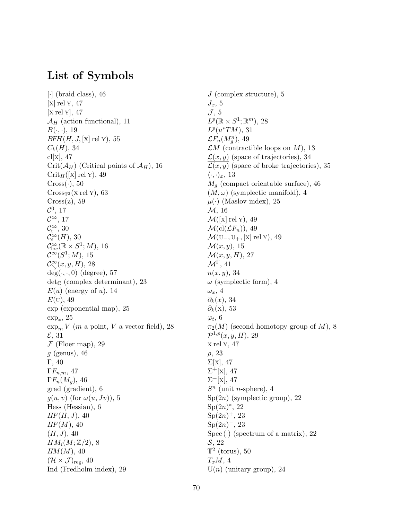# List of Symbols

[·] (braid class), [46](#page-51-0) [x] rel y, [47](#page-52-0)  $[x$  rel  $y$ , [47](#page-52-0)  $\mathcal{A}_H$  (action functional), [11](#page-16-0)  $B(\cdot, \cdot)$ , [19](#page-24-0)  $BFH(H, J, [x] \text{ rel y}), 55$  $BFH(H, J, [x] \text{ rel y}), 55$  $C_k(H)$ , [34](#page-39-0) cl[x], [47](#page-52-0)  $Crit(\mathcal{A}_H)$  (Critical points of  $\mathcal{A}_H$ ), [16](#page-21-0)  $Crit_H([x]$  rel Y), [49](#page-54-0)  $Cross(\cdot), 50$  $Cross(\cdot), 50$  $Cross_{\mathbb{T}^2}(\text{x rel y}), 63$  $Cross_{\mathbb{T}^2}(\text{x rel y}), 63$  $Cross(z), 59$  $Cross(z), 59$  $\mathcal{C}^0,\,17$  $\mathcal{C}^0,\,17$  $\mathcal{C}^{\infty}$ , [17](#page-22-0)  $\mathcal{C}_{\varepsilon}^{\infty}$ , [30](#page-35-0)  $\mathcal{C}_{\varepsilon}^{\infty}(H)$ , [30](#page-35-0)  $\mathcal{C}^\infty_\text{loc}(\mathbb{R}\times S^1; M),\,16$  $\mathcal{C}^\infty_\text{loc}(\mathbb{R}\times S^1; M),\,16$  $\widetilde{\mathcal{C}}^\infty(S^1;M),\,15$  $\widetilde{\mathcal{C}}^\infty(S^1;M),\,15$  $\mathcal{C}^{\infty}_{\searrow}(x,y,H)$ , [28](#page-33-0)  $deg(\cdot, \cdot, 0)$  (degree), [57](#page-62-0)  $det_{\mathbb{C}}$  (complex determinant), [23](#page-28-0)  $E(u)$  (energy of u), [14](#page-19-0)  $E(U)$ , [49](#page-54-0) exp (exponential map), [25](#page-30-0) exp<sup>∗</sup> , [25](#page-30-0)  $\exp_m V$  (*m* a point, *V* a vector field), [28](#page-33-0)  $\mathcal{E}, 31$  $\mathcal{E}, 31$  $\mathcal F$  (Floer map), [29](#page-34-0)  $g$  (genus), [46](#page-51-0) Γ, [40](#page-45-0)  $\Gamma F_{n,m}$ , [47](#page-52-0)  $\Gamma F_n(M_q)$ , [46](#page-51-0) grad (gradient), [6](#page-11-0)  $g(u, v)$  (for  $\omega(u, Jv)$ ), [5](#page-10-0) Hess (Hessian), [6](#page-11-0)  $HF(H, J)$ , [40](#page-45-0)  $HF(M)$ , [40](#page-45-0)  $(H, J), 40$  $(H, J), 40$  $HM_i(M;\mathbb{Z}/2), 8$  $HM_i(M;\mathbb{Z}/2), 8$  $HM(M), 40$  $HM(M), 40$  $(\mathcal{H} \times \mathcal{J})_{\text{reg}}$ , [40](#page-45-0) Ind (Fredholm index), [29](#page-34-0)

 $J$  (complex structure), [5](#page-10-0)  $J_x$ , [5](#page-10-0)  $\mathcal{J}, 5$  $\mathcal{J}, 5$  $L^p(\mathbb{R} \times S^1; \mathbb{R}^m)$ , [28](#page-33-0)  $L^p(u^*TM), 31$  $L^p(u^*TM), 31$  $\mathcal{L}F_n(M_g^n)$ , [49](#page-54-0)  $\mathcal{L}M$  (contractible loops on M), [13](#page-18-0)  $\mathcal{L}(x, y)$  (space of trajectories), [34](#page-39-0)  $\mathcal{L}(x, y)$  (space of broke trajectories), [35](#page-40-0)  $\langle \cdot, \cdot \rangle_x$ , [13](#page-18-0)  $M_q$  (compact orientable surface), [46](#page-51-0)  $(M, \omega)$  (symplectic manifold), [4](#page-9-0)  $\mu(\cdot)$  (Maslov index), [25](#page-30-0) M, [16](#page-21-0)  $\mathcal{M}([x] \text{ rel y}), 49$  $\mathcal{M}([x] \text{ rel y}), 49$  $\mathcal{M}(\text{cl}(\mathcal{L}F_n)),$  [49](#page-54-0)  $\mathcal{M}(\mathbf{U}_{-}, \mathbf{U}_{+}, [x] \text{ rel Y}), 49$  $\mathcal{M}(\mathbf{U}_{-}, \mathbf{U}_{+}, [x] \text{ rel Y}), 49$  $\mathcal{M}(x, y)$ , [15](#page-20-0)  $\mathcal{M}(x, y, H)$ , [27](#page-32-0)  $\mathcal{M}^{\Gamma}$ , [41](#page-46-0)  $n(x, y)$ , [34](#page-39-0)  $\omega$  (symplectic form), [4](#page-9-0)  $\omega_x$ , [4](#page-9-0)  $\partial_k(x)$ , [34](#page-39-0)  $\partial_k(x)$ , [53](#page-58-0)  $\varphi_t,\, 6$  $\varphi_t,\, 6$  $\pi_2(M)$  (second homotopy group of M), [8](#page-13-0)  $\mathcal{P}^{1,p}(x,y,H)$ , [29](#page-34-0) x rel y, [47](#page-52-0)  $\rho$ , [23](#page-28-0)  $\Sigma[x], 47$  $\Sigma[x], 47$  $\Sigma^+$ [x], [47](#page-52-0)  $\Sigma$ <sup>-</sup>[x], [47](#page-52-0)  $S<sup>n</sup>$  (unit *n*-sphere), [4](#page-9-0)  $Sp(2n)$  (symplectic group), [22](#page-27-0)  $Sp(2n)^*, 22$  $Sp(2n)^*, 22$  $Sp(2n)^{+}, 23$  $Sp(2n)^{+}, 23$  $Sp(2n)^{-}, 23$  $Sp(2n)^{-}, 23$ Spec $\left(\cdot\right)$  (spectrum of a matrix), [22](#page-27-0) S, [22](#page-27-0)  $\mathbb{T}^2$  (torus), [50](#page-55-0)  $T_xM$ , [4](#page-9-0)  $U(n)$  (unitary group), [24](#page-29-0)